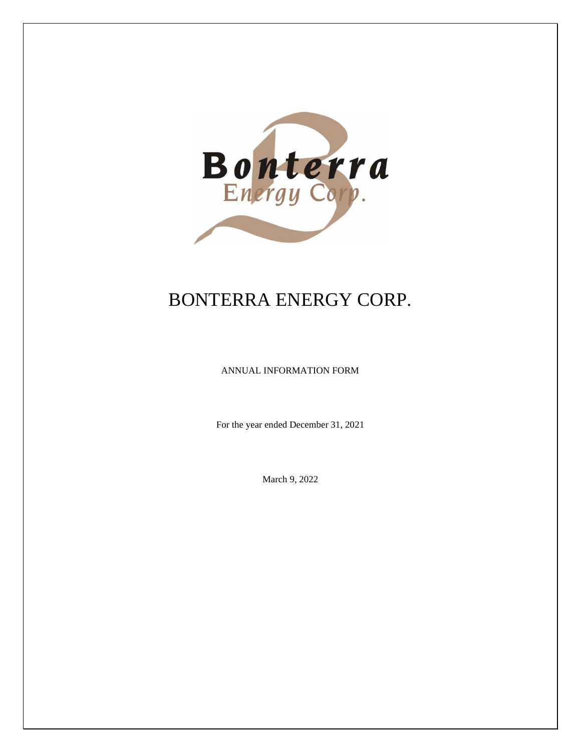

# BONTERRA ENERGY CORP.

ANNUAL INFORMATION FORM

For the year ended December 31, 2021

March 9, 2022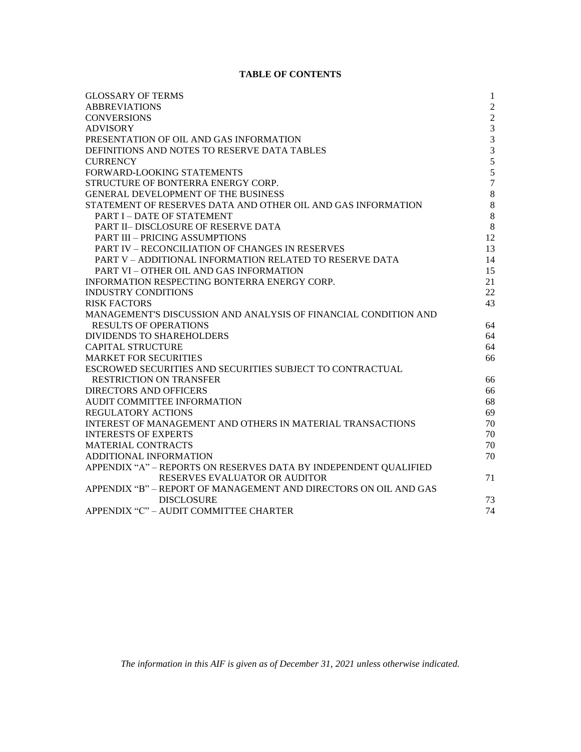# **TABLE OF CONTENTS**

| <b>GLOSSARY OF TERMS</b>                                          | $\mathbf{1}$   |
|-------------------------------------------------------------------|----------------|
| <b>ABBREVIATIONS</b>                                              | $\overline{2}$ |
| <b>CONVERSIONS</b>                                                | $\overline{2}$ |
| <b>ADVISORY</b>                                                   | 3              |
| PRESENTATION OF OIL AND GAS INFORMATION                           | $\mathfrak{Z}$ |
| DEFINITIONS AND NOTES TO RESERVE DATA TABLES                      | 3              |
| <b>CURRENCY</b>                                                   | $\sqrt{5}$     |
| FORWARD-LOOKING STATEMENTS                                        | 5              |
| STRUCTURE OF BONTERRA ENERGY CORP.                                | $\overline{7}$ |
| <b>GENERAL DEVELOPMENT OF THE BUSINESS</b>                        | $\,8\,$        |
| STATEMENT OF RESERVES DATA AND OTHER OIL AND GAS INFORMATION      | $\,8\,$        |
| <b>PART I - DATE OF STATEMENT</b>                                 | 8              |
| <b>PART II– DISCLOSURE OF RESERVE DATA</b>                        | 8              |
| <b>PART III - PRICING ASSUMPTIONS</b>                             | 12             |
| <b>PART IV – RECONCILIATION OF CHANGES IN RESERVES</b>            | 13             |
| PART V - ADDITIONAL INFORMATION RELATED TO RESERVE DATA           | 14             |
| <b>PART VI – OTHER OIL AND GAS INFORMATION</b>                    | 15             |
| INFORMATION RESPECTING BONTERRA ENERGY CORP.                      | 21             |
| <b>INDUSTRY CONDITIONS</b>                                        | 22             |
| <b>RISK FACTORS</b>                                               | 43             |
| MANAGEMENT'S DISCUSSION AND ANALYSIS OF FINANCIAL CONDITION AND   |                |
| <b>RESULTS OF OPERATIONS</b>                                      | 64             |
| DIVIDENDS TO SHAREHOLDERS                                         | 64             |
| <b>CAPITAL STRUCTURE</b>                                          | 64             |
| <b>MARKET FOR SECURITIES</b>                                      | 66             |
| ESCROWED SECURITIES AND SECURITIES SUBJECT TO CONTRACTUAL         |                |
| <b>RESTRICTION ON TRANSFER</b>                                    | 66             |
| <b>DIRECTORS AND OFFICERS</b>                                     | 66             |
| AUDIT COMMITTEE INFORMATION                                       | 68             |
| <b>REGULATORY ACTIONS</b>                                         | 69             |
| <b>INTEREST OF MANAGEMENT AND OTHERS IN MATERIAL TRANSACTIONS</b> | 70             |
| <b>INTERESTS OF EXPERTS</b>                                       | 70             |
| <b>MATERIAL CONTRACTS</b>                                         | 70             |
| ADDITIONAL INFORMATION                                            | 70             |
| APPENDIX "A" - REPORTS ON RESERVES DATA BY INDEPENDENT QUALIFIED  |                |
| RESERVES EVALUATOR OR AUDITOR                                     | 71             |
| APPENDIX "B" - REPORT OF MANAGEMENT AND DIRECTORS ON OIL AND GAS  |                |
| <b>DISCLOSURE</b>                                                 | 73             |
| APPENDIX "C" - AUDIT COMMITTEE CHARTER                            | 74             |
|                                                                   |                |

*The information in this AIF is given as of December 31, 2021 unless otherwise indicated.*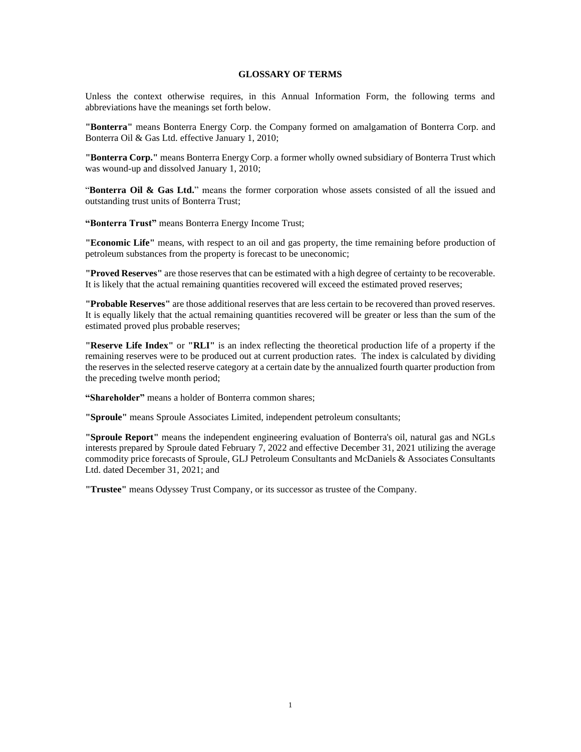# **GLOSSARY OF TERMS**

<span id="page-2-0"></span>Unless the context otherwise requires, in this Annual Information Form, the following terms and abbreviations have the meanings set forth below.

**"Bonterra"** means Bonterra Energy Corp. the Company formed on amalgamation of Bonterra Corp. and Bonterra Oil & Gas Ltd. effective January 1, 2010;

**"Bonterra Corp."** means Bonterra Energy Corp. a former wholly owned subsidiary of Bonterra Trust which was wound-up and dissolved January 1, 2010;

"**Bonterra Oil & Gas Ltd.**" means the former corporation whose assets consisted of all the issued and outstanding trust units of Bonterra Trust;

**"Bonterra Trust"** means Bonterra Energy Income Trust;

**"Economic Life"** means, with respect to an oil and gas property, the time remaining before production of petroleum substances from the property is forecast to be uneconomic;

**"Proved Reserves"** are those reserves that can be estimated with a high degree of certainty to be recoverable. It is likely that the actual remaining quantities recovered will exceed the estimated proved reserves;

**"Probable Reserves"** are those additional reserves that are less certain to be recovered than proved reserves. It is equally likely that the actual remaining quantities recovered will be greater or less than the sum of the estimated proved plus probable reserves;

**"Reserve Life Index"** or **"RLI"** is an index reflecting the theoretical production life of a property if the remaining reserves were to be produced out at current production rates. The index is calculated by dividing the reserves in the selected reserve category at a certain date by the annualized fourth quarter production from the preceding twelve month period;

**"Shareholder"** means a holder of Bonterra common shares;

**"Sproule"** means Sproule Associates Limited, independent petroleum consultants;

**"Sproule Report"** means the independent engineering evaluation of Bonterra's oil, natural gas and NGLs interests prepared by Sproule dated February 7, 2022 and effective December 31, 2021 utilizing the average commodity price forecasts of Sproule, GLJ Petroleum Consultants and McDaniels & Associates Consultants Ltd. dated December 31, 2021; and

**"Trustee"** means Odyssey Trust Company, or its successor as trustee of the Company.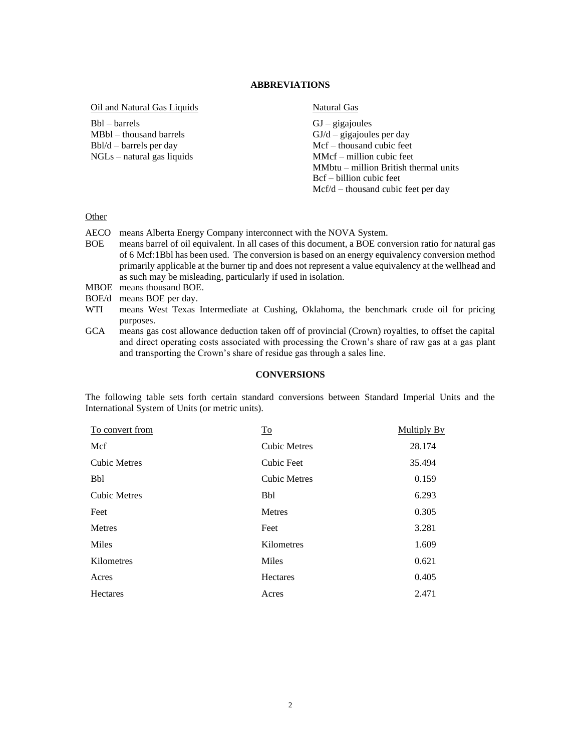# **ABBREVIATIONS**

<span id="page-3-0"></span>Oil and Natural Gas Liquids

Bbl – barrels MBbl – thousand barrels Bbl/d – barrels per day NGLs – natural gas liquids

# Natural Gas

 $GJ - gigajoules$  $GJ/d -$  gigajoules per day Mcf – thousand cubic feet MMcf – million cubic feet MMbtu – million British thermal units Bcf – billion cubic feet Mcf/d – thousand cubic feet per day

# **Other**

- AECO means Alberta Energy Company interconnect with the NOVA System.
- BOE means barrel of oil equivalent. In all cases of this document, a BOE conversion ratio for natural gas of 6 Mcf:1Bbl has been used. The conversion is based on an energy equivalency conversion method primarily applicable at the burner tip and does not represent a value equivalency at the wellhead and as such may be misleading, particularly if used in isolation.
- MBOE means thousand BOE.
- BOE/d means BOE per day.
- WTI means West Texas Intermediate at Cushing, Oklahoma, the benchmark crude oil for pricing purposes.
- GCA means gas cost allowance deduction taken off of provincial (Crown) royalties, to offset the capital and direct operating costs associated with processing the Crown's share of raw gas at a gas plant and transporting the Crown's share of residue gas through a sales line.

#### **CONVERSIONS**

<span id="page-3-1"></span>The following table sets forth certain standard conversions between Standard Imperial Units and the International System of Units (or metric units).

| To convert from     | $\underline{\operatorname{To}}$ | <b>Multiply By</b> |
|---------------------|---------------------------------|--------------------|
| Mcf                 | <b>Cubic Metres</b>             | 28.174             |
| <b>Cubic Metres</b> | Cubic Feet                      | 35.494             |
| <b>Bbl</b>          | <b>Cubic Metres</b>             | 0.159              |
| <b>Cubic Metres</b> | <b>Bbl</b>                      | 6.293              |
| Feet                | Metres                          | 0.305              |
| Metres              | Feet                            | 3.281              |
| Miles               | Kilometres                      | 1.609              |
| Kilometres          | <b>Miles</b>                    | 0.621              |
| Acres               | Hectares                        | 0.405              |
| Hectares            | Acres                           | 2.471              |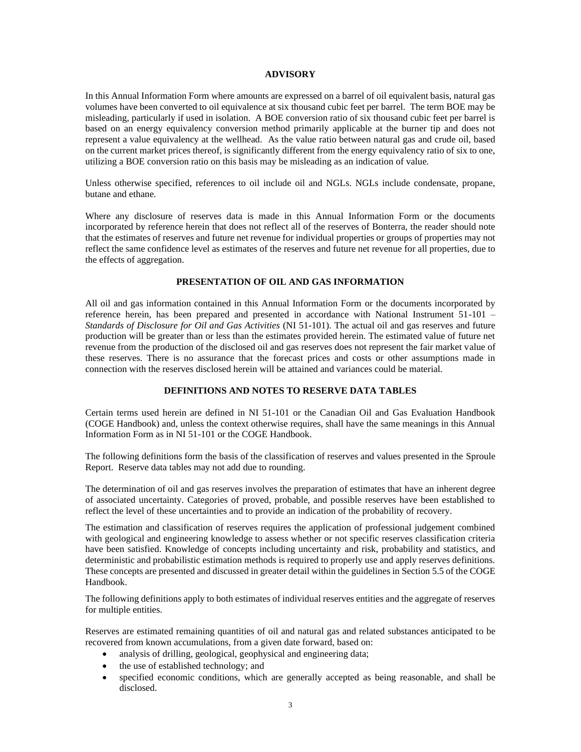#### **ADVISORY**

<span id="page-4-0"></span>In this Annual Information Form where amounts are expressed on a barrel of oil equivalent basis, natural gas volumes have been converted to oil equivalence at six thousand cubic feet per barrel. The term BOE may be misleading, particularly if used in isolation. A BOE conversion ratio of six thousand cubic feet per barrel is based on an energy equivalency conversion method primarily applicable at the burner tip and does not represent a value equivalency at the wellhead. As the value ratio between natural gas and crude oil, based on the current market prices thereof, is significantly different from the energy equivalency ratio of six to one, utilizing a BOE conversion ratio on this basis may be misleading as an indication of value.

Unless otherwise specified, references to oil include oil and NGLs. NGLs include condensate, propane, butane and ethane.

Where any disclosure of reserves data is made in this Annual Information Form or the documents incorporated by reference herein that does not reflect all of the reserves of Bonterra, the reader should note that the estimates of reserves and future net revenue for individual properties or groups of properties may not reflect the same confidence level as estimates of the reserves and future net revenue for all properties, due to the effects of aggregation.

# **PRESENTATION OF OIL AND GAS INFORMATION**

<span id="page-4-1"></span>All oil and gas information contained in this Annual Information Form or the documents incorporated by reference herein, has been prepared and presented in accordance with National Instrument 51-101 – *Standards of Disclosure for Oil and Gas Activities* (NI 51-101). The actual oil and gas reserves and future production will be greater than or less than the estimates provided herein. The estimated value of future net revenue from the production of the disclosed oil and gas reserves does not represent the fair market value of these reserves. There is no assurance that the forecast prices and costs or other assumptions made in connection with the reserves disclosed herein will be attained and variances could be material.

# **DEFINITIONS AND NOTES TO RESERVE DATA TABLES**

<span id="page-4-2"></span>Certain terms used herein are defined in NI 51-101 or the Canadian Oil and Gas Evaluation Handbook (COGE Handbook) and, unless the context otherwise requires, shall have the same meanings in this Annual Information Form as in NI 51-101 or the COGE Handbook.

The following definitions form the basis of the classification of reserves and values presented in the Sproule Report. Reserve data tables may not add due to rounding.

The determination of oil and gas reserves involves the preparation of estimates that have an inherent degree of associated uncertainty. Categories of proved, probable, and possible reserves have been established to reflect the level of these uncertainties and to provide an indication of the probability of recovery.

The estimation and classification of reserves requires the application of professional judgement combined with geological and engineering knowledge to assess whether or not specific reserves classification criteria have been satisfied. Knowledge of concepts including uncertainty and risk, probability and statistics, and deterministic and probabilistic estimation methods is required to properly use and apply reserves definitions. These concepts are presented and discussed in greater detail within the guidelines in Section 5.5 of the COGE Handbook.

The following definitions apply to both estimates of individual reserves entities and the aggregate of reserves for multiple entities.

Reserves are estimated remaining quantities of oil and natural gas and related substances anticipated to be recovered from known accumulations, from a given date forward, based on:

- analysis of drilling, geological, geophysical and engineering data;
- the use of established technology; and
- specified economic conditions, which are generally accepted as being reasonable, and shall be disclosed.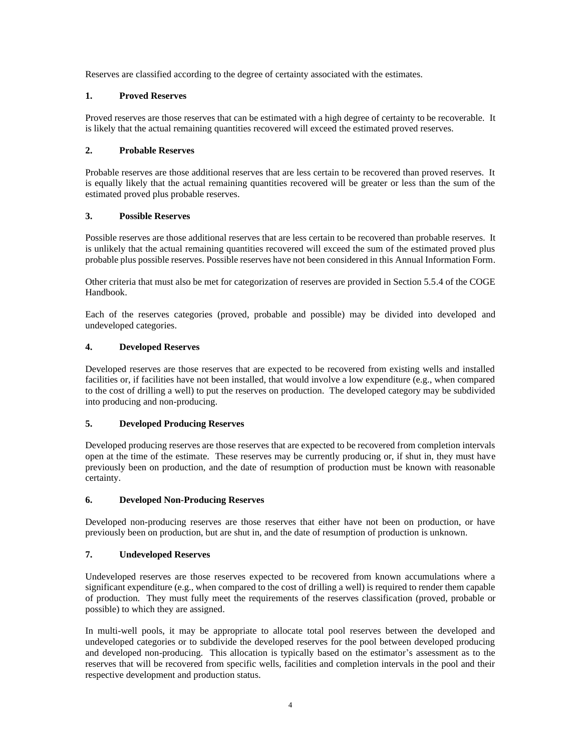Reserves are classified according to the degree of certainty associated with the estimates.

# **1. Proved Reserves**

Proved reserves are those reserves that can be estimated with a high degree of certainty to be recoverable. It is likely that the actual remaining quantities recovered will exceed the estimated proved reserves.

# **2. Probable Reserves**

Probable reserves are those additional reserves that are less certain to be recovered than proved reserves. It is equally likely that the actual remaining quantities recovered will be greater or less than the sum of the estimated proved plus probable reserves.

# **3. Possible Reserves**

Possible reserves are those additional reserves that are less certain to be recovered than probable reserves. It is unlikely that the actual remaining quantities recovered will exceed the sum of the estimated proved plus probable plus possible reserves. Possible reserves have not been considered in this Annual Information Form.

Other criteria that must also be met for categorization of reserves are provided in Section 5.5.4 of the COGE Handbook.

Each of the reserves categories (proved, probable and possible) may be divided into developed and undeveloped categories.

# **4. Developed Reserves**

Developed reserves are those reserves that are expected to be recovered from existing wells and installed facilities or, if facilities have not been installed, that would involve a low expenditure (e.g., when compared to the cost of drilling a well) to put the reserves on production. The developed category may be subdivided into producing and non-producing.

# **5. Developed Producing Reserves**

Developed producing reserves are those reserves that are expected to be recovered from completion intervals open at the time of the estimate. These reserves may be currently producing or, if shut in, they must have previously been on production, and the date of resumption of production must be known with reasonable certainty.

# **6. Developed Non-Producing Reserves**

Developed non-producing reserves are those reserves that either have not been on production, or have previously been on production, but are shut in, and the date of resumption of production is unknown.

# **7. Undeveloped Reserves**

Undeveloped reserves are those reserves expected to be recovered from known accumulations where a significant expenditure (e.g., when compared to the cost of drilling a well) is required to render them capable of production. They must fully meet the requirements of the reserves classification (proved, probable or possible) to which they are assigned.

In multi-well pools, it may be appropriate to allocate total pool reserves between the developed and undeveloped categories or to subdivide the developed reserves for the pool between developed producing and developed non-producing. This allocation is typically based on the estimator's assessment as to the reserves that will be recovered from specific wells, facilities and completion intervals in the pool and their respective development and production status.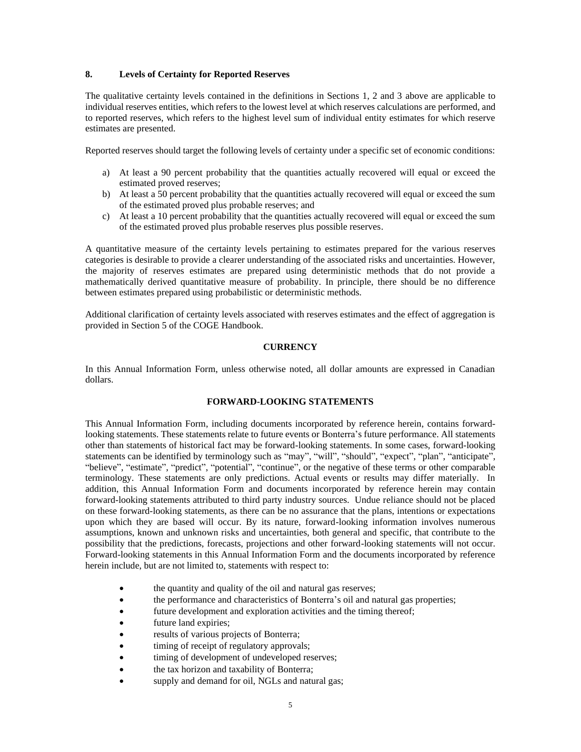# **8. Levels of Certainty for Reported Reserves**

The qualitative certainty levels contained in the definitions in Sections 1, 2 and 3 above are applicable to individual reserves entities, which refers to the lowest level at which reserves calculations are performed, and to reported reserves, which refers to the highest level sum of individual entity estimates for which reserve estimates are presented.

Reported reserves should target the following levels of certainty under a specific set of economic conditions:

- a) At least a 90 percent probability that the quantities actually recovered will equal or exceed the estimated proved reserves;
- b) At least a 50 percent probability that the quantities actually recovered will equal or exceed the sum of the estimated proved plus probable reserves; and
- c) At least a 10 percent probability that the quantities actually recovered will equal or exceed the sum of the estimated proved plus probable reserves plus possible reserves.

A quantitative measure of the certainty levels pertaining to estimates prepared for the various reserves categories is desirable to provide a clearer understanding of the associated risks and uncertainties. However, the majority of reserves estimates are prepared using deterministic methods that do not provide a mathematically derived quantitative measure of probability. In principle, there should be no difference between estimates prepared using probabilistic or deterministic methods.

Additional clarification of certainty levels associated with reserves estimates and the effect of aggregation is provided in Section 5 of the COGE Handbook.

# **CURRENCY**

<span id="page-6-0"></span>In this Annual Information Form, unless otherwise noted, all dollar amounts are expressed in Canadian dollars.

# **FORWARD-LOOKING STATEMENTS**

<span id="page-6-1"></span>This Annual Information Form, including documents incorporated by reference herein, contains forwardlooking statements. These statements relate to future events or Bonterra's future performance. All statements other than statements of historical fact may be forward-looking statements. In some cases, forward-looking statements can be identified by terminology such as "may", "will", "should", "expect", "plan", "anticipate", "believe", "estimate", "predict", "potential", "continue", or the negative of these terms or other comparable terminology. These statements are only predictions. Actual events or results may differ materially. In addition, this Annual Information Form and documents incorporated by reference herein may contain forward-looking statements attributed to third party industry sources. Undue reliance should not be placed on these forward-looking statements, as there can be no assurance that the plans, intentions or expectations upon which they are based will occur. By its nature, forward-looking information involves numerous assumptions, known and unknown risks and uncertainties, both general and specific, that contribute to the possibility that the predictions, forecasts, projections and other forward-looking statements will not occur. Forward-looking statements in this Annual Information Form and the documents incorporated by reference herein include, but are not limited to, statements with respect to:

- the quantity and quality of the oil and natural gas reserves;
- the performance and characteristics of Bonterra's oil and natural gas properties;
- future development and exploration activities and the timing thereof;
- future land expiries;
- results of various projects of Bonterra;
- timing of receipt of regulatory approvals;
- timing of development of undeveloped reserves;
- the tax horizon and taxability of Bonterra;
- supply and demand for oil, NGLs and natural gas;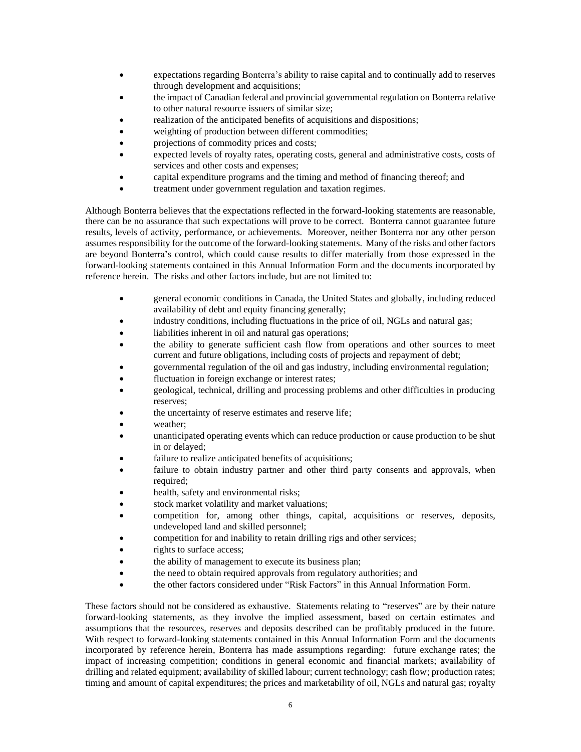- expectations regarding Bonterra's ability to raise capital and to continually add to reserves through development and acquisitions;
- the impact of Canadian federal and provincial governmental regulation on Bonterra relative to other natural resource issuers of similar size;
- realization of the anticipated benefits of acquisitions and dispositions;
- weighting of production between different commodities;
- projections of commodity prices and costs;
- expected levels of royalty rates, operating costs, general and administrative costs, costs of services and other costs and expenses;
- capital expenditure programs and the timing and method of financing thereof; and
- treatment under government regulation and taxation regimes.

Although Bonterra believes that the expectations reflected in the forward-looking statements are reasonable, there can be no assurance that such expectations will prove to be correct. Bonterra cannot guarantee future results, levels of activity, performance, or achievements. Moreover, neither Bonterra nor any other person assumes responsibility for the outcome of the forward-looking statements. Many of the risks and other factors are beyond Bonterra's control, which could cause results to differ materially from those expressed in the forward-looking statements contained in this Annual Information Form and the documents incorporated by reference herein. The risks and other factors include, but are not limited to:

- general economic conditions in Canada, the United States and globally, including reduced availability of debt and equity financing generally;
- industry conditions, including fluctuations in the price of oil, NGLs and natural gas;
- liabilities inherent in oil and natural gas operations;
- the ability to generate sufficient cash flow from operations and other sources to meet current and future obligations, including costs of projects and repayment of debt;
- governmental regulation of the oil and gas industry, including environmental regulation;
- fluctuation in foreign exchange or interest rates;
- geological, technical, drilling and processing problems and other difficulties in producing reserves;
- the uncertainty of reserve estimates and reserve life;
- weather:
- unanticipated operating events which can reduce production or cause production to be shut in or delayed;
- failure to realize anticipated benefits of acquisitions;
- failure to obtain industry partner and other third party consents and approvals, when required;
- health, safety and environmental risks;
- stock market volatility and market valuations;
- competition for, among other things, capital, acquisitions or reserves, deposits, undeveloped land and skilled personnel;
- competition for and inability to retain drilling rigs and other services;
- rights to surface access;
- the ability of management to execute its business plan;
- the need to obtain required approvals from regulatory authorities; and
- the other factors considered under "Risk Factors" in this Annual Information Form.

These factors should not be considered as exhaustive. Statements relating to "reserves" are by their nature forward-looking statements, as they involve the implied assessment, based on certain estimates and assumptions that the resources, reserves and deposits described can be profitably produced in the future. With respect to forward-looking statements contained in this Annual Information Form and the documents incorporated by reference herein, Bonterra has made assumptions regarding: future exchange rates; the impact of increasing competition; conditions in general economic and financial markets; availability of drilling and related equipment; availability of skilled labour; current technology; cash flow; production rates; timing and amount of capital expenditures; the prices and marketability of oil, NGLs and natural gas; royalty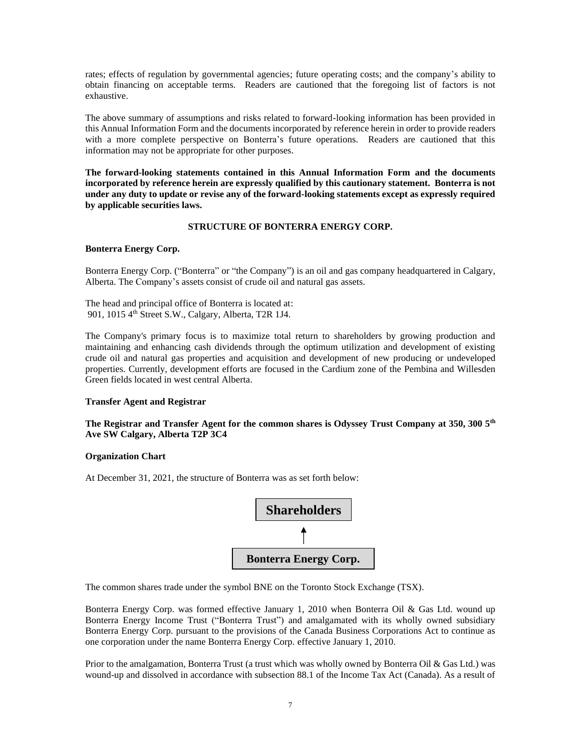rates; effects of regulation by governmental agencies; future operating costs; and the company's ability to obtain financing on acceptable terms. Readers are cautioned that the foregoing list of factors is not exhaustive.

The above summary of assumptions and risks related to forward-looking information has been provided in this Annual Information Form and the documents incorporated by reference herein in order to provide readers with a more complete perspective on Bonterra's future operations. Readers are cautioned that this information may not be appropriate for other purposes.

**The forward-looking statements contained in this Annual Information Form and the documents incorporated by reference herein are expressly qualified by this cautionary statement. Bonterra is not under any duty to update or revise any of the forward-looking statements except as expressly required by applicable securities laws.**

# **STRUCTURE OF BONTERRA ENERGY CORP.**

# <span id="page-8-0"></span>**Bonterra Energy Corp.**

Bonterra Energy Corp. ("Bonterra" or "the Company") is an oil and gas company headquartered in Calgary, Alberta. The Company's assets consist of crude oil and natural gas assets.

The head and principal office of Bonterra is located at: 901, 1015 4<sup>th</sup> Street S.W., Calgary, Alberta, T2R 1J4.

The Company's primary focus is to maximize total return to shareholders by growing production and maintaining and enhancing cash dividends through the optimum utilization and development of existing crude oil and natural gas properties and acquisition and development of new producing or undeveloped properties. Currently, development efforts are focused in the Cardium zone of the Pembina and Willesden Green fields located in west central Alberta.

# **Transfer Agent and Registrar**

**The Registrar and Transfer Agent for the common shares is Odyssey Trust Company at 350, 300 5th Ave SW Calgary, Alberta T2P 3C4**

# **Organization Chart**

At December 31, 2021, the structure of Bonterra was as set forth below:



The common shares trade under the symbol BNE on the Toronto Stock Exchange (TSX).

Bonterra Energy Corp. was formed effective January 1, 2010 when Bonterra Oil & Gas Ltd. wound up Bonterra Energy Income Trust ("Bonterra Trust") and amalgamated with its wholly owned subsidiary Bonterra Energy Corp. pursuant to the provisions of the Canada Business Corporations Act to continue as one corporation under the name Bonterra Energy Corp. effective January 1, 2010.

Prior to the amalgamation, Bonterra Trust (a trust which was wholly owned by Bonterra Oil & Gas Ltd.) was wound-up and dissolved in accordance with subsection 88.1 of the Income Tax Act (Canada). As a result of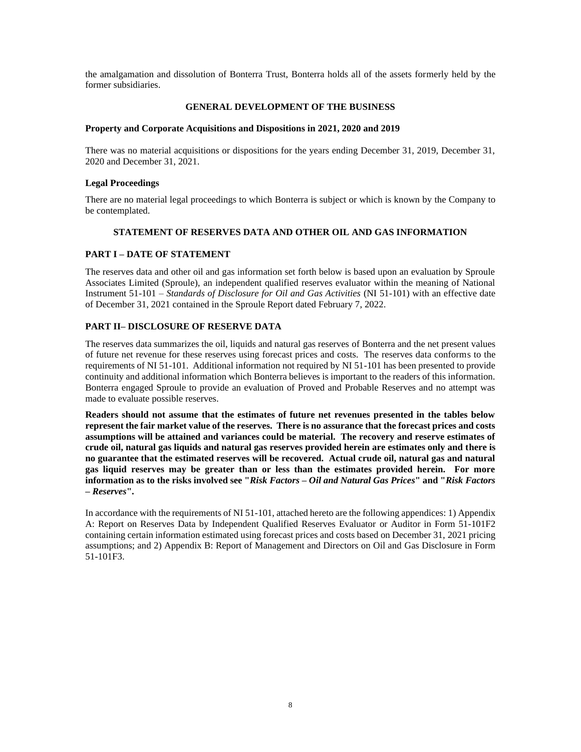the amalgamation and dissolution of Bonterra Trust, Bonterra holds all of the assets formerly held by the former subsidiaries.

# **GENERAL DEVELOPMENT OF THE BUSINESS**

#### <span id="page-9-0"></span>**Property and Corporate Acquisitions and Dispositions in 2021, 2020 and 2019**

There was no material acquisitions or dispositions for the years ending December 31, 2019, December 31, 2020 and December 31, 2021.

# **Legal Proceedings**

There are no material legal proceedings to which Bonterra is subject or which is known by the Company to be contemplated.

# **STATEMENT OF RESERVES DATA AND OTHER OIL AND GAS INFORMATION**

# <span id="page-9-2"></span><span id="page-9-1"></span>**PART I – DATE OF STATEMENT**

The reserves data and other oil and gas information set forth below is based upon an evaluation by Sproule Associates Limited (Sproule), an independent qualified reserves evaluator within the meaning of National Instrument 51-101 – *Standards of Disclosure for Oil and Gas Activities* (NI 51-101) with an effective date of December 31, 2021 contained in the Sproule Report dated February 7, 2022.

# <span id="page-9-3"></span>**PART II– DISCLOSURE OF RESERVE DATA**

The reserves data summarizes the oil, liquids and natural gas reserves of Bonterra and the net present values of future net revenue for these reserves using forecast prices and costs. The reserves data conforms to the requirements of NI 51-101. Additional information not required by NI 51-101 has been presented to provide continuity and additional information which Bonterra believes is important to the readers of this information. Bonterra engaged Sproule to provide an evaluation of Proved and Probable Reserves and no attempt was made to evaluate possible reserves.

**Readers should not assume that the estimates of future net revenues presented in the tables below represent the fair market value of the reserves. There is no assurance that the forecast prices and costs assumptions will be attained and variances could be material. The recovery and reserve estimates of crude oil, natural gas liquids and natural gas reserves provided herein are estimates only and there is no guarantee that the estimated reserves will be recovered. Actual crude oil, natural gas and natural gas liquid reserves may be greater than or less than the estimates provided herein. For more information as to the risks involved see "***Risk Factors – Oil and Natural Gas Prices***" and "***Risk Factors – Reserves***".**

In accordance with the requirements of NI 51-101, attached hereto are the following appendices: 1) Appendix A: Report on Reserves Data by Independent Qualified Reserves Evaluator or Auditor in Form 51-101F2 containing certain information estimated using forecast prices and costs based on December 31, 2021 pricing assumptions; and 2) Appendix B: Report of Management and Directors on Oil and Gas Disclosure in Form 51-101F3.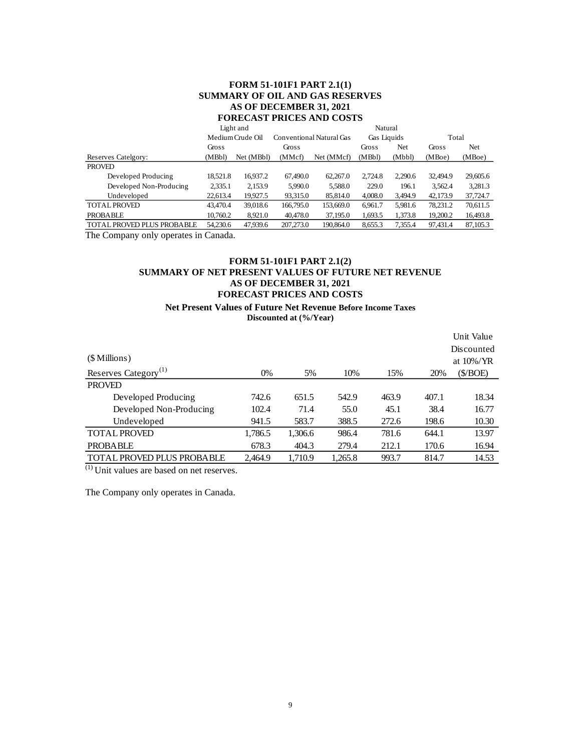# **FORM 51-101F1 PART 2.1(1) SUMMARY OF OIL AND GAS RESERVES AS OF DECEMBER 31, 2021 FORECAST PRICES AND COSTS**

|                            | Light and |                  |           |                                         | Natural |         |          |           |  |
|----------------------------|-----------|------------------|-----------|-----------------------------------------|---------|---------|----------|-----------|--|
|                            |           | Medium Crude Oil |           | Conventional Natural Gas<br>Gas Liquids |         |         |          | Total     |  |
|                            | Gross     |                  | Gross     |                                         | Gross   | Net     | Gross    | Net       |  |
| Reserves Catelgory:        | (MBbl)    | Net (MBbl)       | (MMcf)    | Net (MMcf)                              | (MBbl)  | (Mbbl)  | (MBoe)   | (MBoe)    |  |
| <b>PROVED</b>              |           |                  |           |                                         |         |         |          |           |  |
| Developed Producing        | 18,521.8  | 16,937.2         | 67,490.0  | 62,267.0                                | 2.724.8 | 2,290.6 | 32,494.9 | 29,605.6  |  |
| Developed Non-Producing    | 2,335.1   | 2,153.9          | 5,990.0   | 5,588.0                                 | 229.0   | 196.1   | 3.562.4  | 3,281.3   |  |
| Undeveloped                | 22.613.4  | 19.927.5         | 93.315.0  | 85,814.0                                | 4,008.0 | 3,494.9 | 42,173.9 | 37.724.7  |  |
| <b>TOTAL PROVED</b>        | 43,470.4  | 39.018.6         | 166,795.0 | 153,669.0                               | 6.961.7 | 5,981.6 | 78.231.2 | 70,611.5  |  |
| <b>PROBABLE</b>            | 10,760.2  | 8,921.0          | 40,478.0  | 37,195.0                                | 1,693.5 | 1,373.8 | 19,200.2 | 16,493.8  |  |
| TOTAL PROVED PLUS PROBABLE | 54,230.6  | 47,939.6         | 207,273.0 | 190,864.0                               | 8.655.3 | 7.355.4 | 97.431.4 | 87, 105.3 |  |

The Company only operates in Canada.

# **FORM 51-101F1 PART 2.1(2) SUMMARY OF NET PRESENT VALUES OF FUTURE NET REVENUE AS OF DECEMBER 31, 2021 FORECAST PRICES AND COSTS**

# **Net Present Values of Future Net Revenue Before Income Taxes Discounted at (%/Year)**

|         |         |         |       |       | Unit Value   |
|---------|---------|---------|-------|-------|--------------|
|         |         |         |       |       | Discounted   |
|         |         |         |       |       | at $10\%/YR$ |
| $0\%$   | 5%      | 10%     | 15%   | 20%   | (\$/BOE)     |
|         |         |         |       |       |              |
| 742.6   | 651.5   | 542.9   | 463.9 | 407.1 | 18.34        |
| 102.4   | 71.4    | 55.0    | 45.1  | 38.4  | 16.77        |
| 941.5   | 583.7   | 388.5   | 272.6 | 198.6 | 10.30        |
| 1,786.5 | 1,306.6 | 986.4   | 781.6 | 644.1 | 13.97        |
| 678.3   | 404.3   | 279.4   | 212.1 | 170.6 | 16.94        |
| 2.464.9 | 1,710.9 | 1,265.8 | 993.7 | 814.7 | 14.53        |
|         |         |         |       |       |              |

(1) Unit values are based on net reserves.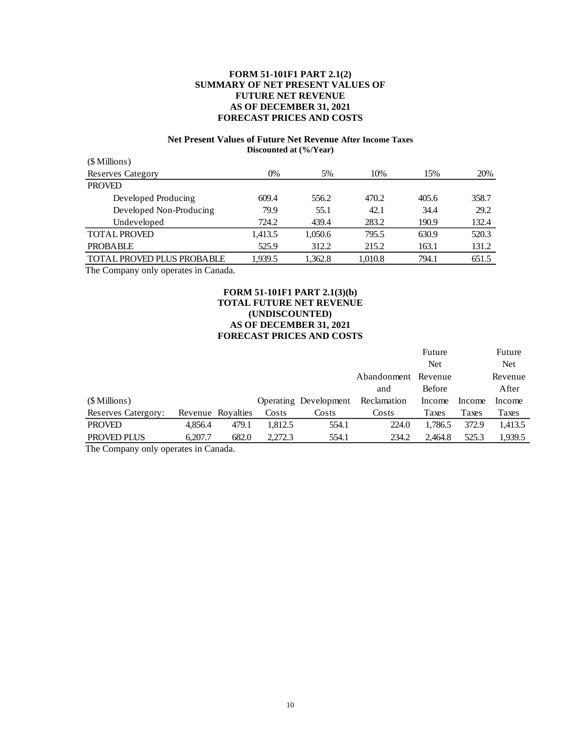# **FORM 51-101F1 PART 2.1(2) SUMMARY OF NET PRESENT VALUES OF FUTURE NET REVENUE AS OF DECEMBER 31, 2021 FORECAST PRICES AND COSTS**

# **Net Present Values of Future Net Revenue After Income Taxes Discounted at (%/Year)**

| 0%      | 5%      | 10%     | 15%   | 20%   |
|---------|---------|---------|-------|-------|
|         |         |         |       |       |
| 609.4   | 556.2   | 470.2   | 405.6 | 358.7 |
| 79.9    | 55.1    | 42.1    | 34.4  | 29.2  |
| 724.2   | 439.4   | 283.2   | 190.9 | 132.4 |
| 1,413.5 | 1,050.6 | 795.5   | 630.9 | 520.3 |
| 525.9   | 312.2   | 215.2   | 163.1 | 131.2 |
| 1.939.5 | 1,362.8 | 1,010.8 | 794.1 | 651.5 |
|         |         |         |       |       |

The Company only operates in Canada.

# **FORM 51-101F1 PART 2.1(3)(b) TOTAL FUTURE NET REVENUE (UNDISCOUNTED) AS OF DECEMBER 31, 2021 FORECAST PRICES AND COSTS**

|                            |         |                   |         |                       |             | Future        |        | Future     |
|----------------------------|---------|-------------------|---------|-----------------------|-------------|---------------|--------|------------|
|                            |         |                   |         |                       |             | <b>Net</b>    |        | <b>Net</b> |
|                            |         |                   |         |                       | Abandonment | Revenue       |        | Revenue    |
|                            |         |                   |         |                       | and         | <b>Before</b> |        | After      |
| (\$ Millions)              |         |                   |         | Operating Development | Reclamation | Income        | Income | Income     |
| <b>Reserves Catergory:</b> |         | Revenue Royalties | Costs   | Costs                 | Costs       | Taxes         | Taxes  | Taxes      |
| <b>PROVED</b>              | 4.856.4 | 479.1             | 1.812.5 | 554.1                 | 224.0       | 1.786.5       | 372.9  | 1.413.5    |
| PROVED PLUS                | 6.207.7 | 682.0             | 2.272.3 | 554.1                 | 234.2       | 2.464.8       | 525.3  | 1,939.5    |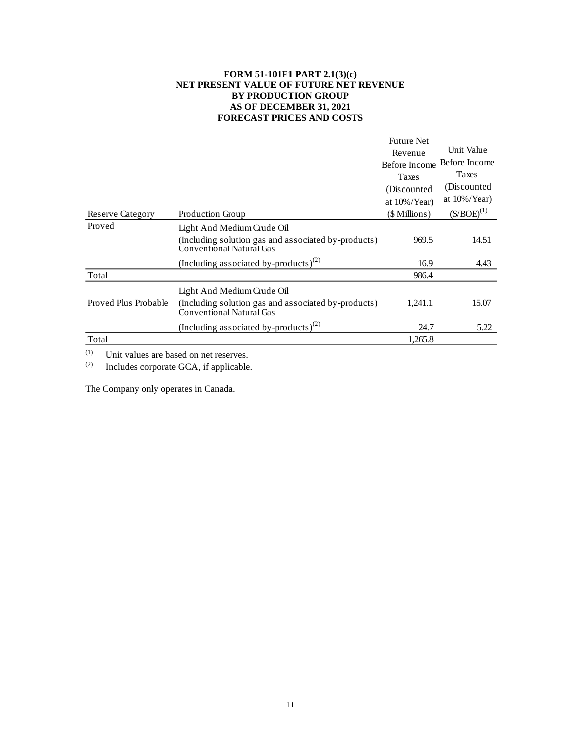# **FORM 51-101F1 PART 2.1(3)(c) NET PRESENT VALUE OF FUTURE NET REVENUE BY PRODUCTION GROUP AS OF DECEMBER 31, 2021 FORECAST PRICES AND COSTS**

|                         |                                                                                 | <b>Future Net</b><br>Revenue<br>Before Income | Unit Value<br>Before Income |
|-------------------------|---------------------------------------------------------------------------------|-----------------------------------------------|-----------------------------|
|                         |                                                                                 | Taxes                                         | Taxes                       |
|                         |                                                                                 | (Discounted)                                  | (Discounted)                |
|                         |                                                                                 | at $10\%/Year$                                | at $10\%/Year)$             |
| <b>Reserve Category</b> | <b>Production Group</b>                                                         | (\$ Millions)                                 | $(S/BOE)^{(1)}$             |
| Proved                  | Light And Medium Crude Oil                                                      |                                               |                             |
|                         | (Including solution gas and associated by-products)<br>Conventional Natural Gas | 969.5                                         | 14.51                       |
|                         | (Including associated by-products) <sup>(2)</sup>                               | 16.9                                          | 4.43                        |
| Total                   |                                                                                 | 986.4                                         |                             |
|                         | Light And Medium Crude Oil                                                      |                                               |                             |
| Proved Plus Probable    | (Including solution gas and associated by-products)<br>Conventional Natural Gas | 1.241.1                                       | 15.07                       |
|                         | (Including associated by-products) <sup>(2)</sup>                               | 24.7                                          | 5.22                        |
| Total                   |                                                                                 | 1,265.8                                       |                             |

(1) Unit values are based on net reserves.<br>(2) Includes corporate GCA, if applicable

Includes corporate GCA, if applicable.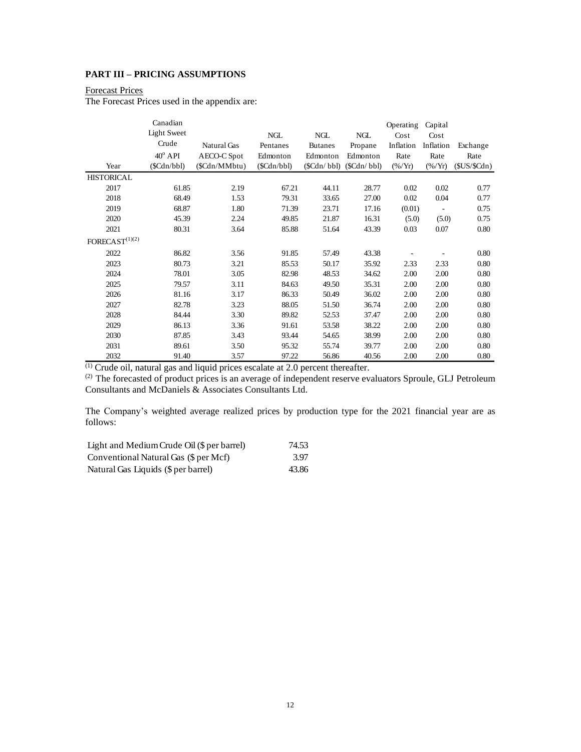# <span id="page-13-0"></span>**PART III – PRICING ASSUMPTIONS**

# Forecast Prices

The Forecast Prices used in the appendix are:

|                            | Canadian           |               |            |                |            | Operating         | Capital     |            |
|----------------------------|--------------------|---------------|------------|----------------|------------|-------------------|-------------|------------|
|                            | <b>Light Sweet</b> |               | NGL        | <b>NGL</b>     | <b>NGL</b> | Cost              | Cost        |            |
|                            | Crude              | Natural Gas   | Pentanes   | <b>Butanes</b> | Propane    | Inflation         | Inflation   | Exchange   |
|                            | $40^{\rm o}$ API   | AECO-C Spot   | Edmonton   | Edmonton       | Edmonton   | Rate              | Rate        | Rate       |
| Year                       | (SCdn/bbl)         | (\$Cdn/MMbtu) | (SCdn/bbl) | (SCdn/bbl)     | (SCdn/bbl) | $(\frac{96}{Yr})$ | $(\% / Yr)$ | (SUS/SCdn) |
| <b>HISTORICAL</b>          |                    |               |            |                |            |                   |             |            |
| 2017                       | 61.85              | 2.19          | 67.21      | 44.11          | 28.77      | 0.02              | 0.02        | 0.77       |
| 2018                       | 68.49              | 1.53          | 79.31      | 33.65          | 27.00      | 0.02              | 0.04        | 0.77       |
| 2019                       | 68.87              | 1.80          | 71.39      | 23.71          | 17.16      | (0.01)            |             | 0.75       |
| 2020                       | 45.39              | 2.24          | 49.85      | 21.87          | 16.31      | (5.0)             | (5.0)       | 0.75       |
| 2021                       | 80.31              | 3.64          | 85.88      | 51.64          | 43.39      | 0.03              | 0.07        | 0.80       |
| $\text{FORECAST}^{(1)(2)}$ |                    |               |            |                |            |                   |             |            |
| 2022                       | 86.82              | 3.56          | 91.85      | 57.49          | 43.38      |                   |             | 0.80       |
| 2023                       | 80.73              | 3.21          | 85.53      | 50.17          | 35.92      | 2.33              | 2.33        | 0.80       |
| 2024                       | 78.01              | 3.05          | 82.98      | 48.53          | 34.62      | 2.00              | 2.00        | 0.80       |
| 2025                       | 79.57              | 3.11          | 84.63      | 49.50          | 35.31      | 2.00              | 2.00        | 0.80       |
| 2026                       | 81.16              | 3.17          | 86.33      | 50.49          | 36.02      | 2.00              | 2.00        | 0.80       |
| 2027                       | 82.78              | 3.23          | 88.05      | 51.50          | 36.74      | 2.00              | 2.00        | 0.80       |
| 2028                       | 84.44              | 3.30          | 89.82      | 52.53          | 37.47      | 2.00              | 2.00        | 0.80       |
| 2029                       | 86.13              | 3.36          | 91.61      | 53.58          | 38.22      | 2.00              | 2.00        | 0.80       |
| 2030                       | 87.85              | 3.43          | 93.44      | 54.65          | 38.99      | 2.00              | 2.00        | 0.80       |
| 2031                       | 89.61              | 3.50          | 95.32      | 55.74          | 39.77      | 2.00              | 2.00        | 0.80       |
| 2032                       | 91.40              | 3.57          | 97.22      | 56.86          | 40.56      | 2.00              | 2.00        | 0.80       |

 $<sup>(1)</sup>$  Crude oil, natural gas and liquid prices escalate at 2.0 percent thereafter.</sup>

 $^{(2)}$  The forecasted of product prices is an average of independent reserve evaluators Sproule, GLJ Petroleum Consultants and McDaniels & Associates Consultants Ltd.

The Company's weighted average realized prices by production type for the 2021 financial year are as follows:

| Light and Medium Crude Oil (\$ per barrel) | 74.53 |
|--------------------------------------------|-------|
| Conventional Natural Gas (\$ per Mcf)      | 3.97  |
| Natural Gas Liquids (\$ per barrel)        | 43.86 |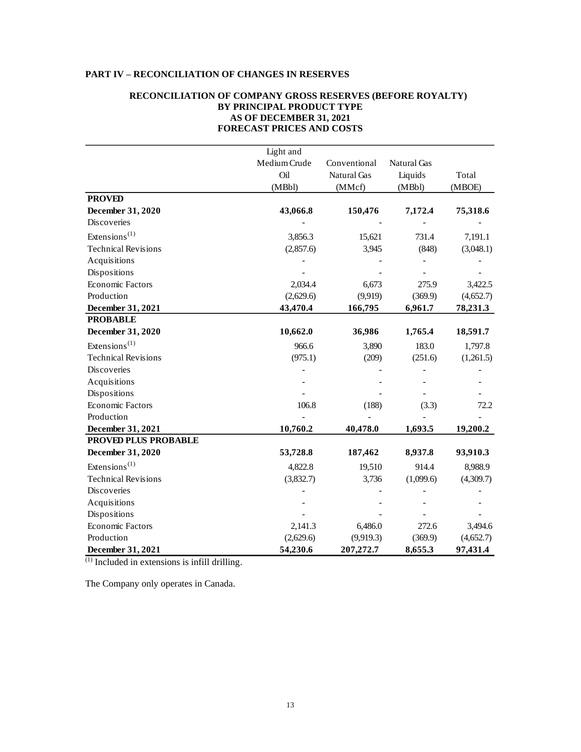# <span id="page-14-0"></span>**PART IV – RECONCILIATION OF CHANGES IN RESERVES**

# **RECONCILIATION OF COMPANY GROSS RESERVES (BEFORE ROYALTY) BY PRINCIPAL PRODUCT TYPE AS OF DECEMBER 31, 2021 FORECAST PRICES AND COSTS**

|                                        | Light and    |              |             |           |
|----------------------------------------|--------------|--------------|-------------|-----------|
|                                        | Medium Crude | Conventional | Natural Gas |           |
|                                        | Oil          | Natural Gas  | Liquids     | Total     |
|                                        | (MBbl)       | (MMcf)       | (MBbl)      | (MBOE)    |
| <b>PROVED</b>                          |              |              |             |           |
| December 31, 2020                      | 43,066.8     | 150,476      | 7,172.4     | 75,318.6  |
| Discoveries                            |              |              |             |           |
| Extensions <sup><math>(1)</math></sup> | 3,856.3      | 15,621       | 731.4       | 7,191.1   |
| <b>Technical Revisions</b>             | (2,857.6)    | 3,945        | (848)       | (3,048.1) |
| Acquisitions                           |              |              |             |           |
| Dispositions                           |              |              |             |           |
| <b>Economic Factors</b>                | 2,034.4      | 6,673        | 275.9       | 3,422.5   |
| Production                             | (2,629.6)    | (9,919)      | (369.9)     | (4,652.7) |
| December 31, 2021                      | 43,470.4     | 166,795      | 6,961.7     | 78,231.3  |
| <b>PROBABLE</b>                        |              |              |             |           |
| December 31, 2020                      | 10,662.0     | 36,986       | 1,765.4     | 18,591.7  |
| Extensions <sup><math>(1)</math></sup> | 966.6        | 3,890        | 183.0       | 1,797.8   |
| <b>Technical Revisions</b>             | (975.1)      | (209)        | (251.6)     | (1,261.5) |
| Discoveries                            |              |              |             |           |
| Acquisitions                           |              |              |             |           |
| Dispositions                           |              |              |             |           |
| Economic Factors                       | 106.8        | (188)        | (3.3)       | 72.2      |
| Production                             |              |              |             |           |
| December 31, 2021                      | 10,760.2     | 40,478.0     | 1,693.5     | 19,200.2  |
| <b>PROVED PLUS PROBABLE</b>            |              |              |             |           |
| December 31, 2020                      | 53,728.8     | 187,462      | 8,937.8     | 93,910.3  |
| Extensions <sup>(1)</sup>              | 4,822.8      | 19,510       | 914.4       | 8,988.9   |
| <b>Technical Revisions</b>             | (3,832.7)    | 3,736        | (1,099.6)   | (4,309.7) |
| Discoveries                            |              |              |             |           |
| Acquisitions                           |              |              |             |           |
| Dispositions                           |              |              |             |           |
| Economic Factors                       | 2,141.3      | 6,486.0      | 272.6       | 3,494.6   |
| Production                             | (2,629.6)    | (9,919.3)    | (369.9)     | (4,652.7) |
| December 31, 2021                      | 54,230.6     | 207,272.7    | 8,655.3     | 97,431.4  |

(1) Included in extensions is infill drilling.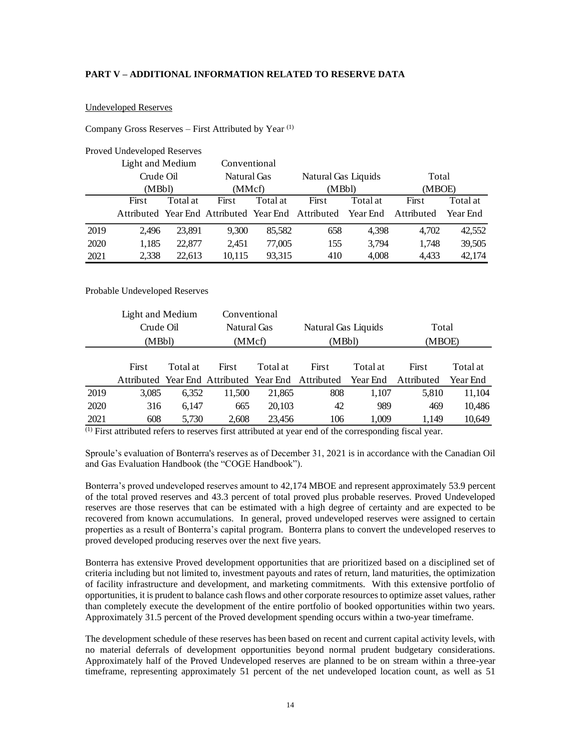# <span id="page-15-0"></span>**PART V – ADDITIONAL INFORMATION RELATED TO RESERVE DATA**

#### Undeveloped Reserves

# Company Gross Reserves – First Attributed by Year  $(1)$

|      | <b>Proved Undeveloped Reserves</b> |          |                    |          |                                                             |          |            |          |
|------|------------------------------------|----------|--------------------|----------|-------------------------------------------------------------|----------|------------|----------|
|      | Light and Medium                   |          | Conventional       |          |                                                             |          |            |          |
|      | Crude Oil                          |          | <b>Natural Gas</b> |          | Natural Gas Liquids                                         |          | Total      |          |
|      | (MBbl)                             |          |                    | (MMcf)   |                                                             | (MBbl)   | (MBOE)     |          |
|      | First                              | Total at | First              | Total at | First                                                       | Total at | First      | Total at |
|      |                                    |          |                    |          | Attributed Year End Attributed Year End Attributed Year End |          | Attributed | Year End |
| 2019 | 2.496                              | 23.891   | 9,300              | 85,582   | 658                                                         | 4,398    | 4,702      | 42,552   |
| 2020 | 1,185                              | 22,877   | 2,451              | 77,005   | 155                                                         | 3,794    | 1,748      | 39,505   |
| 2021 | 2,338                              | 22.613   | 10,115             | 93,315   | 410                                                         | 4,008    | 4.433      | 42,174   |

#### Probable Undeveloped Reserves

|      | Light and Medium |          |              | Conventional |                                                    |          |            |          |
|------|------------------|----------|--------------|--------------|----------------------------------------------------|----------|------------|----------|
|      | Crude Oil        |          | Natural Gas  |              | Natural Gas Liquids                                |          | Total      |          |
|      | (MBbl)           |          | (MMcf)       |              | (MBbl)                                             |          | (MBOE)     |          |
|      |                  |          |              |              |                                                    |          |            |          |
|      | First            | Total at | <b>First</b> | Total at     | First                                              | Total at | First      | Total at |
|      |                  |          |              |              | Attributed Year End Attributed Year End Attributed | Year End | Attributed | Year End |
| 2019 | 3,085            | 6,352    | 11,500       | 21,865       | 808                                                | 1.107    | 5,810      | 11,104   |
| 2020 | 316              | 6.147    | 665          | 20,103       | 42                                                 | 989      | 469        | 10,486   |
| 2021 | 608              | 5,730    | 2,608        | 23,456       | 106                                                | 1,009    | 1,149      | 10,649   |

(1) First attributed refers to reserves first attributed at year end of the corresponding fiscal year.

Sproule's evaluation of Bonterra's reserves as of December 31, 2021 is in accordance with the Canadian Oil and Gas Evaluation Handbook (the "COGE Handbook").

Bonterra's proved undeveloped reserves amount to 42,174 MBOE and represent approximately 53.9 percent of the total proved reserves and 43.3 percent of total proved plus probable reserves. Proved Undeveloped reserves are those reserves that can be estimated with a high degree of certainty and are expected to be recovered from known accumulations. In general, proved undeveloped reserves were assigned to certain properties as a result of Bonterra's capital program. Bonterra plans to convert the undeveloped reserves to proved developed producing reserves over the next five years.

Bonterra has extensive Proved development opportunities that are prioritized based on a disciplined set of criteria including but not limited to, investment payouts and rates of return, land maturities, the optimization of facility infrastructure and development, and marketing commitments. With this extensive portfolio of opportunities, it is prudent to balance cash flows and other corporate resources to optimize asset values, rather than completely execute the development of the entire portfolio of booked opportunities within two years. Approximately 31.5 percent of the Proved development spending occurs within a two-year timeframe.

The development schedule of these reserves has been based on recent and current capital activity levels, with no material deferrals of development opportunities beyond normal prudent budgetary considerations. Approximately half of the Proved Undeveloped reserves are planned to be on stream within a three-year timeframe, representing approximately 51 percent of the net undeveloped location count, as well as 51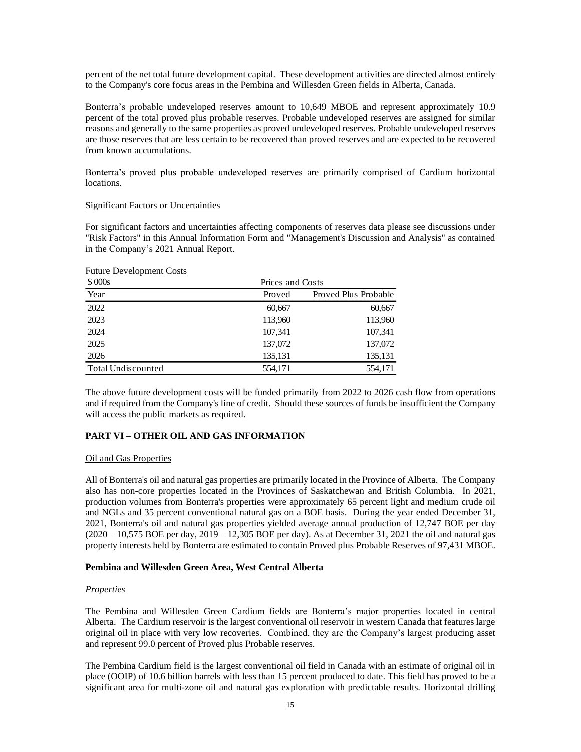percent of the net total future development capital. These development activities are directed almost entirely to the Company's core focus areas in the Pembina and Willesden Green fields in Alberta, Canada.

Bonterra's probable undeveloped reserves amount to 10,649 MBOE and represent approximately 10.9 percent of the total proved plus probable reserves. Probable undeveloped reserves are assigned for similar reasons and generally to the same properties as proved undeveloped reserves. Probable undeveloped reserves are those reserves that are less certain to be recovered than proved reserves and are expected to be recovered from known accumulations.

Bonterra's proved plus probable undeveloped reserves are primarily comprised of Cardium horizontal locations.

# Significant Factors or Uncertainties

For significant factors and uncertainties affecting components of reserves data please see discussions under "Risk Factors" in this Annual Information Form and "Management's Discussion and Analysis" as contained in the Company's 2021 Annual Report.

| \$000s                    |         | Prices and Costs     |  |  |  |  |
|---------------------------|---------|----------------------|--|--|--|--|
| Year                      | Proved  | Proved Plus Probable |  |  |  |  |
| 2022                      | 60,667  | 60,667               |  |  |  |  |
| 2023                      | 113,960 | 113,960              |  |  |  |  |
| 2024                      | 107,341 | 107,341              |  |  |  |  |
| 2025                      | 137,072 | 137,072              |  |  |  |  |
| 2026                      | 135,131 | 135,131              |  |  |  |  |
| <b>Total Undiscounted</b> | 554,171 | 554,171              |  |  |  |  |

#### Future Development Costs

The above future development costs will be funded primarily from 2022 to 2026 cash flow from operations and if required from the Company's line of credit. Should these sources of funds be insufficient the Company will access the public markets as required.

# <span id="page-16-0"></span>**PART VI – OTHER OIL AND GAS INFORMATION**

# Oil and Gas Properties

All of Bonterra's oil and natural gas properties are primarily located in the Province of Alberta. The Company also has non-core properties located in the Provinces of Saskatchewan and British Columbia. In 2021, production volumes from Bonterra's properties were approximately 65 percent light and medium crude oil and NGLs and 35 percent conventional natural gas on a BOE basis. During the year ended December 31, 2021, Bonterra's oil and natural gas properties yielded average annual production of 12,747 BOE per day (2020 – 10,575 BOE per day, 2019 – 12,305 BOE per day). As at December 31, 2021 the oil and natural gas property interests held by Bonterra are estimated to contain Proved plus Probable Reserves of 97,431 MBOE.

# **Pembina and Willesden Green Area, West Central Alberta**

# *Properties*

The Pembina and Willesden Green Cardium fields are Bonterra's major properties located in central Alberta. The Cardium reservoir is the largest conventional oil reservoir in western Canada that features large original oil in place with very low recoveries. Combined, they are the Company's largest producing asset and represent 99.0 percent of Proved plus Probable reserves.

The Pembina Cardium field is the largest conventional oil field in Canada with an estimate of original oil in place (OOIP) of 10.6 billion barrels with less than 15 percent produced to date. This field has proved to be a significant area for multi-zone oil and natural gas exploration with predictable results. Horizontal drilling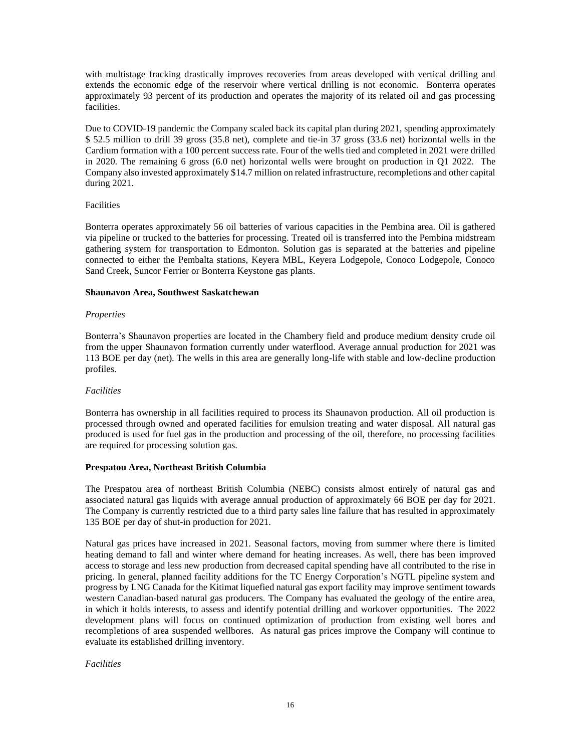with multistage fracking drastically improves recoveries from areas developed with vertical drilling and extends the economic edge of the reservoir where vertical drilling is not economic. Bonterra operates approximately 93 percent of its production and operates the majority of its related oil and gas processing facilities.

Due to COVID-19 pandemic the Company scaled back its capital plan during 2021, spending approximately \$ 52.5 million to drill 39 gross (35.8 net), complete and tie-in 37 gross (33.6 net) horizontal wells in the Cardium formation with a 100 percent success rate. Four of the wells tied and completed in 2021 were drilled in 2020. The remaining 6 gross (6.0 net) horizontal wells were brought on production in Q1 2022. The Company also invested approximately \$14.7 million on related infrastructure, recompletions and other capital during 2021.

# Facilities

Bonterra operates approximately 56 oil batteries of various capacities in the Pembina area. Oil is gathered via pipeline or trucked to the batteries for processing. Treated oil is transferred into the Pembina midstream gathering system for transportation to Edmonton. Solution gas is separated at the batteries and pipeline connected to either the Pembalta stations, Keyera MBL, Keyera Lodgepole, Conoco Lodgepole, Conoco Sand Creek, Suncor Ferrier or Bonterra Keystone gas plants.

# **Shaunavon Area, Southwest Saskatchewan**

# *Properties*

Bonterra's Shaunavon properties are located in the Chambery field and produce medium density crude oil from the upper Shaunavon formation currently under waterflood. Average annual production for 2021 was 113 BOE per day (net). The wells in this area are generally long-life with stable and low-decline production profiles.

# *Facilities*

Bonterra has ownership in all facilities required to process its Shaunavon production. All oil production is processed through owned and operated facilities for emulsion treating and water disposal. All natural gas produced is used for fuel gas in the production and processing of the oil, therefore, no processing facilities are required for processing solution gas.

# **Prespatou Area, Northeast British Columbia**

The Prespatou area of northeast British Columbia (NEBC) consists almost entirely of natural gas and associated natural gas liquids with average annual production of approximately 66 BOE per day for 2021. The Company is currently restricted due to a third party sales line failure that has resulted in approximately 135 BOE per day of shut-in production for 2021.

Natural gas prices have increased in 2021. Seasonal factors, moving from summer where there is limited heating demand to fall and winter where demand for heating increases. As well, there has been improved access to storage and less new production from decreased capital spending have all contributed to the rise in pricing. In general, planned facility additions for the TC Energy Corporation's NGTL pipeline system and progress by LNG Canada for the Kitimat liquefied natural gas export facility may improve sentiment towards western Canadian-based natural gas producers. The Company has evaluated the geology of the entire area, in which it holds interests, to assess and identify potential drilling and workover opportunities. The 2022 development plans will focus on continued optimization of production from existing well bores and recompletions of area suspended wellbores. As natural gas prices improve the Company will continue to evaluate its established drilling inventory.

# *Facilities*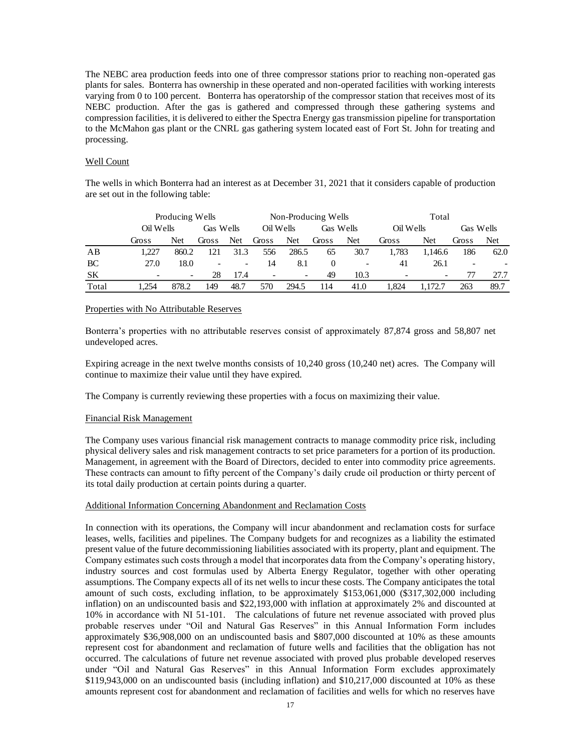The NEBC area production feeds into one of three compressor stations prior to reaching non-operated gas plants for sales. Bonterra has ownership in these operated and non-operated facilities with working interests varying from 0 to 100 percent. Bonterra has operatorship of the compressor station that receives most of its NEBC production. After the gas is gathered and compressed through these gathering systems and compression facilities, it is delivered to either the Spectra Energy gas transmission pipeline for transportation to the McMahon gas plant or the CNRL gas gathering system located east of Fort St. John for treating and processing.

# Well Count

The wells in which Bonterra had an interest as at December 31, 2021 that it considers capable of production are set out in the following table:

|           |           | Producing Wells          |                          |                          |                          |                          | Non-Producing Wells |                          |           | Total                    |                          |      |
|-----------|-----------|--------------------------|--------------------------|--------------------------|--------------------------|--------------------------|---------------------|--------------------------|-----------|--------------------------|--------------------------|------|
|           | Oil Wells |                          | Gas Wells                |                          | Oil Wells                |                          |                     | Gas Wells                | Oil Wells |                          | Gas Wells                |      |
|           | Gross     | Net                      | Gross                    | Net                      | Gross                    | Net                      | Gross               | <b>Net</b>               | Gross     | Net                      | Gross                    | Net  |
| AB        | 1.227     | 860.2                    | 121                      | 31.3                     | 556                      | 286.5                    | 65                  | 30.7                     | 1.783     | 1.146.6                  | 186                      | 62.0 |
| BC        | 27.0      | 18.0                     | $\overline{\phantom{a}}$ | $\overline{\phantom{a}}$ | 14                       | 8.1                      |                     | $\overline{\phantom{a}}$ | 41        | 26.1                     | $\overline{\phantom{a}}$ |      |
| <b>SK</b> |           | $\overline{\phantom{0}}$ | 28                       | 17.4                     | $\overline{\phantom{a}}$ | $\overline{\phantom{0}}$ | 49                  | 10.3                     |           | $\overline{\phantom{a}}$ |                          | 27.7 |
| Total     | .254      | 878.2                    | 149                      | 48.7                     | 570                      | 294.5                    | 114                 | 41.0                     | .824      |                          | 263                      | 89.7 |

# Properties with No Attributable Reserves

Bonterra's properties with no attributable reserves consist of approximately 87,874 gross and 58,807 net undeveloped acres.

Expiring acreage in the next twelve months consists of 10,240 gross (10,240 net) acres. The Company will continue to maximize their value until they have expired.

The Company is currently reviewing these properties with a focus on maximizing their value.

# Financial Risk Management

The Company uses various financial risk management contracts to manage commodity price risk, including physical delivery sales and risk management contracts to set price parameters for a portion of its production. Management, in agreement with the Board of Directors, decided to enter into commodity price agreements. These contracts can amount to fifty percent of the Company's daily crude oil production or thirty percent of its total daily production at certain points during a quarter.

# Additional Information Concerning Abandonment and Reclamation Costs

In connection with its operations, the Company will incur abandonment and reclamation costs for surface leases, wells, facilities and pipelines. The Company budgets for and recognizes as a liability the estimated present value of the future decommissioning liabilities associated with its property, plant and equipment. The Company estimates such costs through a model that incorporates data from the Company's operating history, industry sources and cost formulas used by Alberta Energy Regulator, together with other operating assumptions. The Company expects all of its net wells to incur these costs. The Company anticipates the total amount of such costs, excluding inflation, to be approximately \$153,061,000 (\$317,302,000 including inflation) on an undiscounted basis and \$22,193,000 with inflation at approximately 2% and discounted at 10% in accordance with NI 51-101. The calculations of future net revenue associated with proved plus probable reserves under "Oil and Natural Gas Reserves" in this Annual Information Form includes approximately \$36,908,000 on an undiscounted basis and \$807,000 discounted at 10% as these amounts represent cost for abandonment and reclamation of future wells and facilities that the obligation has not occurred. The calculations of future net revenue associated with proved plus probable developed reserves under "Oil and Natural Gas Reserves" in this Annual Information Form excludes approximately \$119,943,000 on an undiscounted basis (including inflation) and \$10,217,000 discounted at 10% as these amounts represent cost for abandonment and reclamation of facilities and wells for which no reserves have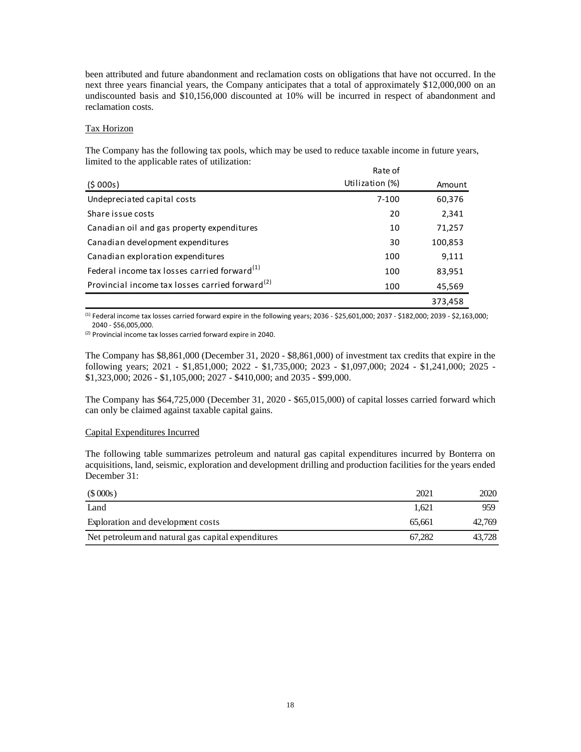been attributed and future abandonment and reclamation costs on obligations that have not occurred. In the next three years financial years, the Company anticipates that a total of approximately \$12,000,000 on an undiscounted basis and \$10,156,000 discounted at 10% will be incurred in respect of abandonment and reclamation costs.

#### Tax Horizon

The Company has the following tax pools, which may be used to reduce taxable income in future years, limited to the applicable rates of utilization:

|                                                             | Rate of         |         |
|-------------------------------------------------------------|-----------------|---------|
| (5000s)                                                     | Utilization (%) | Amount  |
| Undepreciated capital costs                                 | $7 - 100$       | 60,376  |
| Share issue costs                                           | 20              | 2,341   |
| Canadian oil and gas property expenditures                  | 10              | 71,257  |
| Canadian development expenditures                           | 30              | 100,853 |
| Canadian exploration expenditures                           | 100             | 9,111   |
| Federal income tax losses carried forward <sup>(1)</sup>    | 100             | 83,951  |
| Provincial income tax losses carried forward <sup>(2)</sup> | 100             | 45,569  |
|                                                             |                 | 373,458 |

 $^{(1)}$  Federal income tax losses carried forward expire in the following years; 2036 - \$25,601,000; 2037 - \$182,000; 2039 - \$2,163,000; 2040 - \$56,005,000.

(2) Provincial income tax losses carried forward expire in 2040.

The Company has \$8,861,000 (December 31, 2020 - \$8,861,000) of investment tax credits that expire in the following years; 2021 - \$1,851,000; 2022 - \$1,735,000; 2023 - \$1,097,000; 2024 - \$1,241,000; 2025 - \$1,323,000; 2026 - \$1,105,000; 2027 - \$410,000; and 2035 - \$99,000.

The Company has \$64,725,000 (December 31, 2020 - \$65,015,000) of capital losses carried forward which can only be claimed against taxable capital gains.

# Capital Expenditures Incurred

The following table summarizes petroleum and natural gas capital expenditures incurred by Bonterra on acquisitions, land, seismic, exploration and development drilling and production facilities for the years ended December 31:

| (\$000s)                                           | 2021   | 2020   |
|----------------------------------------------------|--------|--------|
| Land                                               | 1.621  | 959    |
| Exploration and development costs                  | 65.661 | 42,769 |
| Net petroleum and natural gas capital expenditures | 67.282 | 43.728 |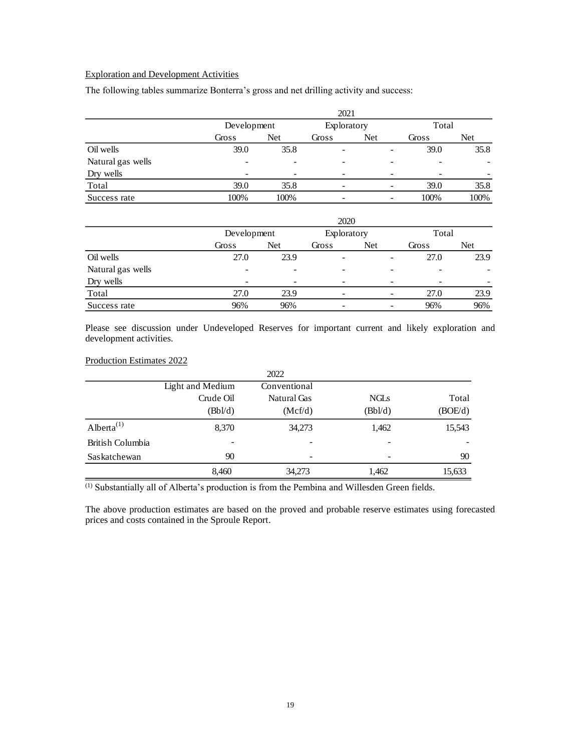# Exploration and Development Activities

The following tables summarize Bonterra's gross and net drilling activity and success:

|                   | 2021  |                          |                              |             |                 |       |                          |
|-------------------|-------|--------------------------|------------------------------|-------------|-----------------|-------|--------------------------|
|                   |       | Development              |                              | Exploratory |                 | Total |                          |
|                   | Gross | Net                      | Gross                        | Net         |                 | Gross | Net                      |
| Oil wells         | 39.0  | 35.8                     | $\qquad \qquad \blacksquare$ |             |                 | 39.0  | 35.8                     |
| Natural gas wells |       | ۰                        | -                            |             |                 | -     | $\overline{\phantom{a}}$ |
| Dry wells         |       | $\overline{\phantom{a}}$ | $\overline{\phantom{a}}$     |             | $\qquad \qquad$ |       |                          |
| Total             | 39.0  | 35.8                     | -                            |             | $\qquad \qquad$ | 39.0  | 35.8                     |
| Success rate      | 100%  | 100%                     | $\overline{\phantom{a}}$     |             | $\qquad \qquad$ | 100%  | 100%                     |

|                   | 2020        |                          |                          |             |   |       |            |  |
|-------------------|-------------|--------------------------|--------------------------|-------------|---|-------|------------|--|
|                   | Development |                          |                          | Exploratory |   |       | Total      |  |
|                   | Gross       | Net                      | Gross                    | Net         |   | Gross | <b>Net</b> |  |
| Oil wells         | 27.0        | 23.9                     | $\overline{\phantom{a}}$ |             | - | 27.0  | 23.9       |  |
| Natural gas wells |             | ٠                        | ۰                        |             |   |       |            |  |
| Dry wells         | -           | $\overline{\phantom{a}}$ | $\qquad \qquad$          |             |   |       |            |  |
| Total             | 27.0        | 23.9                     | -                        |             |   | 27.0  | 23.9       |  |
| Success rate      | 96%         | 96%                      | $\qquad \qquad$          |             |   | 96%   | 96%        |  |

Please see discussion under Undeveloped Reserves for important current and likely exploration and development activities.

# Production Estimates 2022

|                  |                  | 2022               |             |         |
|------------------|------------------|--------------------|-------------|---------|
|                  | Light and Medium | Conventional       |             |         |
|                  | Crude Oil        | <b>Natural Gas</b> | <b>NGLs</b> | Total   |
|                  | (Bb/d)           | (Mcf/d)            | (Bbl/d)     | (BOE/d) |
| Alberta $^{(1)}$ | 8,370            | 34,273             | 1,462       | 15,543  |
| British Columbia | -                |                    |             |         |
| Saskatchewan     | 90               |                    |             | 90      |
|                  | 8,460            | 34,273             | 1,462       | 15,633  |

(1) Substantially all of Alberta's production is from the Pembina and Willesden Green fields.

The above production estimates are based on the proved and probable reserve estimates using forecasted prices and costs contained in the Sproule Report.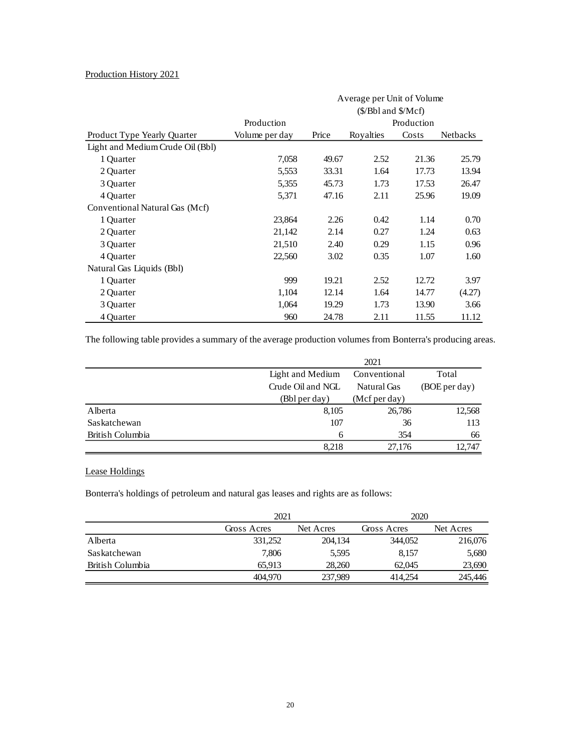# Production History 2021

|                                  |                |       | Average per Unit of Volume<br>$(\frac{S}{B}$ bl and $\frac{S}{Mcf}$ |            |                 |  |  |
|----------------------------------|----------------|-------|---------------------------------------------------------------------|------------|-----------------|--|--|
|                                  | Production     |       |                                                                     | Production |                 |  |  |
| Product Type Yearly Quarter      | Volume per day | Price | Royalties                                                           | Costs      | <b>Netbacks</b> |  |  |
| Light and Medium Crude Oil (Bbl) |                |       |                                                                     |            |                 |  |  |
| 1 Quarter                        | 7,058          | 49.67 | 2.52                                                                | 21.36      | 25.79           |  |  |
| 2 Quarter                        | 5,553          | 33.31 | 1.64                                                                | 17.73      | 13.94           |  |  |
| 3 Quarter                        | 5,355          | 45.73 | 1.73                                                                | 17.53      | 26.47           |  |  |
| 4 Quarter                        | 5,371          | 47.16 | 2.11                                                                | 25.96      | 19.09           |  |  |
| Conventional Natural Gas (Mcf)   |                |       |                                                                     |            |                 |  |  |
| 1 Quarter                        | 23,864         | 2.26  | 0.42                                                                | 1.14       | 0.70            |  |  |
| 2 Quarter                        | 21,142         | 2.14  | 0.27                                                                | 1.24       | 0.63            |  |  |
| 3 Ouarter                        | 21,510         | 2.40  | 0.29                                                                | 1.15       | 0.96            |  |  |
| 4 Ouarter                        | 22,560         | 3.02  | 0.35                                                                | 1.07       | 1.60            |  |  |
| Natural Gas Liquids (Bbl)        |                |       |                                                                     |            |                 |  |  |
| 1 Quarter                        | 999            | 19.21 | 2.52                                                                | 12.72      | 3.97            |  |  |
| 2 Quarter                        | 1,104          | 12.14 | 1.64                                                                | 14.77      | (4.27)          |  |  |
| 3 Quarter                        | 1,064          | 19.29 | 1.73                                                                | 13.90      | 3.66            |  |  |
| 4 Quarter                        | 960            | 24.78 | 2.11                                                                | 11.55      | 11.12           |  |  |

The following table provides a summary of the average production volumes from Bonterra's producing areas.

|                  |                   | 2021          |               |
|------------------|-------------------|---------------|---------------|
|                  | Light and Medium  | Total         |               |
|                  | Crude Oil and NGL | Natural Gas   | (BOE per day) |
|                  | (Bbl per day)     | (Mcf per day) |               |
| Alberta          | 8,105             | 26,786        | 12,568        |
| Saskatchewan     | 107               | 36            | 113           |
| British Columbia | 6                 | 354           | 66            |
|                  | 8.218             | 27.176        | 12.747        |

# Lease Holdings

Bonterra's holdings of petroleum and natural gas leases and rights are as follows:

|                  | 2021        |           | 2020        |           |  |
|------------------|-------------|-----------|-------------|-----------|--|
|                  | Gross Acres | Net Acres | Gross Acres | Net Acres |  |
| Alberta          | 331,252     | 204,134   | 344,052     | 216,076   |  |
| Saskatchewan     | 7,806       | 5,595     | 8,157       | 5,680     |  |
| British Columbia | 65.913      | 28,260    | 62,045      | 23,690    |  |
|                  | 404,970     | 237,989   | 414,254     | 245,446   |  |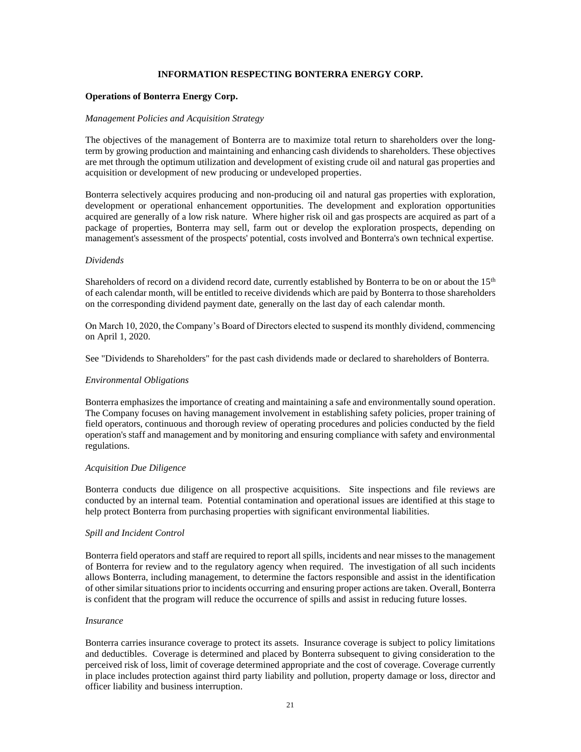# **INFORMATION RESPECTING BONTERRA ENERGY CORP.**

#### <span id="page-22-0"></span>**Operations of Bonterra Energy Corp.**

#### *Management Policies and Acquisition Strategy*

The objectives of the management of Bonterra are to maximize total return to shareholders over the longterm by growing production and maintaining and enhancing cash dividends to shareholders. These objectives are met through the optimum utilization and development of existing crude oil and natural gas properties and acquisition or development of new producing or undeveloped properties.

Bonterra selectively acquires producing and non-producing oil and natural gas properties with exploration, development or operational enhancement opportunities. The development and exploration opportunities acquired are generally of a low risk nature. Where higher risk oil and gas prospects are acquired as part of a package of properties, Bonterra may sell, farm out or develop the exploration prospects, depending on management's assessment of the prospects' potential, costs involved and Bonterra's own technical expertise.

#### *Dividends*

Shareholders of record on a dividend record date, currently established by Bonterra to be on or about the 15<sup>th</sup> of each calendar month, will be entitled to receive dividends which are paid by Bonterra to those shareholders on the corresponding dividend payment date, generally on the last day of each calendar month.

On March 10, 2020, the Company's Board of Directors elected to suspend its monthly dividend, commencing on April 1, 2020.

See "Dividends to Shareholders" for the past cash dividends made or declared to shareholders of Bonterra.

#### *Environmental Obligations*

Bonterra emphasizes the importance of creating and maintaining a safe and environmentally sound operation. The Company focuses on having management involvement in establishing safety policies, proper training of field operators, continuous and thorough review of operating procedures and policies conducted by the field operation's staff and management and by monitoring and ensuring compliance with safety and environmental regulations.

#### *Acquisition Due Diligence*

Bonterra conducts due diligence on all prospective acquisitions. Site inspections and file reviews are conducted by an internal team. Potential contamination and operational issues are identified at this stage to help protect Bonterra from purchasing properties with significant environmental liabilities.

#### *Spill and Incident Control*

Bonterra field operators and staff are required to report all spills, incidents and near misses to the management of Bonterra for review and to the regulatory agency when required. The investigation of all such incidents allows Bonterra, including management, to determine the factors responsible and assist in the identification of other similar situations prior to incidents occurring and ensuring proper actions are taken. Overall, Bonterra is confident that the program will reduce the occurrence of spills and assist in reducing future losses.

#### *Insurance*

Bonterra carries insurance coverage to protect its assets. Insurance coverage is subject to policy limitations and deductibles. Coverage is determined and placed by Bonterra subsequent to giving consideration to the perceived risk of loss, limit of coverage determined appropriate and the cost of coverage. Coverage currently in place includes protection against third party liability and pollution, property damage or loss, director and officer liability and business interruption.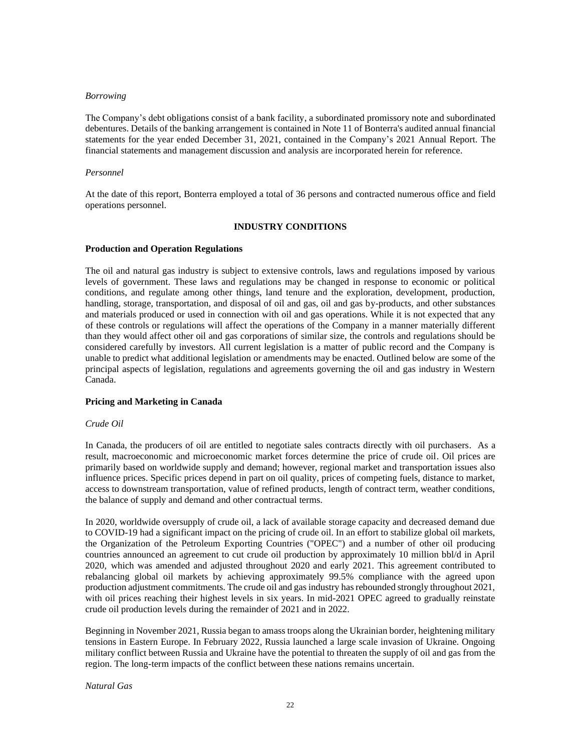#### *Borrowing*

The Company's debt obligations consist of a bank facility, a subordinated promissory note and subordinated debentures. Details of the banking arrangement is contained in Note 11 of Bonterra's audited annual financial statements for the year ended December 31, 2021, contained in the Company's 2021 Annual Report. The financial statements and management discussion and analysis are incorporated herein for reference.

#### *Personnel*

At the date of this report, Bonterra employed a total of 36 persons and contracted numerous office and field operations personnel.

# **INDUSTRY CONDITIONS**

# <span id="page-23-0"></span>**Production and Operation Regulations**

The oil and natural gas industry is subject to extensive controls, laws and regulations imposed by various levels of government. These laws and regulations may be changed in response to economic or political conditions, and regulate among other things, land tenure and the exploration, development, production, handling, storage, transportation, and disposal of oil and gas, oil and gas by-products, and other substances and materials produced or used in connection with oil and gas operations. While it is not expected that any of these controls or regulations will affect the operations of the Company in a manner materially different than they would affect other oil and gas corporations of similar size, the controls and regulations should be considered carefully by investors. All current legislation is a matter of public record and the Company is unable to predict what additional legislation or amendments may be enacted. Outlined below are some of the principal aspects of legislation, regulations and agreements governing the oil and gas industry in Western Canada.

# **Pricing and Marketing in Canada**

# *Crude Oil*

In Canada, the producers of oil are entitled to negotiate sales contracts directly with oil purchasers. As a result, macroeconomic and microeconomic market forces determine the price of crude oil. Oil prices are primarily based on worldwide supply and demand; however, regional market and transportation issues also influence prices. Specific prices depend in part on oil quality, prices of competing fuels, distance to market, access to downstream transportation, value of refined products, length of contract term, weather conditions, the balance of supply and demand and other contractual terms.

In 2020, worldwide oversupply of crude oil, a lack of available storage capacity and decreased demand due to COVID-19 had a significant impact on the pricing of crude oil. In an effort to stabilize global oil markets, the Organization of the Petroleum Exporting Countries ("OPEC") and a number of other oil producing countries announced an agreement to cut crude oil production by approximately 10 million bbl/d in April 2020, which was amended and adjusted throughout 2020 and early 2021. This agreement contributed to rebalancing global oil markets by achieving approximately 99.5% compliance with the agreed upon production adjustment commitments. The crude oil and gas industry has rebounded strongly throughout 2021, with oil prices reaching their highest levels in six years. In mid-2021 OPEC agreed to gradually reinstate crude oil production levels during the remainder of 2021 and in 2022.

Beginning in November 2021, Russia began to amass troops along the Ukrainian border, heightening military tensions in Eastern Europe. In February 2022, Russia launched a large scale invasion of Ukraine. Ongoing military conflict between Russia and Ukraine have the potential to threaten the supply of oil and gas from the region. The long-term impacts of the conflict between these nations remains uncertain.

# *Natural Gas*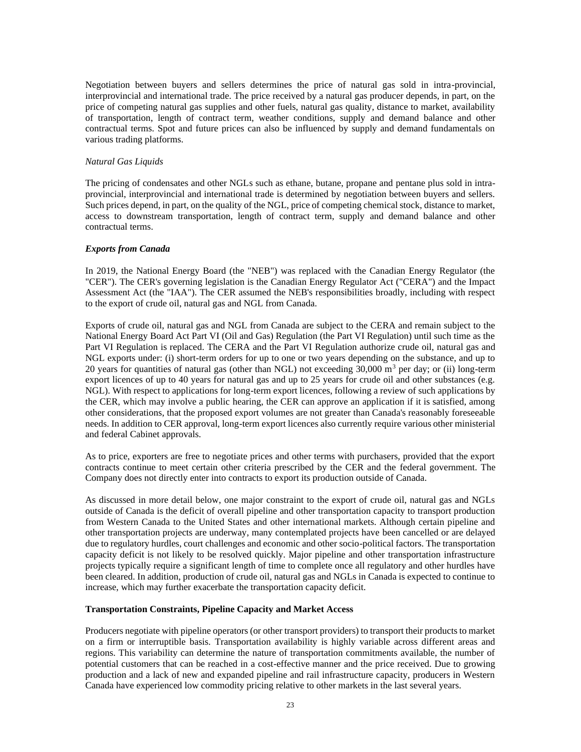Negotiation between buyers and sellers determines the price of natural gas sold in intra-provincial, interprovincial and international trade. The price received by a natural gas producer depends, in part, on the price of competing natural gas supplies and other fuels, natural gas quality, distance to market, availability of transportation, length of contract term, weather conditions, supply and demand balance and other contractual terms. Spot and future prices can also be influenced by supply and demand fundamentals on various trading platforms.

# *Natural Gas Liquids*

The pricing of condensates and other NGLs such as ethane, butane, propane and pentane plus sold in intraprovincial, interprovincial and international trade is determined by negotiation between buyers and sellers. Such prices depend, in part, on the quality of the NGL, price of competing chemical stock, distance to market, access to downstream transportation, length of contract term, supply and demand balance and other contractual terms.

#### *Exports from Canada*

In 2019, the National Energy Board (the "NEB") was replaced with the Canadian Energy Regulator (the "CER"). The CER's governing legislation is the Canadian Energy Regulator Act ("CERA") and the Impact Assessment Act (the "IAA"). The CER assumed the NEB's responsibilities broadly, including with respect to the export of crude oil, natural gas and NGL from Canada.

Exports of crude oil, natural gas and NGL from Canada are subject to the CERA and remain subject to the National Energy Board Act Part VI (Oil and Gas) Regulation (the Part VI Regulation) until such time as the Part VI Regulation is replaced. The CERA and the Part VI Regulation authorize crude oil, natural gas and NGL exports under: (i) short-term orders for up to one or two years depending on the substance, and up to 20 years for quantities of natural gas (other than NGL) not exceeding  $30,000$  m<sup>3</sup> per day; or (ii) long-term export licences of up to 40 years for natural gas and up to 25 years for crude oil and other substances (e.g. NGL). With respect to applications for long-term export licences, following a review of such applications by the CER, which may involve a public hearing, the CER can approve an application if it is satisfied, among other considerations, that the proposed export volumes are not greater than Canada's reasonably foreseeable needs. In addition to CER approval, long-term export licences also currently require various other ministerial and federal Cabinet approvals.

As to price, exporters are free to negotiate prices and other terms with purchasers, provided that the export contracts continue to meet certain other criteria prescribed by the CER and the federal government. The Company does not directly enter into contracts to export its production outside of Canada.

As discussed in more detail below, one major constraint to the export of crude oil, natural gas and NGLs outside of Canada is the deficit of overall pipeline and other transportation capacity to transport production from Western Canada to the United States and other international markets. Although certain pipeline and other transportation projects are underway, many contemplated projects have been cancelled or are delayed due to regulatory hurdles, court challenges and economic and other socio-political factors. The transportation capacity deficit is not likely to be resolved quickly. Major pipeline and other transportation infrastructure projects typically require a significant length of time to complete once all regulatory and other hurdles have been cleared. In addition, production of crude oil, natural gas and NGLs in Canada is expected to continue to increase, which may further exacerbate the transportation capacity deficit.

# **Transportation Constraints, Pipeline Capacity and Market Access**

Producers negotiate with pipeline operators (or other transport providers) to transport their products to market on a firm or interruptible basis. Transportation availability is highly variable across different areas and regions. This variability can determine the nature of transportation commitments available, the number of potential customers that can be reached in a cost-effective manner and the price received. Due to growing production and a lack of new and expanded pipeline and rail infrastructure capacity, producers in Western Canada have experienced low commodity pricing relative to other markets in the last several years.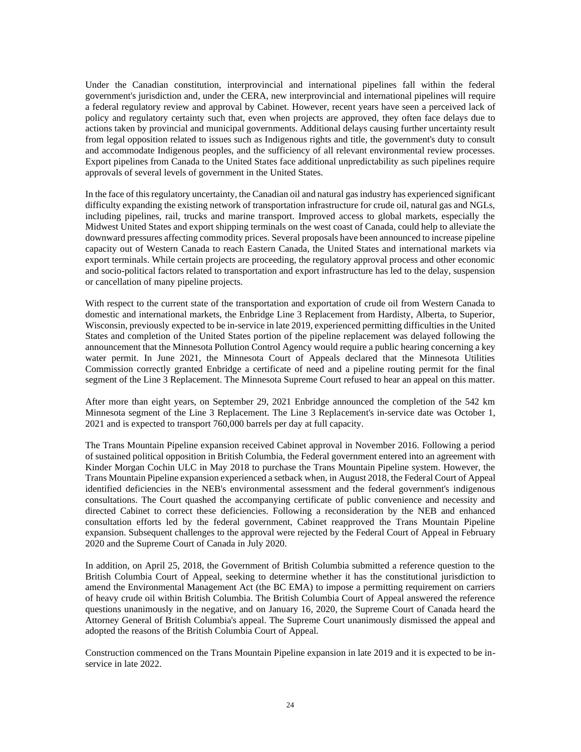Under the Canadian constitution, interprovincial and international pipelines fall within the federal government's jurisdiction and, under the CERA, new interprovincial and international pipelines will require a federal regulatory review and approval by Cabinet. However, recent years have seen a perceived lack of policy and regulatory certainty such that, even when projects are approved, they often face delays due to actions taken by provincial and municipal governments. Additional delays causing further uncertainty result from legal opposition related to issues such as Indigenous rights and title, the government's duty to consult and accommodate Indigenous peoples, and the sufficiency of all relevant environmental review processes. Export pipelines from Canada to the United States face additional unpredictability as such pipelines require approvals of several levels of government in the United States.

In the face of this regulatory uncertainty, the Canadian oil and natural gas industry has experienced significant difficulty expanding the existing network of transportation infrastructure for crude oil, natural gas and NGLs, including pipelines, rail, trucks and marine transport. Improved access to global markets, especially the Midwest United States and export shipping terminals on the west coast of Canada, could help to alleviate the downward pressures affecting commodity prices. Several proposals have been announced to increase pipeline capacity out of Western Canada to reach Eastern Canada, the United States and international markets via export terminals. While certain projects are proceeding, the regulatory approval process and other economic and socio-political factors related to transportation and export infrastructure has led to the delay, suspension or cancellation of many pipeline projects.

With respect to the current state of the transportation and exportation of crude oil from Western Canada to domestic and international markets, the Enbridge Line 3 Replacement from Hardisty, Alberta, to Superior, Wisconsin, previously expected to be in-service in late 2019, experienced permitting difficulties in the United States and completion of the United States portion of the pipeline replacement was delayed following the announcement that the Minnesota Pollution Control Agency would require a public hearing concerning a key water permit. In June 2021, the Minnesota Court of Appeals declared that the Minnesota Utilities Commission correctly granted Enbridge a certificate of need and a pipeline routing permit for the final segment of the Line 3 Replacement. The Minnesota Supreme Court refused to hear an appeal on this matter.

After more than eight years, on September 29, 2021 Enbridge announced the completion of the 542 km Minnesota segment of the Line 3 Replacement. The Line 3 Replacement's in-service date was October 1, 2021 and is expected to transport 760,000 barrels per day at full capacity.

The Trans Mountain Pipeline expansion received Cabinet approval in November 2016. Following a period of sustained political opposition in British Columbia, the Federal government entered into an agreement with Kinder Morgan Cochin ULC in May 2018 to purchase the Trans Mountain Pipeline system. However, the Trans Mountain Pipeline expansion experienced a setback when, in August 2018, the Federal Court of Appeal identified deficiencies in the NEB's environmental assessment and the federal government's indigenous consultations. The Court quashed the accompanying certificate of public convenience and necessity and directed Cabinet to correct these deficiencies. Following a reconsideration by the NEB and enhanced consultation efforts led by the federal government, Cabinet reapproved the Trans Mountain Pipeline expansion. Subsequent challenges to the approval were rejected by the Federal Court of Appeal in February 2020 and the Supreme Court of Canada in July 2020.

In addition, on April 25, 2018, the Government of British Columbia submitted a reference question to the British Columbia Court of Appeal, seeking to determine whether it has the constitutional jurisdiction to amend the Environmental Management Act (the BC EMA) to impose a permitting requirement on carriers of heavy crude oil within British Columbia. The British Columbia Court of Appeal answered the reference questions unanimously in the negative, and on January 16, 2020, the Supreme Court of Canada heard the Attorney General of British Columbia's appeal. The Supreme Court unanimously dismissed the appeal and adopted the reasons of the British Columbia Court of Appeal.

Construction commenced on the Trans Mountain Pipeline expansion in late 2019 and it is expected to be inservice in late 2022.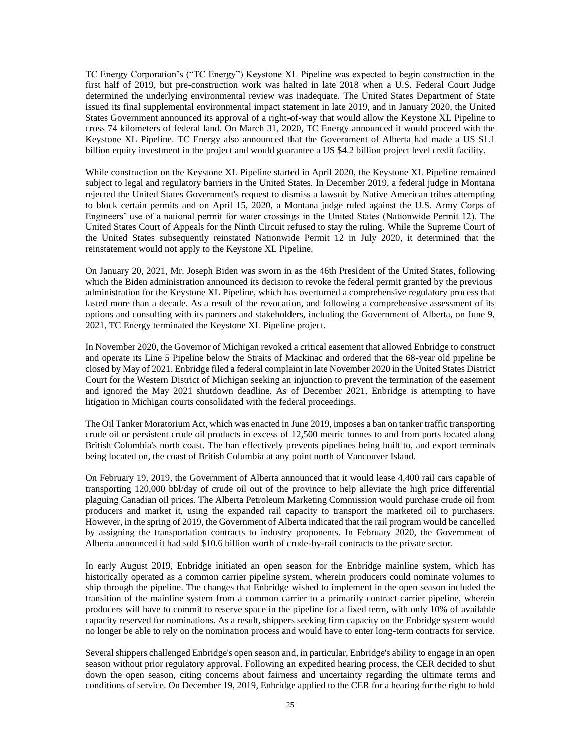TC Energy Corporation's ("TC Energy") Keystone XL Pipeline was expected to begin construction in the first half of 2019, but pre-construction work was halted in late 2018 when a U.S. Federal Court Judge determined the underlying environmental review was inadequate. The United States Department of State issued its final supplemental environmental impact statement in late 2019, and in January 2020, the United States Government announced its approval of a right-of-way that would allow the Keystone XL Pipeline to cross 74 kilometers of federal land. On March 31, 2020, TC Energy announced it would proceed with the Keystone XL Pipeline. TC Energy also announced that the Government of Alberta had made a US \$1.1 billion equity investment in the project and would guarantee a US \$4.2 billion project level credit facility.

While construction on the Keystone XL Pipeline started in April 2020, the Keystone XL Pipeline remained subject to legal and regulatory barriers in the United States. In December 2019, a federal judge in Montana rejected the United States Government's request to dismiss a lawsuit by Native American tribes attempting to block certain permits and on April 15, 2020, a Montana judge ruled against the U.S. Army Corps of Engineers' use of a national permit for water crossings in the United States (Nationwide Permit 12). The United States Court of Appeals for the Ninth Circuit refused to stay the ruling. While the Supreme Court of the United States subsequently reinstated Nationwide Permit 12 in July 2020, it determined that the reinstatement would not apply to the Keystone XL Pipeline.

On January 20, 2021, Mr. Joseph Biden was sworn in as the 46th President of the United States, following which the Biden administration announced its decision to revoke the federal permit granted by the previous administration for the Keystone XL Pipeline, which has overturned a comprehensive regulatory process that lasted more than a decade. As a result of the revocation, and following a comprehensive assessment of its options and consulting with its partners and stakeholders, including the Government of Alberta, on June 9, 2021, TC Energy terminated the Keystone XL Pipeline project.

In November 2020, the Governor of Michigan revoked a critical easement that allowed Enbridge to construct and operate its Line 5 Pipeline below the Straits of Mackinac and ordered that the 68-year old pipeline be closed by May of 2021. Enbridge filed a federal complaint in late November 2020 in the United States District Court for the Western District of Michigan seeking an injunction to prevent the termination of the easement and ignored the May 2021 shutdown deadline. As of December 2021, Enbridge is attempting to have litigation in Michigan courts consolidated with the federal proceedings.

The Oil Tanker Moratorium Act, which was enacted in June 2019, imposes a ban on tanker traffic transporting crude oil or persistent crude oil products in excess of 12,500 metric tonnes to and from ports located along British Columbia's north coast. The ban effectively prevents pipelines being built to, and export terminals being located on, the coast of British Columbia at any point north of Vancouver Island.

On February 19, 2019, the Government of Alberta announced that it would lease 4,400 rail cars capable of transporting 120,000 bbl/day of crude oil out of the province to help alleviate the high price differential plaguing Canadian oil prices. The Alberta Petroleum Marketing Commission would purchase crude oil from producers and market it, using the expanded rail capacity to transport the marketed oil to purchasers. However, in the spring of 2019, the Government of Alberta indicated that the rail program would be cancelled by assigning the transportation contracts to industry proponents. In February 2020, the Government of Alberta announced it had sold \$10.6 billion worth of crude-by-rail contracts to the private sector.

In early August 2019, Enbridge initiated an open season for the Enbridge mainline system, which has historically operated as a common carrier pipeline system, wherein producers could nominate volumes to ship through the pipeline. The changes that Enbridge wished to implement in the open season included the transition of the mainline system from a common carrier to a primarily contract carrier pipeline, wherein producers will have to commit to reserve space in the pipeline for a fixed term, with only 10% of available capacity reserved for nominations. As a result, shippers seeking firm capacity on the Enbridge system would no longer be able to rely on the nomination process and would have to enter long-term contracts for service.

Several shippers challenged Enbridge's open season and, in particular, Enbridge's ability to engage in an open season without prior regulatory approval. Following an expedited hearing process, the CER decided to shut down the open season, citing concerns about fairness and uncertainty regarding the ultimate terms and conditions of service. On December 19, 2019, Enbridge applied to the CER for a hearing for the right to hold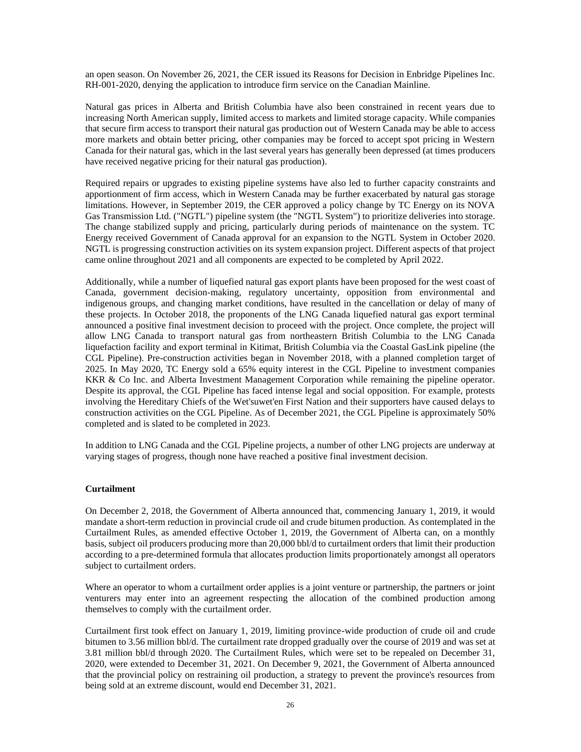an open season. On November 26, 2021, the CER issued its Reasons for Decision in Enbridge Pipelines Inc. RH-001-2020, denying the application to introduce firm service on the Canadian Mainline.

Natural gas prices in Alberta and British Columbia have also been constrained in recent years due to increasing North American supply, limited access to markets and limited storage capacity. While companies that secure firm access to transport their natural gas production out of Western Canada may be able to access more markets and obtain better pricing, other companies may be forced to accept spot pricing in Western Canada for their natural gas, which in the last several years has generally been depressed (at times producers have received negative pricing for their natural gas production).

Required repairs or upgrades to existing pipeline systems have also led to further capacity constraints and apportionment of firm access, which in Western Canada may be further exacerbated by natural gas storage limitations. However, in September 2019, the CER approved a policy change by TC Energy on its NOVA Gas Transmission Ltd. ("NGTL") pipeline system (the "NGTL System") to prioritize deliveries into storage. The change stabilized supply and pricing, particularly during periods of maintenance on the system. TC Energy received Government of Canada approval for an expansion to the NGTL System in October 2020. NGTL is progressing construction activities on its system expansion project. Different aspects of that project came online throughout 2021 and all components are expected to be completed by April 2022.

Additionally, while a number of liquefied natural gas export plants have been proposed for the west coast of Canada, government decision-making, regulatory uncertainty, opposition from environmental and indigenous groups, and changing market conditions, have resulted in the cancellation or delay of many of these projects. In October 2018, the proponents of the LNG Canada liquefied natural gas export terminal announced a positive final investment decision to proceed with the project. Once complete, the project will allow LNG Canada to transport natural gas from northeastern British Columbia to the LNG Canada liquefaction facility and export terminal in Kitimat, British Columbia via the Coastal GasLink pipeline (the CGL Pipeline). Pre-construction activities began in November 2018, with a planned completion target of 2025. In May 2020, TC Energy sold a 65% equity interest in the CGL Pipeline to investment companies KKR & Co Inc. and Alberta Investment Management Corporation while remaining the pipeline operator. Despite its approval, the CGL Pipeline has faced intense legal and social opposition. For example, protests involving the Hereditary Chiefs of the Wet'suwet'en First Nation and their supporters have caused delays to construction activities on the CGL Pipeline. As of December 2021, the CGL Pipeline is approximately 50% completed and is slated to be completed in 2023.

In addition to LNG Canada and the CGL Pipeline projects, a number of other LNG projects are underway at varying stages of progress, though none have reached a positive final investment decision.

#### **Curtailment**

On December 2, 2018, the Government of Alberta announced that, commencing January 1, 2019, it would mandate a short-term reduction in provincial crude oil and crude bitumen production. As contemplated in the Curtailment Rules, as amended effective October 1, 2019, the Government of Alberta can, on a monthly basis, subject oil producers producing more than 20,000 bbl/d to curtailment orders that limit their production according to a pre-determined formula that allocates production limits proportionately amongst all operators subject to curtailment orders.

Where an operator to whom a curtailment order applies is a joint venture or partnership, the partners or joint venturers may enter into an agreement respecting the allocation of the combined production among themselves to comply with the curtailment order.

Curtailment first took effect on January 1, 2019, limiting province-wide production of crude oil and crude bitumen to 3.56 million bbl/d. The curtailment rate dropped gradually over the course of 2019 and was set at 3.81 million bbl/d through 2020. The Curtailment Rules, which were set to be repealed on December 31, 2020, were extended to December 31, 2021. On December 9, 2021, the Government of Alberta announced that the provincial policy on restraining oil production, a strategy to prevent the province's resources from being sold at an extreme discount, would end December 31, 2021.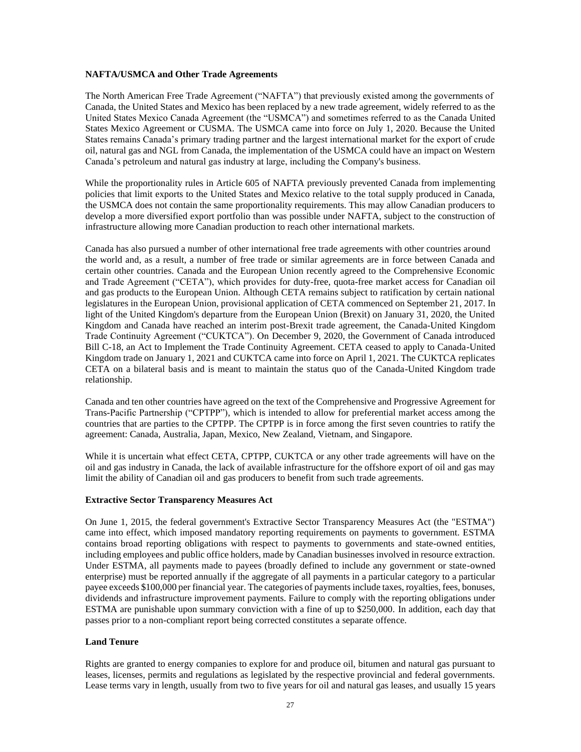#### **NAFTA/USMCA and Other Trade Agreements**

The North American Free Trade Agreement ("NAFTA") that previously existed among the governments of Canada, the United States and Mexico has been replaced by a new trade agreement, widely referred to as the United States Mexico Canada Agreement (the "USMCA") and sometimes referred to as the Canada United States Mexico Agreement or CUSMA. The USMCA came into force on July 1, 2020. Because the United States remains Canada's primary trading partner and the largest international market for the export of crude oil, natural gas and NGL from Canada, the implementation of the USMCA could have an impact on Western Canada's petroleum and natural gas industry at large, including the Company's business.

While the proportionality rules in Article 605 of NAFTA previously prevented Canada from implementing policies that limit exports to the United States and Mexico relative to the total supply produced in Canada, the USMCA does not contain the same proportionality requirements. This may allow Canadian producers to develop a more diversified export portfolio than was possible under NAFTA, subject to the construction of infrastructure allowing more Canadian production to reach other international markets.

Canada has also pursued a number of other international free trade agreements with other countries around the world and, as a result, a number of free trade or similar agreements are in force between Canada and certain other countries. Canada and the European Union recently agreed to the Comprehensive Economic and Trade Agreement ("CETA"), which provides for duty-free, quota-free market access for Canadian oil and gas products to the European Union. Although CETA remains subject to ratification by certain national legislatures in the European Union, provisional application of CETA commenced on September 21, 2017. In light of the United Kingdom's departure from the European Union (Brexit) on January 31, 2020, the United Kingdom and Canada have reached an interim post-Brexit trade agreement, the Canada-United Kingdom Trade Continuity Agreement ("CUKTCA"). On December 9, 2020, the Government of Canada introduced Bill C-18, an Act to Implement the Trade Continuity Agreement. CETA ceased to apply to Canada-United Kingdom trade on January 1, 2021 and CUKTCA came into force on April 1, 2021. The CUKTCA replicates CETA on a bilateral basis and is meant to maintain the status quo of the Canada-United Kingdom trade relationship.

Canada and ten other countries have agreed on the text of the Comprehensive and Progressive Agreement for Trans-Pacific Partnership ("CPTPP"), which is intended to allow for preferential market access among the countries that are parties to the CPTPP. The CPTPP is in force among the first seven countries to ratify the agreement: Canada, Australia, Japan, Mexico, New Zealand, Vietnam, and Singapore.

While it is uncertain what effect CETA, CPTPP, CUKTCA or any other trade agreements will have on the oil and gas industry in Canada, the lack of available infrastructure for the offshore export of oil and gas may limit the ability of Canadian oil and gas producers to benefit from such trade agreements.

# **Extractive Sector Transparency Measures Act**

On June 1, 2015, the federal government's Extractive Sector Transparency Measures Act (the "ESTMA") came into effect, which imposed mandatory reporting requirements on payments to government. ESTMA contains broad reporting obligations with respect to payments to governments and state-owned entities, including employees and public office holders, made by Canadian businesses involved in resource extraction. Under ESTMA, all payments made to payees (broadly defined to include any government or state-owned enterprise) must be reported annually if the aggregate of all payments in a particular category to a particular payee exceeds \$100,000 per financial year. The categories of payments include taxes, royalties, fees, bonuses, dividends and infrastructure improvement payments. Failure to comply with the reporting obligations under ESTMA are punishable upon summary conviction with a fine of up to \$250,000. In addition, each day that passes prior to a non-compliant report being corrected constitutes a separate offence.

# **Land Tenure**

Rights are granted to energy companies to explore for and produce oil, bitumen and natural gas pursuant to leases, licenses, permits and regulations as legislated by the respective provincial and federal governments. Lease terms vary in length, usually from two to five years for oil and natural gas leases, and usually 15 years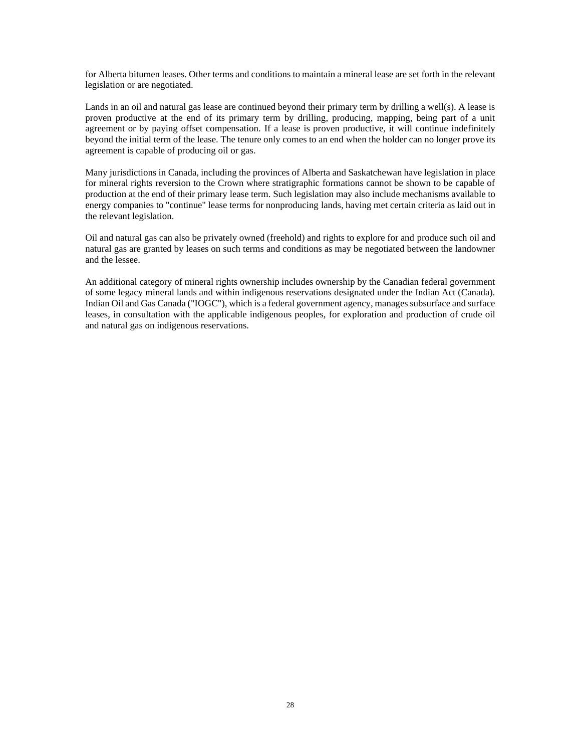for Alberta bitumen leases. Other terms and conditions to maintain a mineral lease are set forth in the relevant legislation or are negotiated.

Lands in an oil and natural gas lease are continued beyond their primary term by drilling a well(s). A lease is proven productive at the end of its primary term by drilling, producing, mapping, being part of a unit agreement or by paying offset compensation. If a lease is proven productive, it will continue indefinitely beyond the initial term of the lease. The tenure only comes to an end when the holder can no longer prove its agreement is capable of producing oil or gas.

Many jurisdictions in Canada, including the provinces of Alberta and Saskatchewan have legislation in place for mineral rights reversion to the Crown where stratigraphic formations cannot be shown to be capable of production at the end of their primary lease term. Such legislation may also include mechanisms available to energy companies to "continue" lease terms for nonproducing lands, having met certain criteria as laid out in the relevant legislation.

Oil and natural gas can also be privately owned (freehold) and rights to explore for and produce such oil and natural gas are granted by leases on such terms and conditions as may be negotiated between the landowner and the lessee.

An additional category of mineral rights ownership includes ownership by the Canadian federal government of some legacy mineral lands and within indigenous reservations designated under the Indian Act (Canada). Indian Oil and Gas Canada ("IOGC"), which is a federal government agency, manages subsurface and surface leases, in consultation with the applicable indigenous peoples, for exploration and production of crude oil and natural gas on indigenous reservations.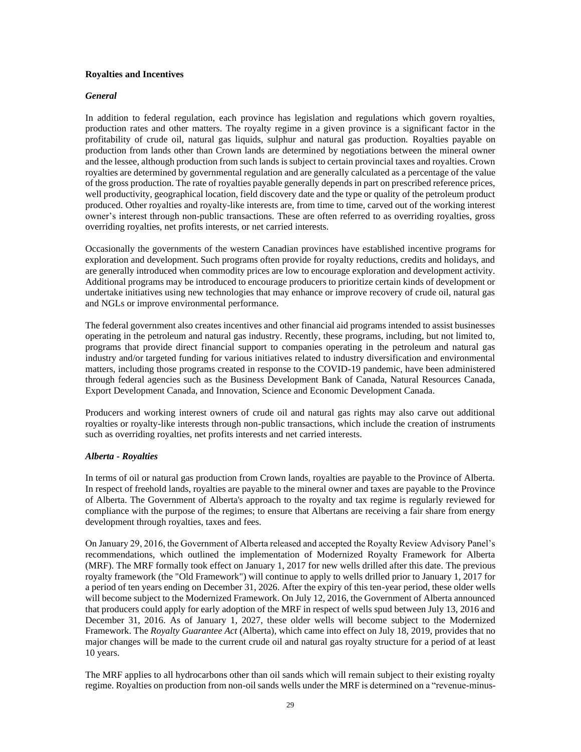#### **Royalties and Incentives**

#### *General*

In addition to federal regulation, each province has legislation and regulations which govern royalties, production rates and other matters. The royalty regime in a given province is a significant factor in the profitability of crude oil, natural gas liquids, sulphur and natural gas production. Royalties payable on production from lands other than Crown lands are determined by negotiations between the mineral owner and the lessee, although production from such lands is subject to certain provincial taxes and royalties. Crown royalties are determined by governmental regulation and are generally calculated as a percentage of the value of the gross production. The rate of royalties payable generally depends in part on prescribed reference prices, well productivity, geographical location, field discovery date and the type or quality of the petroleum product produced. Other royalties and royalty-like interests are, from time to time, carved out of the working interest owner's interest through non-public transactions. These are often referred to as overriding royalties, gross overriding royalties, net profits interests, or net carried interests.

Occasionally the governments of the western Canadian provinces have established incentive programs for exploration and development. Such programs often provide for royalty reductions, credits and holidays, and are generally introduced when commodity prices are low to encourage exploration and development activity. Additional programs may be introduced to encourage producers to prioritize certain kinds of development or undertake initiatives using new technologies that may enhance or improve recovery of crude oil, natural gas and NGLs or improve environmental performance.

The federal government also creates incentives and other financial aid programs intended to assist businesses operating in the petroleum and natural gas industry. Recently, these programs, including, but not limited to, programs that provide direct financial support to companies operating in the petroleum and natural gas industry and/or targeted funding for various initiatives related to industry diversification and environmental matters, including those programs created in response to the COVID-19 pandemic, have been administered through federal agencies such as the Business Development Bank of Canada, Natural Resources Canada, Export Development Canada, and Innovation, Science and Economic Development Canada.

Producers and working interest owners of crude oil and natural gas rights may also carve out additional royalties or royalty-like interests through non-public transactions, which include the creation of instruments such as overriding royalties, net profits interests and net carried interests.

# *Alberta - Royalties*

In terms of oil or natural gas production from Crown lands, royalties are payable to the Province of Alberta. In respect of freehold lands, royalties are payable to the mineral owner and taxes are payable to the Province of Alberta. The Government of Alberta's approach to the royalty and tax regime is regularly reviewed for compliance with the purpose of the regimes; to ensure that Albertans are receiving a fair share from energy development through royalties, taxes and fees.

On January 29, 2016, the Government of Alberta released and accepted the Royalty Review Advisory Panel's recommendations, which outlined the implementation of Modernized Royalty Framework for Alberta (MRF). The MRF formally took effect on January 1, 2017 for new wells drilled after this date. The previous royalty framework (the "Old Framework") will continue to apply to wells drilled prior to January 1, 2017 for a period of ten years ending on December 31, 2026. After the expiry of this ten-year period, these older wells will become subject to the Modernized Framework. On July 12, 2016, the Government of Alberta announced that producers could apply for early adoption of the MRF in respect of wells spud between July 13, 2016 and December 31, 2016. As of January 1, 2027, these older wells will become subject to the Modernized Framework. The *Royalty Guarantee Act* (Alberta), which came into effect on July 18, 2019, provides that no major changes will be made to the current crude oil and natural gas royalty structure for a period of at least 10 years.

The MRF applies to all hydrocarbons other than oil sands which will remain subject to their existing royalty regime. Royalties on production from non-oil sands wells under the MRF is determined on a "revenue-minus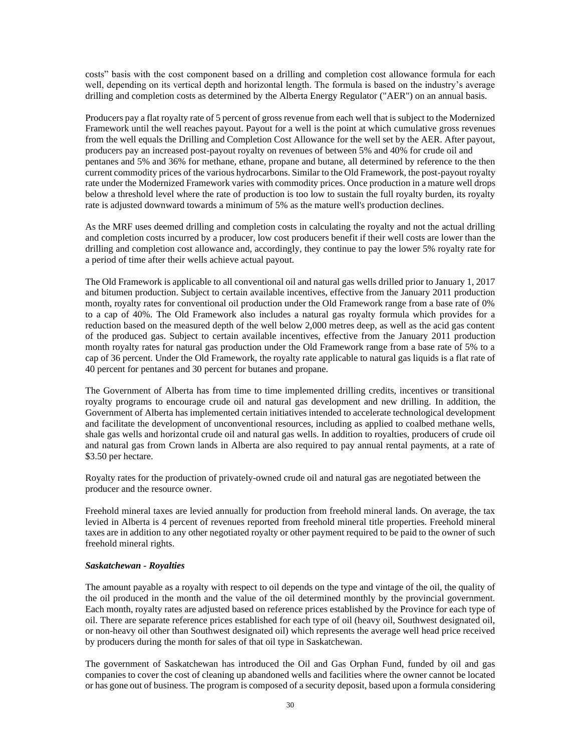costs" basis with the cost component based on a drilling and completion cost allowance formula for each well, depending on its vertical depth and horizontal length. The formula is based on the industry's average drilling and completion costs as determined by the Alberta Energy Regulator ("AER") on an annual basis.

Producers pay a flat royalty rate of 5 percent of gross revenue from each well that is subject to the Modernized Framework until the well reaches payout. Payout for a well is the point at which cumulative gross revenues from the well equals the Drilling and Completion Cost Allowance for the well set by the AER. After payout, producers pay an increased post-payout royalty on revenues of between 5% and 40% for crude oil and pentanes and 5% and 36% for methane, ethane, propane and butane, all determined by reference to the then current commodity prices of the various hydrocarbons. Similar to the Old Framework, the post-payout royalty rate under the Modernized Framework varies with commodity prices. Once production in a mature well drops below a threshold level where the rate of production is too low to sustain the full royalty burden, its royalty rate is adjusted downward towards a minimum of 5% as the mature well's production declines.

As the MRF uses deemed drilling and completion costs in calculating the royalty and not the actual drilling and completion costs incurred by a producer, low cost producers benefit if their well costs are lower than the drilling and completion cost allowance and, accordingly, they continue to pay the lower 5% royalty rate for a period of time after their wells achieve actual payout.

The Old Framework is applicable to all conventional oil and natural gas wells drilled prior to January 1, 2017 and bitumen production. Subject to certain available incentives, effective from the January 2011 production month, royalty rates for conventional oil production under the Old Framework range from a base rate of 0% to a cap of 40%. The Old Framework also includes a natural gas royalty formula which provides for a reduction based on the measured depth of the well below 2,000 metres deep, as well as the acid gas content of the produced gas. Subject to certain available incentives, effective from the January 2011 production month royalty rates for natural gas production under the Old Framework range from a base rate of 5% to a cap of 36 percent. Under the Old Framework, the royalty rate applicable to natural gas liquids is a flat rate of 40 percent for pentanes and 30 percent for butanes and propane.

The Government of Alberta has from time to time implemented drilling credits, incentives or transitional royalty programs to encourage crude oil and natural gas development and new drilling. In addition, the Government of Alberta has implemented certain initiatives intended to accelerate technological development and facilitate the development of unconventional resources, including as applied to coalbed methane wells, shale gas wells and horizontal crude oil and natural gas wells. In addition to royalties, producers of crude oil and natural gas from Crown lands in Alberta are also required to pay annual rental payments, at a rate of \$3.50 per hectare.

Royalty rates for the production of privately-owned crude oil and natural gas are negotiated between the producer and the resource owner.

Freehold mineral taxes are levied annually for production from freehold mineral lands. On average, the tax levied in Alberta is 4 percent of revenues reported from freehold mineral title properties. Freehold mineral taxes are in addition to any other negotiated royalty or other payment required to be paid to the owner of such freehold mineral rights.

# *Saskatchewan - Royalties*

The amount payable as a royalty with respect to oil depends on the type and vintage of the oil, the quality of the oil produced in the month and the value of the oil determined monthly by the provincial government. Each month, royalty rates are adjusted based on reference prices established by the Province for each type of oil. There are separate reference prices established for each type of oil (heavy oil, Southwest designated oil, or non-heavy oil other than Southwest designated oil) which represents the average well head price received by producers during the month for sales of that oil type in Saskatchewan.

The government of Saskatchewan has introduced the Oil and Gas Orphan Fund, funded by oil and gas companies to cover the cost of cleaning up abandoned wells and facilities where the owner cannot be located or has gone out of business. The program is composed of a security deposit, based upon a formula considering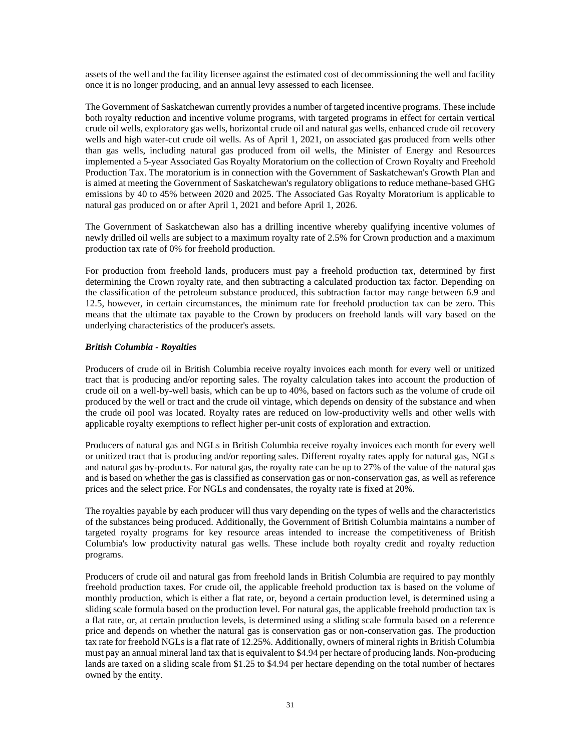assets of the well and the facility licensee against the estimated cost of decommissioning the well and facility once it is no longer producing, and an annual levy assessed to each licensee.

The Government of Saskatchewan currently provides a number of targeted incentive programs. These include both royalty reduction and incentive volume programs, with targeted programs in effect for certain vertical crude oil wells, exploratory gas wells, horizontal crude oil and natural gas wells, enhanced crude oil recovery wells and high water-cut crude oil wells. As of April 1, 2021, on associated gas produced from wells other than gas wells, including natural gas produced from oil wells, the Minister of Energy and Resources implemented a 5-year Associated Gas Royalty Moratorium on the collection of Crown Royalty and Freehold Production Tax. The moratorium is in connection with the Government of Saskatchewan's Growth Plan and is aimed at meeting the Government of Saskatchewan's regulatory obligations to reduce methane-based GHG emissions by 40 to 45% between 2020 and 2025. The Associated Gas Royalty Moratorium is applicable to natural gas produced on or after April 1, 2021 and before April 1, 2026.

The Government of Saskatchewan also has a drilling incentive whereby qualifying incentive volumes of newly drilled oil wells are subject to a maximum royalty rate of 2.5% for Crown production and a maximum production tax rate of 0% for freehold production.

For production from freehold lands, producers must pay a freehold production tax, determined by first determining the Crown royalty rate, and then subtracting a calculated production tax factor. Depending on the classification of the petroleum substance produced, this subtraction factor may range between 6.9 and 12.5, however, in certain circumstances, the minimum rate for freehold production tax can be zero. This means that the ultimate tax payable to the Crown by producers on freehold lands will vary based on the underlying characteristics of the producer's assets.

# *British Columbia - Royalties*

Producers of crude oil in British Columbia receive royalty invoices each month for every well or unitized tract that is producing and/or reporting sales. The royalty calculation takes into account the production of crude oil on a well-by-well basis, which can be up to 40%, based on factors such as the volume of crude oil produced by the well or tract and the crude oil vintage, which depends on density of the substance and when the crude oil pool was located. Royalty rates are reduced on low-productivity wells and other wells with applicable royalty exemptions to reflect higher per-unit costs of exploration and extraction.

Producers of natural gas and NGLs in British Columbia receive royalty invoices each month for every well or unitized tract that is producing and/or reporting sales. Different royalty rates apply for natural gas, NGLs and natural gas by-products. For natural gas, the royalty rate can be up to 27% of the value of the natural gas and is based on whether the gas is classified as conservation gas or non-conservation gas, as well as reference prices and the select price. For NGLs and condensates, the royalty rate is fixed at 20%.

The royalties payable by each producer will thus vary depending on the types of wells and the characteristics of the substances being produced. Additionally, the Government of British Columbia maintains a number of targeted royalty programs for key resource areas intended to increase the competitiveness of British Columbia's low productivity natural gas wells. These include both royalty credit and royalty reduction programs.

Producers of crude oil and natural gas from freehold lands in British Columbia are required to pay monthly freehold production taxes. For crude oil, the applicable freehold production tax is based on the volume of monthly production, which is either a flat rate, or, beyond a certain production level, is determined using a sliding scale formula based on the production level. For natural gas, the applicable freehold production tax is a flat rate, or, at certain production levels, is determined using a sliding scale formula based on a reference price and depends on whether the natural gas is conservation gas or non-conservation gas. The production tax rate for freehold NGLs is a flat rate of 12.25%. Additionally, owners of mineral rights in British Columbia must pay an annual mineral land tax that is equivalent to \$4.94 per hectare of producing lands. Non-producing lands are taxed on a sliding scale from \$1.25 to \$4.94 per hectare depending on the total number of hectares owned by the entity.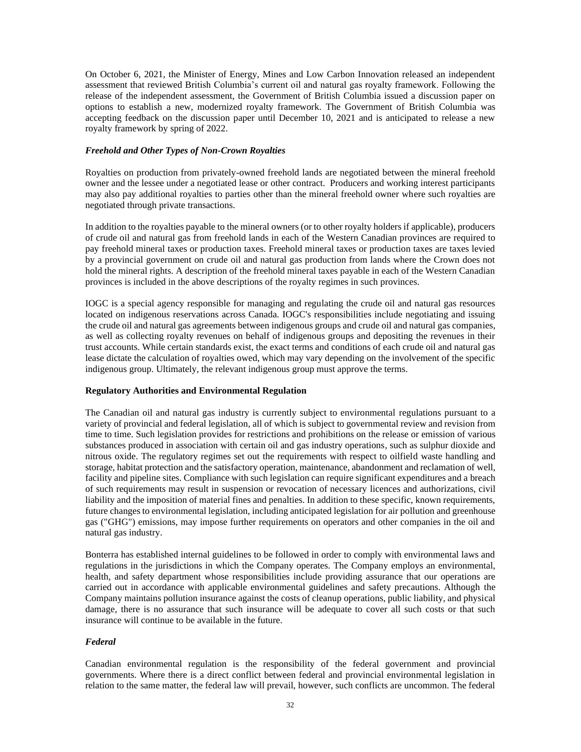On October 6, 2021, the Minister of Energy, Mines and Low Carbon Innovation released an independent assessment that reviewed British Columbia's current oil and natural gas royalty framework. Following the release of the independent assessment, the Government of British Columbia issued a discussion paper on options to establish a new, modernized royalty framework. The Government of British Columbia was accepting feedback on the discussion paper until December 10, 2021 and is anticipated to release a new royalty framework by spring of 2022.

#### *Freehold and Other Types of Non-Crown Royalties*

Royalties on production from privately-owned freehold lands are negotiated between the mineral freehold owner and the lessee under a negotiated lease or other contract. Producers and working interest participants may also pay additional royalties to parties other than the mineral freehold owner where such royalties are negotiated through private transactions.

In addition to the royalties payable to the mineral owners (or to other royalty holders if applicable), producers of crude oil and natural gas from freehold lands in each of the Western Canadian provinces are required to pay freehold mineral taxes or production taxes. Freehold mineral taxes or production taxes are taxes levied by a provincial government on crude oil and natural gas production from lands where the Crown does not hold the mineral rights. A description of the freehold mineral taxes payable in each of the Western Canadian provinces is included in the above descriptions of the royalty regimes in such provinces.

IOGC is a special agency responsible for managing and regulating the crude oil and natural gas resources located on indigenous reservations across Canada. IOGC's responsibilities include negotiating and issuing the crude oil and natural gas agreements between indigenous groups and crude oil and natural gas companies, as well as collecting royalty revenues on behalf of indigenous groups and depositing the revenues in their trust accounts. While certain standards exist, the exact terms and conditions of each crude oil and natural gas lease dictate the calculation of royalties owed, which may vary depending on the involvement of the specific indigenous group. Ultimately, the relevant indigenous group must approve the terms.

# **Regulatory Authorities and Environmental Regulation**

The Canadian oil and natural gas industry is currently subject to environmental regulations pursuant to a variety of provincial and federal legislation, all of which is subject to governmental review and revision from time to time. Such legislation provides for restrictions and prohibitions on the release or emission of various substances produced in association with certain oil and gas industry operations, such as sulphur dioxide and nitrous oxide. The regulatory regimes set out the requirements with respect to oilfield waste handling and storage, habitat protection and the satisfactory operation, maintenance, abandonment and reclamation of well, facility and pipeline sites. Compliance with such legislation can require significant expenditures and a breach of such requirements may result in suspension or revocation of necessary licences and authorizations, civil liability and the imposition of material fines and penalties. In addition to these specific, known requirements, future changes to environmental legislation, including anticipated legislation for air pollution and greenhouse gas ("GHG") emissions, may impose further requirements on operators and other companies in the oil and natural gas industry.

Bonterra has established internal guidelines to be followed in order to comply with environmental laws and regulations in the jurisdictions in which the Company operates. The Company employs an environmental, health, and safety department whose responsibilities include providing assurance that our operations are carried out in accordance with applicable environmental guidelines and safety precautions. Although the Company maintains pollution insurance against the costs of cleanup operations, public liability, and physical damage, there is no assurance that such insurance will be adequate to cover all such costs or that such insurance will continue to be available in the future.

# *Federal*

Canadian environmental regulation is the responsibility of the federal government and provincial governments. Where there is a direct conflict between federal and provincial environmental legislation in relation to the same matter, the federal law will prevail, however, such conflicts are uncommon. The federal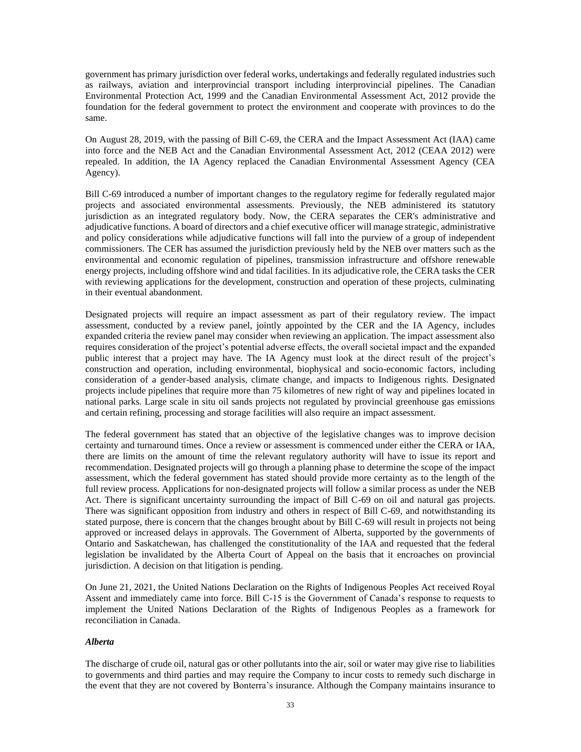government has primary jurisdiction over federal works, undertakings and federally regulated industries such as railways, aviation and interprovincial transport including interprovincial pipelines. The Canadian Environmental Protection Act, 1999 and the Canadian Environmental Assessment Act, 2012 provide the foundation for the federal government to protect the environment and cooperate with provinces to do the same.

On August 28, 2019, with the passing of Bill C-69, the CERA and the Impact Assessment Act (IAA) came into force and the NEB Act and the Canadian Environmental Assessment Act, 2012 (CEAA 2012) were repealed. In addition, the IA Agency replaced the Canadian Environmental Assessment Agency (CEA Agency).

Bill C-69 introduced a number of important changes to the regulatory regime for federally regulated major projects and associated environmental assessments. Previously, the NEB administered its statutory jurisdiction as an integrated regulatory body. Now, the CERA separates the CER's administrative and adjudicative functions. A board of directors and a chief executive officer will manage strategic, administrative and policy considerations while adjudicative functions will fall into the purview of a group of independent commissioners. The CER has assumed the jurisdiction previously held by the NEB over matters such as the environmental and economic regulation of pipelines, transmission infrastructure and offshore renewable energy projects, including offshore wind and tidal facilities. In its adjudicative role, the CERA tasks the CER with reviewing applications for the development, construction and operation of these projects, culminating in their eventual abandonment.

Designated projects will require an impact assessment as part of their regulatory review. The impact assessment, conducted by a review panel, jointly appointed by the CER and the IA Agency, includes expanded criteria the review panel may consider when reviewing an application. The impact assessment also requires consideration of the project's potential adverse effects, the overall societal impact and the expanded public interest that a project may have. The IA Agency must look at the direct result of the project's construction and operation, including environmental, biophysical and socio-economic factors, including consideration of a gender-based analysis, climate change, and impacts to Indigenous rights. Designated projects include pipelines that require more than 75 kilometres of new right of way and pipelines located in national parks. Large scale in situ oil sands projects not regulated by provincial greenhouse gas emissions and certain refining, processing and storage facilities will also require an impact assessment.

The federal government has stated that an objective of the legislative changes was to improve decision certainty and turnaround times. Once a review or assessment is commenced under either the CERA or IAA, there are limits on the amount of time the relevant regulatory authority will have to issue its report and recommendation. Designated projects will go through a planning phase to determine the scope of the impact assessment, which the federal government has stated should provide more certainty as to the length of the full review process. Applications for non-designated projects will follow a similar process as under the NEB Act. There is significant uncertainty surrounding the impact of Bill C-69 on oil and natural gas projects. There was significant opposition from industry and others in respect of Bill C-69, and notwithstanding its stated purpose, there is concern that the changes brought about by Bill C-69 will result in projects not being approved or increased delays in approvals. The Government of Alberta, supported by the governments of Ontario and Saskatchewan, has challenged the constitutionality of the IAA and requested that the federal legislation be invalidated by the Alberta Court of Appeal on the basis that it encroaches on provincial jurisdiction. A decision on that litigation is pending.

On June 21, 2021, the United Nations Declaration on the Rights of Indigenous Peoples Act received Royal Assent and immediately came into force. Bill C-15 is the Government of Canada's response to requests to implement the United Nations Declaration of the Rights of Indigenous Peoples as a framework for reconciliation in Canada.

# *Alberta*

The discharge of crude oil, natural gas or other pollutants into the air, soil or water may give rise to liabilities to governments and third parties and may require the Company to incur costs to remedy such discharge in the event that they are not covered by Bonterra's insurance. Although the Company maintains insurance to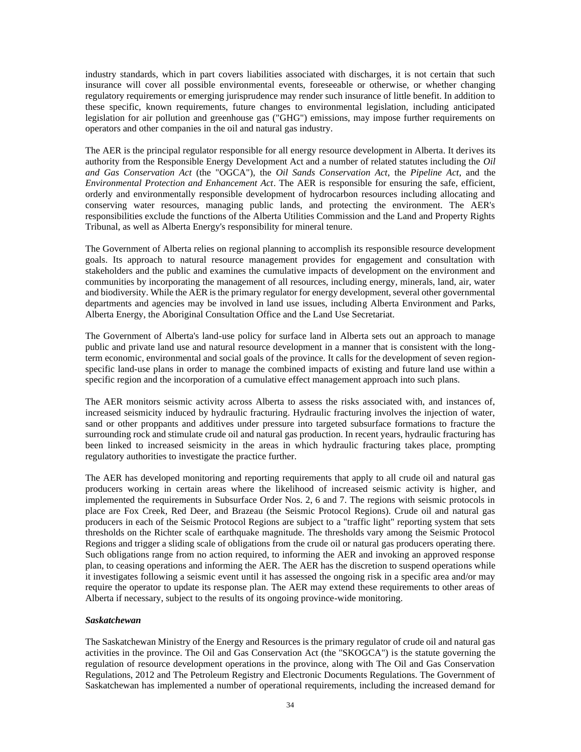industry standards, which in part covers liabilities associated with discharges, it is not certain that such insurance will cover all possible environmental events, foreseeable or otherwise, or whether changing regulatory requirements or emerging jurisprudence may render such insurance of little benefit. In addition to these specific, known requirements, future changes to environmental legislation, including anticipated legislation for air pollution and greenhouse gas ("GHG") emissions, may impose further requirements on operators and other companies in the oil and natural gas industry.

The AER is the principal regulator responsible for all energy resource development in Alberta. It derives its authority from the Responsible Energy Development Act and a number of related statutes including the *Oil and Gas Conservation Act* (the "OGCA"), the *Oil Sands Conservation Act*, the *Pipeline Act*, and the *Environmental Protection and Enhancement Act*. The AER is responsible for ensuring the safe, efficient, orderly and environmentally responsible development of hydrocarbon resources including allocating and conserving water resources, managing public lands, and protecting the environment. The AER's responsibilities exclude the functions of the Alberta Utilities Commission and the Land and Property Rights Tribunal, as well as Alberta Energy's responsibility for mineral tenure.

The Government of Alberta relies on regional planning to accomplish its responsible resource development goals. Its approach to natural resource management provides for engagement and consultation with stakeholders and the public and examines the cumulative impacts of development on the environment and communities by incorporating the management of all resources, including energy, minerals, land, air, water and biodiversity. While the AER is the primary regulator for energy development, several other governmental departments and agencies may be involved in land use issues, including Alberta Environment and Parks, Alberta Energy, the Aboriginal Consultation Office and the Land Use Secretariat.

The Government of Alberta's land-use policy for surface land in Alberta sets out an approach to manage public and private land use and natural resource development in a manner that is consistent with the longterm economic, environmental and social goals of the province. It calls for the development of seven regionspecific land-use plans in order to manage the combined impacts of existing and future land use within a specific region and the incorporation of a cumulative effect management approach into such plans.

The AER monitors seismic activity across Alberta to assess the risks associated with, and instances of, increased seismicity induced by hydraulic fracturing. Hydraulic fracturing involves the injection of water, sand or other proppants and additives under pressure into targeted subsurface formations to fracture the surrounding rock and stimulate crude oil and natural gas production. In recent years, hydraulic fracturing has been linked to increased seismicity in the areas in which hydraulic fracturing takes place, prompting regulatory authorities to investigate the practice further.

The AER has developed monitoring and reporting requirements that apply to all crude oil and natural gas producers working in certain areas where the likelihood of increased seismic activity is higher, and implemented the requirements in Subsurface Order Nos. 2, 6 and 7. The regions with seismic protocols in place are Fox Creek, Red Deer, and Brazeau (the Seismic Protocol Regions). Crude oil and natural gas producers in each of the Seismic Protocol Regions are subject to a "traffic light" reporting system that sets thresholds on the Richter scale of earthquake magnitude. The thresholds vary among the Seismic Protocol Regions and trigger a sliding scale of obligations from the crude oil or natural gas producers operating there. Such obligations range from no action required, to informing the AER and invoking an approved response plan, to ceasing operations and informing the AER. The AER has the discretion to suspend operations while it investigates following a seismic event until it has assessed the ongoing risk in a specific area and/or may require the operator to update its response plan. The AER may extend these requirements to other areas of Alberta if necessary, subject to the results of its ongoing province-wide monitoring.

# *Saskatchewan*

The Saskatchewan Ministry of the Energy and Resources is the primary regulator of crude oil and natural gas activities in the province. The Oil and Gas Conservation Act (the "SKOGCA") is the statute governing the regulation of resource development operations in the province, along with The Oil and Gas Conservation Regulations, 2012 and The Petroleum Registry and Electronic Documents Regulations. The Government of Saskatchewan has implemented a number of operational requirements, including the increased demand for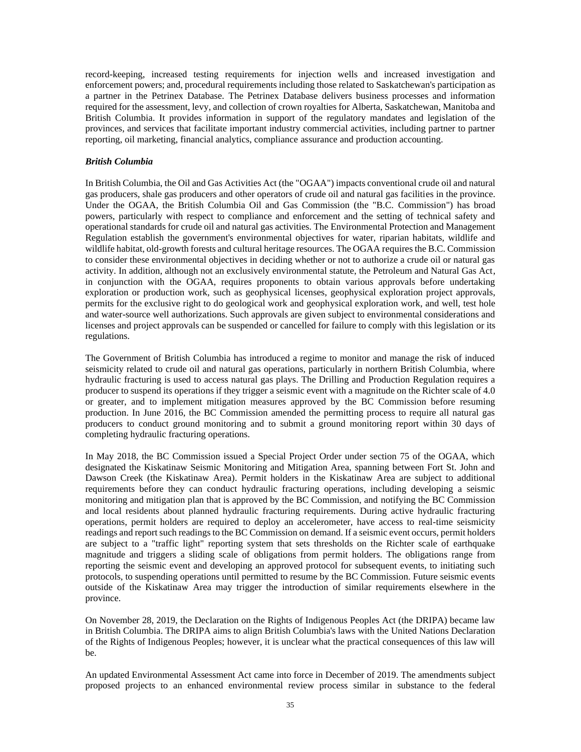record-keeping, increased testing requirements for injection wells and increased investigation and enforcement powers; and, procedural requirements including those related to Saskatchewan's participation as a partner in the Petrinex Database. The Petrinex Database delivers business processes and information required for the assessment, levy, and collection of crown royalties for Alberta, Saskatchewan, Manitoba and British Columbia. It provides information in support of the regulatory mandates and legislation of the provinces, and services that facilitate important industry commercial activities, including partner to partner reporting, oil marketing, financial analytics, compliance assurance and production accounting.

### *British Columbia*

In British Columbia, the Oil and Gas Activities Act (the "OGAA") impacts conventional crude oil and natural gas producers, shale gas producers and other operators of crude oil and natural gas facilities in the province. Under the OGAA, the British Columbia Oil and Gas Commission (the "B.C. Commission") has broad powers, particularly with respect to compliance and enforcement and the setting of technical safety and operational standards for crude oil and natural gas activities. The Environmental Protection and Management Regulation establish the government's environmental objectives for water, riparian habitats, wildlife and wildlife habitat, old-growth forests and cultural heritage resources. The OGAA requires the B.C. Commission to consider these environmental objectives in deciding whether or not to authorize a crude oil or natural gas activity. In addition, although not an exclusively environmental statute, the Petroleum and Natural Gas Act, in conjunction with the OGAA, requires proponents to obtain various approvals before undertaking exploration or production work, such as geophysical licenses, geophysical exploration project approvals, permits for the exclusive right to do geological work and geophysical exploration work, and well, test hole and water-source well authorizations. Such approvals are given subject to environmental considerations and licenses and project approvals can be suspended or cancelled for failure to comply with this legislation or its regulations.

The Government of British Columbia has introduced a regime to monitor and manage the risk of induced seismicity related to crude oil and natural gas operations, particularly in northern British Columbia, where hydraulic fracturing is used to access natural gas plays. The Drilling and Production Regulation requires a producer to suspend its operations if they trigger a seismic event with a magnitude on the Richter scale of 4.0 or greater, and to implement mitigation measures approved by the BC Commission before resuming production. In June 2016, the BC Commission amended the permitting process to require all natural gas producers to conduct ground monitoring and to submit a ground monitoring report within 30 days of completing hydraulic fracturing operations.

In May 2018, the BC Commission issued a Special Project Order under section 75 of the OGAA, which designated the Kiskatinaw Seismic Monitoring and Mitigation Area, spanning between Fort St. John and Dawson Creek (the Kiskatinaw Area). Permit holders in the Kiskatinaw Area are subject to additional requirements before they can conduct hydraulic fracturing operations, including developing a seismic monitoring and mitigation plan that is approved by the BC Commission, and notifying the BC Commission and local residents about planned hydraulic fracturing requirements. During active hydraulic fracturing operations, permit holders are required to deploy an accelerometer, have access to real-time seismicity readings and report such readings to the BC Commission on demand. If a seismic event occurs, permit holders are subject to a "traffic light" reporting system that sets thresholds on the Richter scale of earthquake magnitude and triggers a sliding scale of obligations from permit holders. The obligations range from reporting the seismic event and developing an approved protocol for subsequent events, to initiating such protocols, to suspending operations until permitted to resume by the BC Commission. Future seismic events outside of the Kiskatinaw Area may trigger the introduction of similar requirements elsewhere in the province.

On November 28, 2019, the Declaration on the Rights of Indigenous Peoples Act (the DRIPA) became law in British Columbia. The DRIPA aims to align British Columbia's laws with the United Nations Declaration of the Rights of Indigenous Peoples; however, it is unclear what the practical consequences of this law will be.

An updated Environmental Assessment Act came into force in December of 2019. The amendments subject proposed projects to an enhanced environmental review process similar in substance to the federal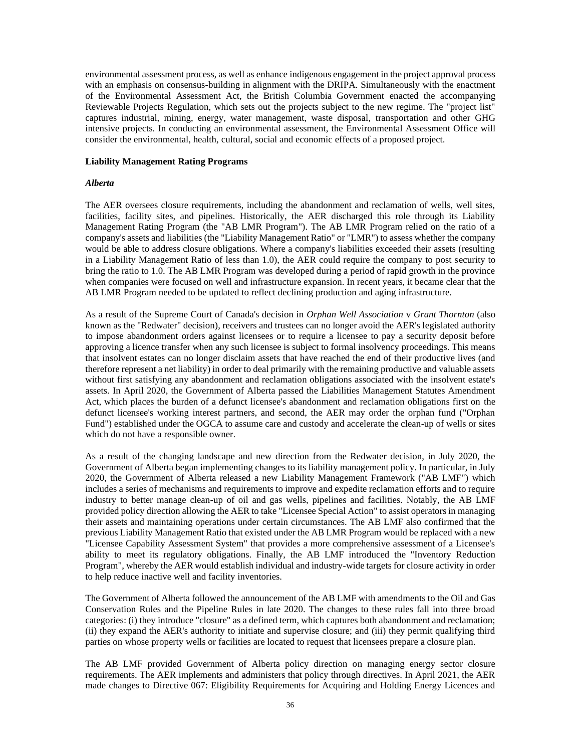environmental assessment process, as well as enhance indigenous engagement in the project approval process with an emphasis on consensus-building in alignment with the DRIPA. Simultaneously with the enactment of the Environmental Assessment Act, the British Columbia Government enacted the accompanying Reviewable Projects Regulation, which sets out the projects subject to the new regime. The "project list" captures industrial, mining, energy, water management, waste disposal, transportation and other GHG intensive projects. In conducting an environmental assessment, the Environmental Assessment Office will consider the environmental, health, cultural, social and economic effects of a proposed project.

## **Liability Management Rating Programs**

### *Alberta*

The AER oversees closure requirements, including the abandonment and reclamation of wells, well sites, facilities, facility sites, and pipelines. Historically, the AER discharged this role through its Liability Management Rating Program (the "AB LMR Program"). The AB LMR Program relied on the ratio of a company's assets and liabilities (the "Liability Management Ratio" or "LMR") to assess whether the company would be able to address closure obligations. Where a company's liabilities exceeded their assets (resulting in a Liability Management Ratio of less than 1.0), the AER could require the company to post security to bring the ratio to 1.0. The AB LMR Program was developed during a period of rapid growth in the province when companies were focused on well and infrastructure expansion. In recent years, it became clear that the AB LMR Program needed to be updated to reflect declining production and aging infrastructure.

As a result of the Supreme Court of Canada's decision in *Orphan Well Association* v *Grant Thornton* (also known as the "Redwater" decision), receivers and trustees can no longer avoid the AER's legislated authority to impose abandonment orders against licensees or to require a licensee to pay a security deposit before approving a licence transfer when any such licensee is subject to formal insolvency proceedings. This means that insolvent estates can no longer disclaim assets that have reached the end of their productive lives (and therefore represent a net liability) in order to deal primarily with the remaining productive and valuable assets without first satisfying any abandonment and reclamation obligations associated with the insolvent estate's assets. In April 2020, the Government of Alberta passed the Liabilities Management Statutes Amendment Act, which places the burden of a defunct licensee's abandonment and reclamation obligations first on the defunct licensee's working interest partners, and second, the AER may order the orphan fund ("Orphan Fund") established under the OGCA to assume care and custody and accelerate the clean-up of wells or sites which do not have a responsible owner.

As a result of the changing landscape and new direction from the Redwater decision, in July 2020, the Government of Alberta began implementing changes to its liability management policy. In particular, in July 2020, the Government of Alberta released a new Liability Management Framework ("AB LMF") which includes a series of mechanisms and requirements to improve and expedite reclamation efforts and to require industry to better manage clean-up of oil and gas wells, pipelines and facilities. Notably, the AB LMF provided policy direction allowing the AER to take "Licensee Special Action" to assist operators in managing their assets and maintaining operations under certain circumstances. The AB LMF also confirmed that the previous Liability Management Ratio that existed under the AB LMR Program would be replaced with a new "Licensee Capability Assessment System" that provides a more comprehensive assessment of a Licensee's ability to meet its regulatory obligations. Finally, the AB LMF introduced the "Inventory Reduction Program", whereby the AER would establish individual and industry-wide targets for closure activity in order to help reduce inactive well and facility inventories.

The Government of Alberta followed the announcement of the AB LMF with amendments to the Oil and Gas Conservation Rules and the Pipeline Rules in late 2020. The changes to these rules fall into three broad categories: (i) they introduce "closure" as a defined term, which captures both abandonment and reclamation; (ii) they expand the AER's authority to initiate and supervise closure; and (iii) they permit qualifying third parties on whose property wells or facilities are located to request that licensees prepare a closure plan.

The AB LMF provided Government of Alberta policy direction on managing energy sector closure requirements. The AER implements and administers that policy through directives. In April 2021, the AER made changes to Directive 067: Eligibility Requirements for Acquiring and Holding Energy Licences and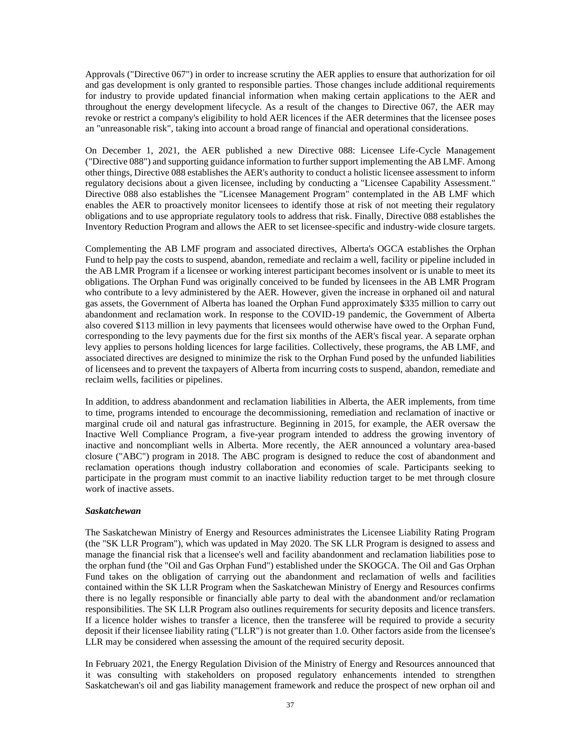Approvals ("Directive 067") in order to increase scrutiny the AER applies to ensure that authorization for oil and gas development is only granted to responsible parties. Those changes include additional requirements for industry to provide updated financial information when making certain applications to the AER and throughout the energy development lifecycle. As a result of the changes to Directive 067, the AER may revoke or restrict a company's eligibility to hold AER licences if the AER determines that the licensee poses an "unreasonable risk", taking into account a broad range of financial and operational considerations.

On December 1, 2021, the AER published a new Directive 088: Licensee Life-Cycle Management ("Directive 088") and supporting guidance information to further support implementing the AB LMF. Among other things, Directive 088 establishes the AER's authority to conduct a holistic licensee assessment to inform regulatory decisions about a given licensee, including by conducting a "Licensee Capability Assessment." Directive 088 also establishes the "Licensee Management Program" contemplated in the AB LMF which enables the AER to proactively monitor licensees to identify those at risk of not meeting their regulatory obligations and to use appropriate regulatory tools to address that risk. Finally, Directive 088 establishes the Inventory Reduction Program and allows the AER to set licensee-specific and industry-wide closure targets.

Complementing the AB LMF program and associated directives, Alberta's OGCA establishes the Orphan Fund to help pay the costs to suspend, abandon, remediate and reclaim a well, facility or pipeline included in the AB LMR Program if a licensee or working interest participant becomes insolvent or is unable to meet its obligations. The Orphan Fund was originally conceived to be funded by licensees in the AB LMR Program who contribute to a levy administered by the AER. However, given the increase in orphaned oil and natural gas assets, the Government of Alberta has loaned the Orphan Fund approximately \$335 million to carry out abandonment and reclamation work. In response to the COVID-19 pandemic, the Government of Alberta also covered \$113 million in levy payments that licensees would otherwise have owed to the Orphan Fund, corresponding to the levy payments due for the first six months of the AER's fiscal year. A separate orphan levy applies to persons holding licences for large facilities. Collectively, these programs, the AB LMF, and associated directives are designed to minimize the risk to the Orphan Fund posed by the unfunded liabilities of licensees and to prevent the taxpayers of Alberta from incurring costs to suspend, abandon, remediate and reclaim wells, facilities or pipelines.

In addition, to address abandonment and reclamation liabilities in Alberta, the AER implements, from time to time, programs intended to encourage the decommissioning, remediation and reclamation of inactive or marginal crude oil and natural gas infrastructure. Beginning in 2015, for example, the AER oversaw the Inactive Well Compliance Program, a five-year program intended to address the growing inventory of inactive and noncompliant wells in Alberta. More recently, the AER announced a voluntary area-based closure ("ABC") program in 2018. The ABC program is designed to reduce the cost of abandonment and reclamation operations though industry collaboration and economies of scale. Participants seeking to participate in the program must commit to an inactive liability reduction target to be met through closure work of inactive assets.

## *Saskatchewan*

The Saskatchewan Ministry of Energy and Resources administrates the Licensee Liability Rating Program (the "SK LLR Program"), which was updated in May 2020. The SK LLR Program is designed to assess and manage the financial risk that a licensee's well and facility abandonment and reclamation liabilities pose to the orphan fund (the "Oil and Gas Orphan Fund") established under the SKOGCA. The Oil and Gas Orphan Fund takes on the obligation of carrying out the abandonment and reclamation of wells and facilities contained within the SK LLR Program when the Saskatchewan Ministry of Energy and Resources confirms there is no legally responsible or financially able party to deal with the abandonment and/or reclamation responsibilities. The SK LLR Program also outlines requirements for security deposits and licence transfers. If a licence holder wishes to transfer a licence, then the transferee will be required to provide a security deposit if their licensee liability rating ("LLR") is not greater than 1.0. Other factors aside from the licensee's LLR may be considered when assessing the amount of the required security deposit.

In February 2021, the Energy Regulation Division of the Ministry of Energy and Resources announced that it was consulting with stakeholders on proposed regulatory enhancements intended to strengthen Saskatchewan's oil and gas liability management framework and reduce the prospect of new orphan oil and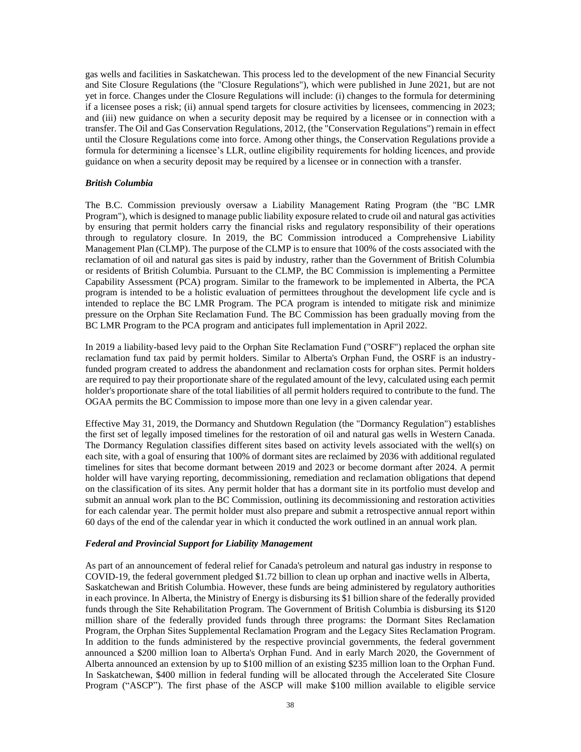gas wells and facilities in Saskatchewan. This process led to the development of the new Financial Security and Site Closure Regulations (the "Closure Regulations"), which were published in June 2021, but are not yet in force. Changes under the Closure Regulations will include: (i) changes to the formula for determining if a licensee poses a risk; (ii) annual spend targets for closure activities by licensees, commencing in 2023; and (iii) new guidance on when a security deposit may be required by a licensee or in connection with a transfer. The Oil and Gas Conservation Regulations, 2012, (the "Conservation Regulations") remain in effect until the Closure Regulations come into force. Among other things, the Conservation Regulations provide a formula for determining a licensee's LLR, outline eligibility requirements for holding licences, and provide guidance on when a security deposit may be required by a licensee or in connection with a transfer.

## *British Columbia*

The B.C. Commission previously oversaw a Liability Management Rating Program (the "BC LMR Program"), which is designed to manage public liability exposure related to crude oil and natural gas activities by ensuring that permit holders carry the financial risks and regulatory responsibility of their operations through to regulatory closure. In 2019, the BC Commission introduced a Comprehensive Liability Management Plan (CLMP). The purpose of the CLMP is to ensure that 100% of the costs associated with the reclamation of oil and natural gas sites is paid by industry, rather than the Government of British Columbia or residents of British Columbia. Pursuant to the CLMP, the BC Commission is implementing a Permittee Capability Assessment (PCA) program. Similar to the framework to be implemented in Alberta, the PCA program is intended to be a holistic evaluation of permittees throughout the development life cycle and is intended to replace the BC LMR Program. The PCA program is intended to mitigate risk and minimize pressure on the Orphan Site Reclamation Fund. The BC Commission has been gradually moving from the BC LMR Program to the PCA program and anticipates full implementation in April 2022.

In 2019 a liability-based levy paid to the Orphan Site Reclamation Fund ("OSRF") replaced the orphan site reclamation fund tax paid by permit holders. Similar to Alberta's Orphan Fund, the OSRF is an industryfunded program created to address the abandonment and reclamation costs for orphan sites. Permit holders are required to pay their proportionate share of the regulated amount of the levy, calculated using each permit holder's proportionate share of the total liabilities of all permit holders required to contribute to the fund. The OGAA permits the BC Commission to impose more than one levy in a given calendar year.

Effective May 31, 2019, the Dormancy and Shutdown Regulation (the "Dormancy Regulation") establishes the first set of legally imposed timelines for the restoration of oil and natural gas wells in Western Canada. The Dormancy Regulation classifies different sites based on activity levels associated with the well(s) on each site, with a goal of ensuring that 100% of dormant sites are reclaimed by 2036 with additional regulated timelines for sites that become dormant between 2019 and 2023 or become dormant after 2024. A permit holder will have varying reporting, decommissioning, remediation and reclamation obligations that depend on the classification of its sites. Any permit holder that has a dormant site in its portfolio must develop and submit an annual work plan to the BC Commission, outlining its decommissioning and restoration activities for each calendar year. The permit holder must also prepare and submit a retrospective annual report within 60 days of the end of the calendar year in which it conducted the work outlined in an annual work plan.

#### *Federal and Provincial Support for Liability Management*

As part of an announcement of federal relief for Canada's petroleum and natural gas industry in response to COVID-19, the federal government pledged \$1.72 billion to clean up orphan and inactive wells in Alberta, Saskatchewan and British Columbia. However, these funds are being administered by regulatory authorities in each province. In Alberta, the Ministry of Energy is disbursing its \$1 billion share of the federally provided funds through the Site Rehabilitation Program. The Government of British Columbia is disbursing its \$120 million share of the federally provided funds through three programs: the Dormant Sites Reclamation Program, the Orphan Sites Supplemental Reclamation Program and the Legacy Sites Reclamation Program. In addition to the funds administered by the respective provincial governments, the federal government announced a \$200 million loan to Alberta's Orphan Fund. And in early March 2020, the Government of Alberta announced an extension by up to \$100 million of an existing \$235 million loan to the Orphan Fund. In Saskatchewan, \$400 million in federal funding will be allocated through the Accelerated Site Closure Program ("ASCP"). The first phase of the ASCP will make \$100 million available to eligible service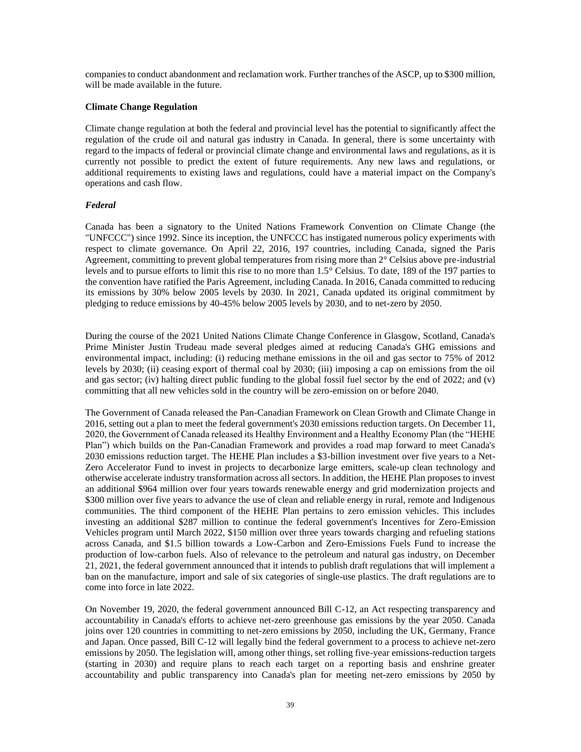companies to conduct abandonment and reclamation work. Further tranches of the ASCP, up to \$300 million, will be made available in the future.

#### **Climate Change Regulation**

Climate change regulation at both the federal and provincial level has the potential to significantly affect the regulation of the crude oil and natural gas industry in Canada. In general, there is some uncertainty with regard to the impacts of federal or provincial climate change and environmental laws and regulations, as it is currently not possible to predict the extent of future requirements. Any new laws and regulations, or additional requirements to existing laws and regulations, could have a material impact on the Company's operations and cash flow.

## *Federal*

Canada has been a signatory to the United Nations Framework Convention on Climate Change (the "UNFCCC") since 1992. Since its inception, the UNFCCC has instigated numerous policy experiments with respect to climate governance. On April 22, 2016, 197 countries, including Canada, signed the Paris Agreement, committing to prevent global temperatures from rising more than 2° Celsius above pre-industrial levels and to pursue efforts to limit this rise to no more than 1.5° Celsius. To date, 189 of the 197 parties to the convention have ratified the Paris Agreement, including Canada. In 2016, Canada committed to reducing its emissions by 30% below 2005 levels by 2030. In 2021, Canada updated its original commitment by pledging to reduce emissions by 40-45% below 2005 levels by 2030, and to net-zero by 2050.

During the course of the 2021 United Nations Climate Change Conference in Glasgow, Scotland, Canada's Prime Minister Justin Trudeau made several pledges aimed at reducing Canada's GHG emissions and environmental impact, including: (i) reducing methane emissions in the oil and gas sector to 75% of 2012 levels by 2030; (ii) ceasing export of thermal coal by 2030; (iii) imposing a cap on emissions from the oil and gas sector; (iv) halting direct public funding to the global fossil fuel sector by the end of 2022; and (v) committing that all new vehicles sold in the country will be zero-emission on or before 2040.

The Government of Canada released the Pan-Canadian Framework on Clean Growth and Climate Change in 2016, setting out a plan to meet the federal government's 2030 emissions reduction targets. On December 11, 2020, the Government of Canada released its Healthy Environment and a Healthy Economy Plan (the "HEHE Plan") which builds on the Pan-Canadian Framework and provides a road map forward to meet Canada's 2030 emissions reduction target. The HEHE Plan includes a \$3-billion investment over five years to a Net-Zero Accelerator Fund to invest in projects to decarbonize large emitters, scale-up clean technology and otherwise accelerate industry transformation across all sectors. In addition, the HEHE Plan proposes to invest an additional \$964 million over four years towards renewable energy and grid modernization projects and \$300 million over five years to advance the use of clean and reliable energy in rural, remote and Indigenous communities. The third component of the HEHE Plan pertains to zero emission vehicles. This includes investing an additional \$287 million to continue the federal government's Incentives for Zero-Emission Vehicles program until March 2022, \$150 million over three years towards charging and refueling stations across Canada, and \$1.5 billion towards a Low-Carbon and Zero-Emissions Fuels Fund to increase the production of low-carbon fuels. Also of relevance to the petroleum and natural gas industry, on December 21, 2021, the federal government announced that it intends to publish draft regulations that will implement a ban on the manufacture, import and sale of six categories of single-use plastics. The draft regulations are to come into force in late 2022.

On November 19, 2020, the federal government announced Bill C-12, an Act respecting transparency and accountability in Canada's efforts to achieve net-zero greenhouse gas emissions by the year 2050. Canada joins over 120 countries in committing to net-zero emissions by 2050, including the UK, Germany, France and Japan. Once passed, Bill C-12 will legally bind the federal government to a process to achieve net-zero emissions by 2050. The legislation will, among other things, set rolling five-year emissions-reduction targets (starting in 2030) and require plans to reach each target on a reporting basis and enshrine greater accountability and public transparency into Canada's plan for meeting net-zero emissions by 2050 by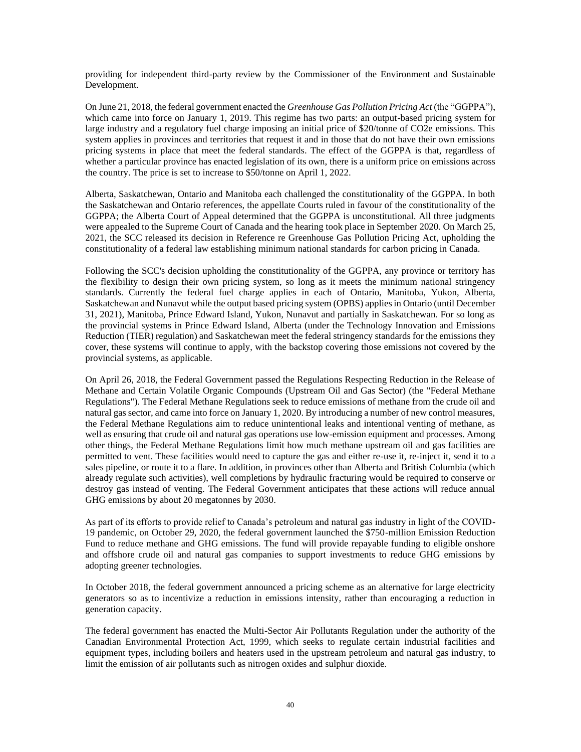providing for independent third-party review by the Commissioner of the Environment and Sustainable Development.

On June 21, 2018, the federal government enacted the *Greenhouse Gas Pollution Pricing Act* (the "GGPPA"), which came into force on January 1, 2019. This regime has two parts: an output-based pricing system for large industry and a regulatory fuel charge imposing an initial price of \$20/tonne of CO2e emissions. This system applies in provinces and territories that request it and in those that do not have their own emissions pricing systems in place that meet the federal standards. The effect of the GGPPA is that, regardless of whether a particular province has enacted legislation of its own, there is a uniform price on emissions across the country. The price is set to increase to \$50/tonne on April 1, 2022.

Alberta, Saskatchewan, Ontario and Manitoba each challenged the constitutionality of the GGPPA. In both the Saskatchewan and Ontario references, the appellate Courts ruled in favour of the constitutionality of the GGPPA; the Alberta Court of Appeal determined that the GGPPA is unconstitutional. All three judgments were appealed to the Supreme Court of Canada and the hearing took place in September 2020. On March 25, 2021, the SCC released its decision in Reference re Greenhouse Gas Pollution Pricing Act, upholding the constitutionality of a federal law establishing minimum national standards for carbon pricing in Canada.

Following the SCC's decision upholding the constitutionality of the GGPPA, any province or territory has the flexibility to design their own pricing system, so long as it meets the minimum national stringency standards. Currently the federal fuel charge applies in each of Ontario, Manitoba, Yukon, Alberta, Saskatchewan and Nunavut while the output based pricing system (OPBS) applies in Ontario (until December 31, 2021), Manitoba, Prince Edward Island, Yukon, Nunavut and partially in Saskatchewan. For so long as the provincial systems in Prince Edward Island, Alberta (under the Technology Innovation and Emissions Reduction (TIER) regulation) and Saskatchewan meet the federal stringency standards for the emissions they cover, these systems will continue to apply, with the backstop covering those emissions not covered by the provincial systems, as applicable.

On April 26, 2018, the Federal Government passed the Regulations Respecting Reduction in the Release of Methane and Certain Volatile Organic Compounds (Upstream Oil and Gas Sector) (the "Federal Methane Regulations"). The Federal Methane Regulations seek to reduce emissions of methane from the crude oil and natural gas sector, and came into force on January 1, 2020. By introducing a number of new control measures, the Federal Methane Regulations aim to reduce unintentional leaks and intentional venting of methane, as well as ensuring that crude oil and natural gas operations use low-emission equipment and processes. Among other things, the Federal Methane Regulations limit how much methane upstream oil and gas facilities are permitted to vent. These facilities would need to capture the gas and either re-use it, re-inject it, send it to a sales pipeline, or route it to a flare. In addition, in provinces other than Alberta and British Columbia (which already regulate such activities), well completions by hydraulic fracturing would be required to conserve or destroy gas instead of venting. The Federal Government anticipates that these actions will reduce annual GHG emissions by about 20 megatonnes by 2030.

As part of its efforts to provide relief to Canada's petroleum and natural gas industry in light of the COVID-19 pandemic, on October 29, 2020, the federal government launched the \$750-million Emission Reduction Fund to reduce methane and GHG emissions. The fund will provide repayable funding to eligible onshore and offshore crude oil and natural gas companies to support investments to reduce GHG emissions by adopting greener technologies.

In October 2018, the federal government announced a pricing scheme as an alternative for large electricity generators so as to incentivize a reduction in emissions intensity, rather than encouraging a reduction in generation capacity.

The federal government has enacted the Multi-Sector Air Pollutants Regulation under the authority of the Canadian Environmental Protection Act, 1999, which seeks to regulate certain industrial facilities and equipment types, including boilers and heaters used in the upstream petroleum and natural gas industry, to limit the emission of air pollutants such as nitrogen oxides and sulphur dioxide.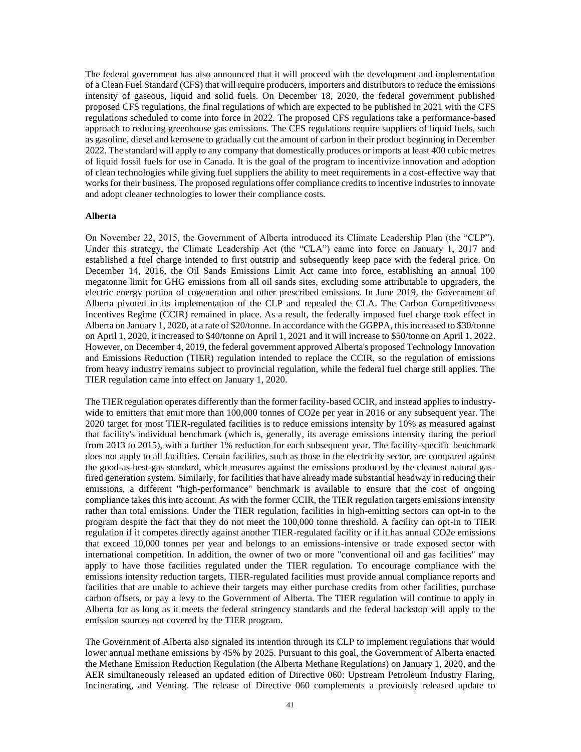The federal government has also announced that it will proceed with the development and implementation of a Clean Fuel Standard (CFS) that will require producers, importers and distributors to reduce the emissions intensity of gaseous, liquid and solid fuels. On December 18, 2020, the federal government published proposed CFS regulations, the final regulations of which are expected to be published in 2021 with the CFS regulations scheduled to come into force in 2022. The proposed CFS regulations take a performance-based approach to reducing greenhouse gas emissions. The CFS regulations require suppliers of liquid fuels, such as gasoline, diesel and kerosene to gradually cut the amount of carbon in their product beginning in December 2022. The standard will apply to any company that domestically produces or imports at least 400 cubic metres of liquid fossil fuels for use in Canada. It is the goal of the program to incentivize innovation and adoption of clean technologies while giving fuel suppliers the ability to meet requirements in a cost-effective way that works for their business. The proposed regulations offer compliance credits to incentive industries to innovate and adopt cleaner technologies to lower their compliance costs.

#### **Alberta**

On November 22, 2015, the Government of Alberta introduced its Climate Leadership Plan (the "CLP"). Under this strategy, the Climate Leadership Act (the "CLA") came into force on January 1, 2017 and established a fuel charge intended to first outstrip and subsequently keep pace with the federal price. On December 14, 2016, the Oil Sands Emissions Limit Act came into force, establishing an annual 100 megatonne limit for GHG emissions from all oil sands sites, excluding some attributable to upgraders, the electric energy portion of cogeneration and other prescribed emissions. In June 2019, the Government of Alberta pivoted in its implementation of the CLP and repealed the CLA. The Carbon Competitiveness Incentives Regime (CCIR) remained in place. As a result, the federally imposed fuel charge took effect in Alberta on January 1, 2020, at a rate of \$20/tonne. In accordance with the GGPPA, this increased to \$30/tonne on April 1, 2020, it increased to \$40/tonne on April 1, 2021 and it will increase to \$50/tonne on April 1, 2022. However, on December 4, 2019, the federal government approved Alberta's proposed Technology Innovation and Emissions Reduction (TIER) regulation intended to replace the CCIR, so the regulation of emissions from heavy industry remains subject to provincial regulation, while the federal fuel charge still applies. The TIER regulation came into effect on January 1, 2020.

The TIER regulation operates differently than the former facility-based CCIR, and instead applies to industrywide to emitters that emit more than 100,000 tonnes of CO2e per year in 2016 or any subsequent year. The 2020 target for most TIER-regulated facilities is to reduce emissions intensity by 10% as measured against that facility's individual benchmark (which is, generally, its average emissions intensity during the period from 2013 to 2015), with a further 1% reduction for each subsequent year. The facility-specific benchmark does not apply to all facilities. Certain facilities, such as those in the electricity sector, are compared against the good-as-best-gas standard, which measures against the emissions produced by the cleanest natural gasfired generation system. Similarly, for facilities that have already made substantial headway in reducing their emissions, a different "high-performance" benchmark is available to ensure that the cost of ongoing compliance takes this into account. As with the former CCIR, the TIER regulation targets emissions intensity rather than total emissions. Under the TIER regulation, facilities in high-emitting sectors can opt-in to the program despite the fact that they do not meet the 100,000 tonne threshold. A facility can opt-in to TIER regulation if it competes directly against another TIER-regulated facility or if it has annual CO2e emissions that exceed 10,000 tonnes per year and belongs to an emissions-intensive or trade exposed sector with international competition. In addition, the owner of two or more "conventional oil and gas facilities" may apply to have those facilities regulated under the TIER regulation. To encourage compliance with the emissions intensity reduction targets, TIER-regulated facilities must provide annual compliance reports and facilities that are unable to achieve their targets may either purchase credits from other facilities, purchase carbon offsets, or pay a levy to the Government of Alberta. The TIER regulation will continue to apply in Alberta for as long as it meets the federal stringency standards and the federal backstop will apply to the emission sources not covered by the TIER program.

The Government of Alberta also signaled its intention through its CLP to implement regulations that would lower annual methane emissions by 45% by 2025. Pursuant to this goal, the Government of Alberta enacted the Methane Emission Reduction Regulation (the Alberta Methane Regulations) on January 1, 2020, and the AER simultaneously released an updated edition of Directive 060: Upstream Petroleum Industry Flaring, Incinerating, and Venting. The release of Directive 060 complements a previously released update to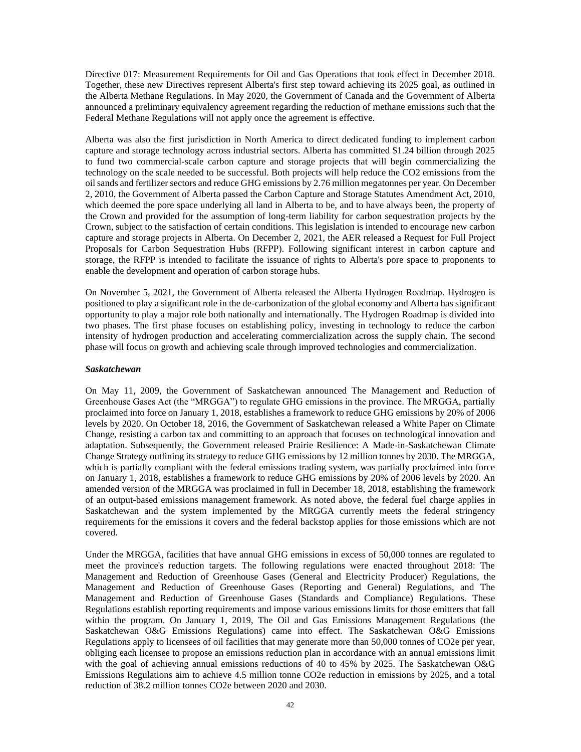Directive 017: Measurement Requirements for Oil and Gas Operations that took effect in December 2018. Together, these new Directives represent Alberta's first step toward achieving its 2025 goal, as outlined in the Alberta Methane Regulations. In May 2020, the Government of Canada and the Government of Alberta announced a preliminary equivalency agreement regarding the reduction of methane emissions such that the Federal Methane Regulations will not apply once the agreement is effective.

Alberta was also the first jurisdiction in North America to direct dedicated funding to implement carbon capture and storage technology across industrial sectors. Alberta has committed \$1.24 billion through 2025 to fund two commercial-scale carbon capture and storage projects that will begin commercializing the technology on the scale needed to be successful. Both projects will help reduce the CO2 emissions from the oil sands and fertilizer sectors and reduce GHG emissions by 2.76 million megatonnes per year. On December 2, 2010, the Government of Alberta passed the Carbon Capture and Storage Statutes Amendment Act, 2010, which deemed the pore space underlying all land in Alberta to be, and to have always been, the property of the Crown and provided for the assumption of long-term liability for carbon sequestration projects by the Crown, subject to the satisfaction of certain conditions. This legislation is intended to encourage new carbon capture and storage projects in Alberta. On December 2, 2021, the AER released a Request for Full Project Proposals for Carbon Sequestration Hubs (RFPP). Following significant interest in carbon capture and storage, the RFPP is intended to facilitate the issuance of rights to Alberta's pore space to proponents to enable the development and operation of carbon storage hubs.

On November 5, 2021, the Government of Alberta released the Alberta Hydrogen Roadmap. Hydrogen is positioned to play a significant role in the de-carbonization of the global economy and Alberta has significant opportunity to play a major role both nationally and internationally. The Hydrogen Roadmap is divided into two phases. The first phase focuses on establishing policy, investing in technology to reduce the carbon intensity of hydrogen production and accelerating commercialization across the supply chain. The second phase will focus on growth and achieving scale through improved technologies and commercialization.

#### *Saskatchewan*

On May 11, 2009, the Government of Saskatchewan announced The Management and Reduction of Greenhouse Gases Act (the "MRGGA") to regulate GHG emissions in the province. The MRGGA, partially proclaimed into force on January 1, 2018, establishes a framework to reduce GHG emissions by 20% of 2006 levels by 2020. On October 18, 2016, the Government of Saskatchewan released a White Paper on Climate Change, resisting a carbon tax and committing to an approach that focuses on technological innovation and adaptation. Subsequently, the Government released Prairie Resilience: A Made-in-Saskatchewan Climate Change Strategy outlining its strategy to reduce GHG emissions by 12 million tonnes by 2030. The MRGGA, which is partially compliant with the federal emissions trading system, was partially proclaimed into force on January 1, 2018, establishes a framework to reduce GHG emissions by 20% of 2006 levels by 2020. An amended version of the MRGGA was proclaimed in full in December 18, 2018, establishing the framework of an output-based emissions management framework. As noted above, the federal fuel charge applies in Saskatchewan and the system implemented by the MRGGA currently meets the federal stringency requirements for the emissions it covers and the federal backstop applies for those emissions which are not covered.

Under the MRGGA, facilities that have annual GHG emissions in excess of 50,000 tonnes are regulated to meet the province's reduction targets. The following regulations were enacted throughout 2018: The Management and Reduction of Greenhouse Gases (General and Electricity Producer) Regulations, the Management and Reduction of Greenhouse Gases (Reporting and General) Regulations, and The Management and Reduction of Greenhouse Gases (Standards and Compliance) Regulations. These Regulations establish reporting requirements and impose various emissions limits for those emitters that fall within the program. On January 1, 2019, The Oil and Gas Emissions Management Regulations (the Saskatchewan O&G Emissions Regulations) came into effect. The Saskatchewan O&G Emissions Regulations apply to licensees of oil facilities that may generate more than 50,000 tonnes of CO2e per year, obliging each licensee to propose an emissions reduction plan in accordance with an annual emissions limit with the goal of achieving annual emissions reductions of 40 to 45% by 2025. The Saskatchewan O&G Emissions Regulations aim to achieve 4.5 million tonne CO2e reduction in emissions by 2025, and a total reduction of 38.2 million tonnes CO2e between 2020 and 2030.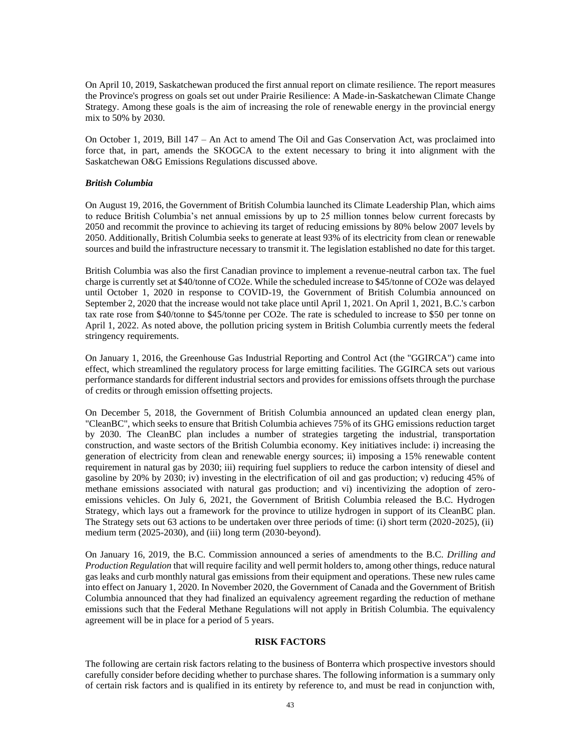On April 10, 2019, Saskatchewan produced the first annual report on climate resilience. The report measures the Province's progress on goals set out under Prairie Resilience: A Made-in-Saskatchewan Climate Change Strategy. Among these goals is the aim of increasing the role of renewable energy in the provincial energy mix to 50% by 2030.

On October 1, 2019, Bill 147 – An Act to amend The Oil and Gas Conservation Act, was proclaimed into force that, in part, amends the SKOGCA to the extent necessary to bring it into alignment with the Saskatchewan O&G Emissions Regulations discussed above.

## *British Columbia*

On August 19, 2016, the Government of British Columbia launched its Climate Leadership Plan, which aims to reduce British Columbia's net annual emissions by up to 25 million tonnes below current forecasts by 2050 and recommit the province to achieving its target of reducing emissions by 80% below 2007 levels by 2050. Additionally, British Columbia seeks to generate at least 93% of its electricity from clean or renewable sources and build the infrastructure necessary to transmit it. The legislation established no date for this target.

British Columbia was also the first Canadian province to implement a revenue-neutral carbon tax. The fuel charge is currently set at \$40/tonne of CO2e. While the scheduled increase to \$45/tonne of CO2e was delayed until October 1, 2020 in response to COVID-19, the Government of British Columbia announced on September 2, 2020 that the increase would not take place until April 1, 2021. On April 1, 2021, B.C.'s carbon tax rate rose from \$40/tonne to \$45/tonne per CO2e. The rate is scheduled to increase to \$50 per tonne on April 1, 2022. As noted above, the pollution pricing system in British Columbia currently meets the federal stringency requirements.

On January 1, 2016, the Greenhouse Gas Industrial Reporting and Control Act (the "GGIRCA") came into effect, which streamlined the regulatory process for large emitting facilities. The GGIRCA sets out various performance standards for different industrial sectors and provides for emissions offsets through the purchase of credits or through emission offsetting projects.

On December 5, 2018, the Government of British Columbia announced an updated clean energy plan, "CleanBC", which seeks to ensure that British Columbia achieves 75% of its GHG emissions reduction target by 2030. The CleanBC plan includes a number of strategies targeting the industrial, transportation construction, and waste sectors of the British Columbia economy. Key initiatives include: i) increasing the generation of electricity from clean and renewable energy sources; ii) imposing a 15% renewable content requirement in natural gas by 2030; iii) requiring fuel suppliers to reduce the carbon intensity of diesel and gasoline by 20% by 2030; iv) investing in the electrification of oil and gas production; v) reducing 45% of methane emissions associated with natural gas production; and vi) incentivizing the adoption of zeroemissions vehicles. On July 6, 2021, the Government of British Columbia released the B.C. Hydrogen Strategy, which lays out a framework for the province to utilize hydrogen in support of its CleanBC plan. The Strategy sets out 63 actions to be undertaken over three periods of time: (i) short term (2020-2025), (ii) medium term (2025-2030), and (iii) long term (2030-beyond).

On January 16, 2019, the B.C. Commission announced a series of amendments to the B.C. *Drilling and Production Regulation* that will require facility and well permit holders to, among other things, reduce natural gas leaks and curb monthly natural gas emissions from their equipment and operations. These new rules came into effect on January 1, 2020. In November 2020, the Government of Canada and the Government of British Columbia announced that they had finalized an equivalency agreement regarding the reduction of methane emissions such that the Federal Methane Regulations will not apply in British Columbia. The equivalency agreement will be in place for a period of 5 years.

## **RISK FACTORS**

The following are certain risk factors relating to the business of Bonterra which prospective investors should carefully consider before deciding whether to purchase shares. The following information is a summary only of certain risk factors and is qualified in its entirety by reference to, and must be read in conjunction with,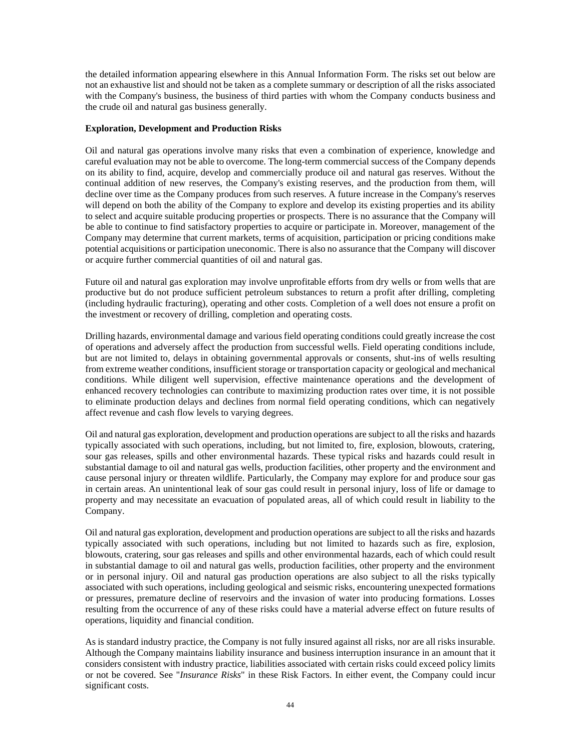the detailed information appearing elsewhere in this Annual Information Form. The risks set out below are not an exhaustive list and should not be taken as a complete summary or description of all the risks associated with the Company's business, the business of third parties with whom the Company conducts business and the crude oil and natural gas business generally.

### **Exploration, Development and Production Risks**

Oil and natural gas operations involve many risks that even a combination of experience, knowledge and careful evaluation may not be able to overcome. The long-term commercial success of the Company depends on its ability to find, acquire, develop and commercially produce oil and natural gas reserves. Without the continual addition of new reserves, the Company's existing reserves, and the production from them, will decline over time as the Company produces from such reserves. A future increase in the Company's reserves will depend on both the ability of the Company to explore and develop its existing properties and its ability to select and acquire suitable producing properties or prospects. There is no assurance that the Company will be able to continue to find satisfactory properties to acquire or participate in. Moreover, management of the Company may determine that current markets, terms of acquisition, participation or pricing conditions make potential acquisitions or participation uneconomic. There is also no assurance that the Company will discover or acquire further commercial quantities of oil and natural gas.

Future oil and natural gas exploration may involve unprofitable efforts from dry wells or from wells that are productive but do not produce sufficient petroleum substances to return a profit after drilling, completing (including hydraulic fracturing), operating and other costs. Completion of a well does not ensure a profit on the investment or recovery of drilling, completion and operating costs.

Drilling hazards, environmental damage and various field operating conditions could greatly increase the cost of operations and adversely affect the production from successful wells. Field operating conditions include, but are not limited to, delays in obtaining governmental approvals or consents, shut-ins of wells resulting from extreme weather conditions, insufficient storage or transportation capacity or geological and mechanical conditions. While diligent well supervision, effective maintenance operations and the development of enhanced recovery technologies can contribute to maximizing production rates over time, it is not possible to eliminate production delays and declines from normal field operating conditions, which can negatively affect revenue and cash flow levels to varying degrees.

Oil and natural gas exploration, development and production operations are subject to all the risks and hazards typically associated with such operations, including, but not limited to, fire, explosion, blowouts, cratering, sour gas releases, spills and other environmental hazards. These typical risks and hazards could result in substantial damage to oil and natural gas wells, production facilities, other property and the environment and cause personal injury or threaten wildlife. Particularly, the Company may explore for and produce sour gas in certain areas. An unintentional leak of sour gas could result in personal injury, loss of life or damage to property and may necessitate an evacuation of populated areas, all of which could result in liability to the Company.

Oil and natural gas exploration, development and production operations are subject to all the risks and hazards typically associated with such operations, including but not limited to hazards such as fire, explosion, blowouts, cratering, sour gas releases and spills and other environmental hazards, each of which could result in substantial damage to oil and natural gas wells, production facilities, other property and the environment or in personal injury. Oil and natural gas production operations are also subject to all the risks typically associated with such operations, including geological and seismic risks, encountering unexpected formations or pressures, premature decline of reservoirs and the invasion of water into producing formations. Losses resulting from the occurrence of any of these risks could have a material adverse effect on future results of operations, liquidity and financial condition.

As is standard industry practice, the Company is not fully insured against all risks, nor are all risks insurable. Although the Company maintains liability insurance and business interruption insurance in an amount that it considers consistent with industry practice, liabilities associated with certain risks could exceed policy limits or not be covered. See "*Insurance Risks*" in these Risk Factors. In either event, the Company could incur significant costs.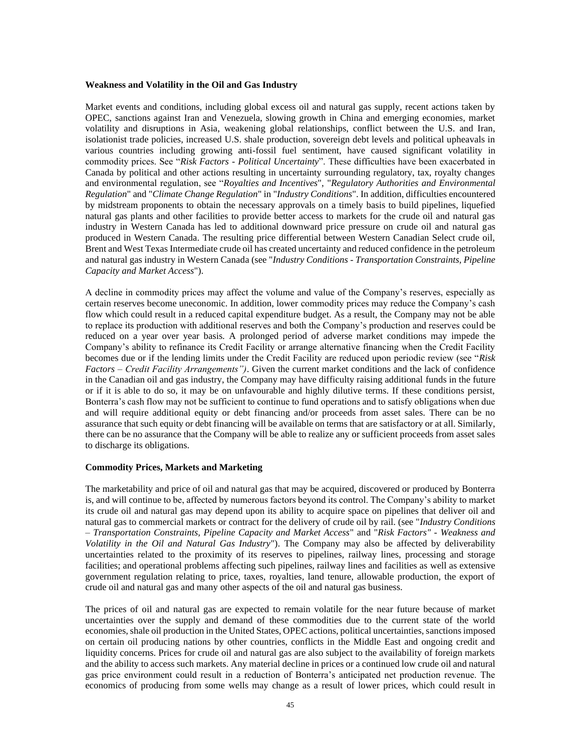#### **Weakness and Volatility in the Oil and Gas Industry**

Market events and conditions, including global excess oil and natural gas supply, recent actions taken by OPEC, sanctions against Iran and Venezuela, slowing growth in China and emerging economies, market volatility and disruptions in Asia, weakening global relationships, conflict between the U.S. and Iran, isolationist trade policies, increased U.S. shale production, sovereign debt levels and political upheavals in various countries including growing anti-fossil fuel sentiment, have caused significant volatility in commodity prices. See "*Risk Factors - Political Uncertainty*". These difficulties have been exacerbated in Canada by political and other actions resulting in uncertainty surrounding regulatory, tax, royalty changes and environmental regulation, see "*Royalties and Incentives*", "*Regulatory Authorities and Environmental Regulation*" and "*Climate Change Regulation*" in "*Industry Conditions*". In addition, difficulties encountered by midstream proponents to obtain the necessary approvals on a timely basis to build pipelines, liquefied natural gas plants and other facilities to provide better access to markets for the crude oil and natural gas industry in Western Canada has led to additional downward price pressure on crude oil and natural gas produced in Western Canada. The resulting price differential between Western Canadian Select crude oil, Brent and West Texas Intermediate crude oil has created uncertainty and reduced confidence in the petroleum and natural gas industry in Western Canada (see "*Industry Conditions - Transportation Constraints, Pipeline Capacity and Market Access*").

A decline in commodity prices may affect the volume and value of the Company's reserves, especially as certain reserves become uneconomic. In addition, lower commodity prices may reduce the Company's cash flow which could result in a reduced capital expenditure budget. As a result, the Company may not be able to replace its production with additional reserves and both the Company's production and reserves could be reduced on a year over year basis. A prolonged period of adverse market conditions may impede the Company's ability to refinance its Credit Facility or arrange alternative financing when the Credit Facility becomes due or if the lending limits under the Credit Facility are reduced upon periodic review (see "*Risk Factors – Credit Facility Arrangements")*. Given the current market conditions and the lack of confidence in the Canadian oil and gas industry, the Company may have difficulty raising additional funds in the future or if it is able to do so, it may be on unfavourable and highly dilutive terms. If these conditions persist, Bonterra's cash flow may not be sufficient to continue to fund operations and to satisfy obligations when due and will require additional equity or debt financing and/or proceeds from asset sales. There can be no assurance that such equity or debt financing will be available on terms that are satisfactory or at all. Similarly, there can be no assurance that the Company will be able to realize any or sufficient proceeds from asset sales to discharge its obligations.

#### **Commodity Prices, Markets and Marketing**

The marketability and price of oil and natural gas that may be acquired, discovered or produced by Bonterra is, and will continue to be, affected by numerous factors beyond its control. The Company's ability to market its crude oil and natural gas may depend upon its ability to acquire space on pipelines that deliver oil and natural gas to commercial markets or contract for the delivery of crude oil by rail. (see "*Industry Conditions – Transportation Constraints, Pipeline Capacity and Market Access*" and "*Risk Factors" - Weakness and Volatility in the Oil and Natural Gas Industry*"). The Company may also be affected by deliverability uncertainties related to the proximity of its reserves to pipelines, railway lines, processing and storage facilities; and operational problems affecting such pipelines, railway lines and facilities as well as extensive government regulation relating to price, taxes, royalties, land tenure, allowable production, the export of crude oil and natural gas and many other aspects of the oil and natural gas business.

The prices of oil and natural gas are expected to remain volatile for the near future because of market uncertainties over the supply and demand of these commodities due to the current state of the world economies, shale oil production in the United States, OPEC actions, political uncertainties, sanctions imposed on certain oil producing nations by other countries, conflicts in the Middle East and ongoing credit and liquidity concerns. Prices for crude oil and natural gas are also subject to the availability of foreign markets and the ability to access such markets. Any material decline in prices or a continued low crude oil and natural gas price environment could result in a reduction of Bonterra's anticipated net production revenue. The economics of producing from some wells may change as a result of lower prices, which could result in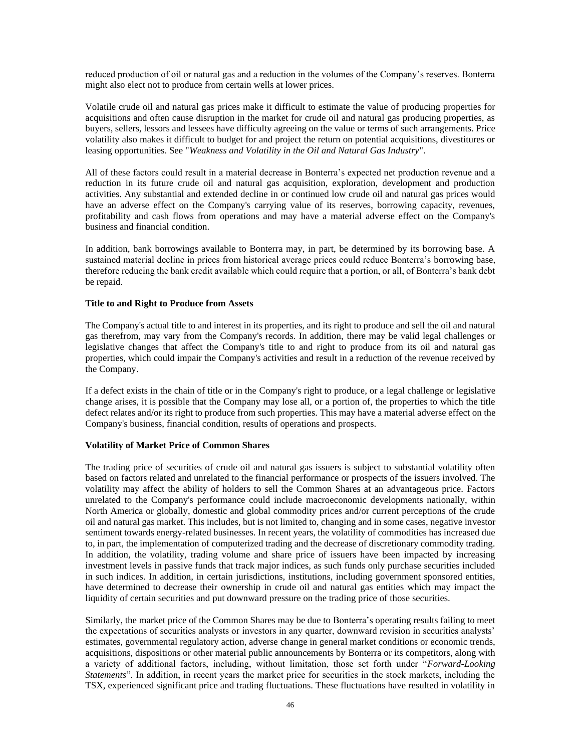reduced production of oil or natural gas and a reduction in the volumes of the Company's reserves. Bonterra might also elect not to produce from certain wells at lower prices.

Volatile crude oil and natural gas prices make it difficult to estimate the value of producing properties for acquisitions and often cause disruption in the market for crude oil and natural gas producing properties, as buyers, sellers, lessors and lessees have difficulty agreeing on the value or terms of such arrangements. Price volatility also makes it difficult to budget for and project the return on potential acquisitions, divestitures or leasing opportunities. See "*Weakness and Volatility in the Oil and Natural Gas Industry*".

All of these factors could result in a material decrease in Bonterra's expected net production revenue and a reduction in its future crude oil and natural gas acquisition, exploration, development and production activities. Any substantial and extended decline in or continued low crude oil and natural gas prices would have an adverse effect on the Company's carrying value of its reserves, borrowing capacity, revenues, profitability and cash flows from operations and may have a material adverse effect on the Company's business and financial condition.

In addition, bank borrowings available to Bonterra may, in part, be determined by its borrowing base. A sustained material decline in prices from historical average prices could reduce Bonterra's borrowing base, therefore reducing the bank credit available which could require that a portion, or all, of Bonterra's bank debt be repaid.

## **Title to and Right to Produce from Assets**

The Company's actual title to and interest in its properties, and its right to produce and sell the oil and natural gas therefrom, may vary from the Company's records. In addition, there may be valid legal challenges or legislative changes that affect the Company's title to and right to produce from its oil and natural gas properties, which could impair the Company's activities and result in a reduction of the revenue received by the Company.

If a defect exists in the chain of title or in the Company's right to produce, or a legal challenge or legislative change arises, it is possible that the Company may lose all, or a portion of, the properties to which the title defect relates and/or its right to produce from such properties. This may have a material adverse effect on the Company's business, financial condition, results of operations and prospects.

## **Volatility of Market Price of Common Shares**

The trading price of securities of crude oil and natural gas issuers is subject to substantial volatility often based on factors related and unrelated to the financial performance or prospects of the issuers involved. The volatility may affect the ability of holders to sell the Common Shares at an advantageous price. Factors unrelated to the Company's performance could include macroeconomic developments nationally, within North America or globally, domestic and global commodity prices and/or current perceptions of the crude oil and natural gas market. This includes, but is not limited to, changing and in some cases, negative investor sentiment towards energy-related businesses. In recent years, the volatility of commodities has increased due to, in part, the implementation of computerized trading and the decrease of discretionary commodity trading. In addition, the volatility, trading volume and share price of issuers have been impacted by increasing investment levels in passive funds that track major indices, as such funds only purchase securities included in such indices. In addition, in certain jurisdictions, institutions, including government sponsored entities, have determined to decrease their ownership in crude oil and natural gas entities which may impact the liquidity of certain securities and put downward pressure on the trading price of those securities.

Similarly, the market price of the Common Shares may be due to Bonterra's operating results failing to meet the expectations of securities analysts or investors in any quarter, downward revision in securities analysts' estimates, governmental regulatory action, adverse change in general market conditions or economic trends, acquisitions, dispositions or other material public announcements by Bonterra or its competitors, along with a variety of additional factors, including, without limitation, those set forth under "*Forward-Looking Statements*". In addition, in recent years the market price for securities in the stock markets, including the TSX, experienced significant price and trading fluctuations. These fluctuations have resulted in volatility in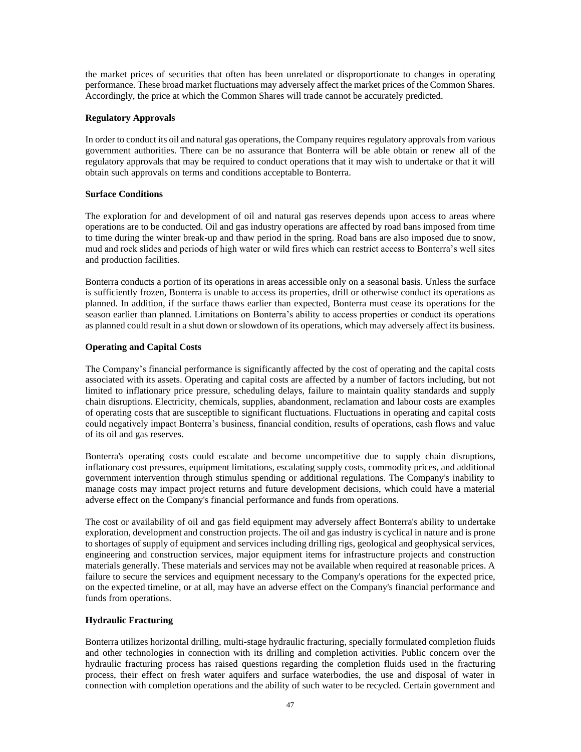the market prices of securities that often has been unrelated or disproportionate to changes in operating performance. These broad market fluctuations may adversely affect the market prices of the Common Shares. Accordingly, the price at which the Common Shares will trade cannot be accurately predicted.

# **Regulatory Approvals**

In order to conduct its oil and natural gas operations, the Company requires regulatory approvals from various government authorities. There can be no assurance that Bonterra will be able obtain or renew all of the regulatory approvals that may be required to conduct operations that it may wish to undertake or that it will obtain such approvals on terms and conditions acceptable to Bonterra.

## **Surface Conditions**

The exploration for and development of oil and natural gas reserves depends upon access to areas where operations are to be conducted. Oil and gas industry operations are affected by road bans imposed from time to time during the winter break-up and thaw period in the spring. Road bans are also imposed due to snow, mud and rock slides and periods of high water or wild fires which can restrict access to Bonterra's well sites and production facilities.

Bonterra conducts a portion of its operations in areas accessible only on a seasonal basis. Unless the surface is sufficiently frozen, Bonterra is unable to access its properties, drill or otherwise conduct its operations as planned. In addition, if the surface thaws earlier than expected, Bonterra must cease its operations for the season earlier than planned. Limitations on Bonterra's ability to access properties or conduct its operations as planned could result in a shut down or slowdown of its operations, which may adversely affect its business.

# **Operating and Capital Costs**

The Company's financial performance is significantly affected by the cost of operating and the capital costs associated with its assets. Operating and capital costs are affected by a number of factors including, but not limited to inflationary price pressure, scheduling delays, failure to maintain quality standards and supply chain disruptions. Electricity, chemicals, supplies, abandonment, reclamation and labour costs are examples of operating costs that are susceptible to significant fluctuations. Fluctuations in operating and capital costs could negatively impact Bonterra's business, financial condition, results of operations, cash flows and value of its oil and gas reserves.

Bonterra's operating costs could escalate and become uncompetitive due to supply chain disruptions, inflationary cost pressures, equipment limitations, escalating supply costs, commodity prices, and additional government intervention through stimulus spending or additional regulations. The Company's inability to manage costs may impact project returns and future development decisions, which could have a material adverse effect on the Company's financial performance and funds from operations.

The cost or availability of oil and gas field equipment may adversely affect Bonterra's ability to undertake exploration, development and construction projects. The oil and gas industry is cyclical in nature and is prone to shortages of supply of equipment and services including drilling rigs, geological and geophysical services, engineering and construction services, major equipment items for infrastructure projects and construction materials generally. These materials and services may not be available when required at reasonable prices. A failure to secure the services and equipment necessary to the Company's operations for the expected price, on the expected timeline, or at all, may have an adverse effect on the Company's financial performance and funds from operations.

## **Hydraulic Fracturing**

Bonterra utilizes horizontal drilling, multi-stage hydraulic fracturing, specially formulated completion fluids and other technologies in connection with its drilling and completion activities. Public concern over the hydraulic fracturing process has raised questions regarding the completion fluids used in the fracturing process, their effect on fresh water aquifers and surface waterbodies, the use and disposal of water in connection with completion operations and the ability of such water to be recycled. Certain government and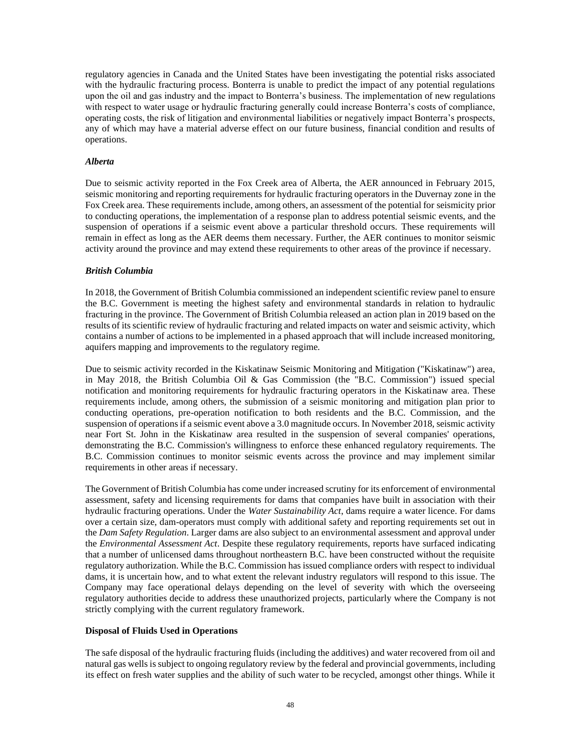regulatory agencies in Canada and the United States have been investigating the potential risks associated with the hydraulic fracturing process. Bonterra is unable to predict the impact of any potential regulations upon the oil and gas industry and the impact to Bonterra's business. The implementation of new regulations with respect to water usage or hydraulic fracturing generally could increase Bonterra's costs of compliance, operating costs, the risk of litigation and environmental liabilities or negatively impact Bonterra's prospects, any of which may have a material adverse effect on our future business, financial condition and results of operations.

## *Alberta*

Due to seismic activity reported in the Fox Creek area of Alberta, the AER announced in February 2015, seismic monitoring and reporting requirements for hydraulic fracturing operators in the Duvernay zone in the Fox Creek area. These requirements include, among others, an assessment of the potential for seismicity prior to conducting operations, the implementation of a response plan to address potential seismic events, and the suspension of operations if a seismic event above a particular threshold occurs. These requirements will remain in effect as long as the AER deems them necessary. Further, the AER continues to monitor seismic activity around the province and may extend these requirements to other areas of the province if necessary.

# *British Columbia*

In 2018, the Government of British Columbia commissioned an independent scientific review panel to ensure the B.C. Government is meeting the highest safety and environmental standards in relation to hydraulic fracturing in the province. The Government of British Columbia released an action plan in 2019 based on the results of its scientific review of hydraulic fracturing and related impacts on water and seismic activity, which contains a number of actions to be implemented in a phased approach that will include increased monitoring, aquifers mapping and improvements to the regulatory regime.

Due to seismic activity recorded in the Kiskatinaw Seismic Monitoring and Mitigation ("Kiskatinaw") area, in May 2018, the British Columbia Oil & Gas Commission (the "B.C. Commission") issued special notification and monitoring requirements for hydraulic fracturing operators in the Kiskatinaw area. These requirements include, among others, the submission of a seismic monitoring and mitigation plan prior to conducting operations, pre-operation notification to both residents and the B.C. Commission, and the suspension of operations if a seismic event above a 3.0 magnitude occurs. In November 2018, seismic activity near Fort St. John in the Kiskatinaw area resulted in the suspension of several companies' operations, demonstrating the B.C. Commission's willingness to enforce these enhanced regulatory requirements. The B.C. Commission continues to monitor seismic events across the province and may implement similar requirements in other areas if necessary.

The Government of British Columbia has come under increased scrutiny for its enforcement of environmental assessment, safety and licensing requirements for dams that companies have built in association with their hydraulic fracturing operations. Under the *Water Sustainability Act*, dams require a water licence. For dams over a certain size, dam-operators must comply with additional safety and reporting requirements set out in the *Dam Safety Regulation*. Larger dams are also subject to an environmental assessment and approval under the *Environmental Assessment Act*. Despite these regulatory requirements, reports have surfaced indicating that a number of unlicensed dams throughout northeastern B.C. have been constructed without the requisite regulatory authorization. While the B.C. Commission has issued compliance orders with respect to individual dams, it is uncertain how, and to what extent the relevant industry regulators will respond to this issue. The Company may face operational delays depending on the level of severity with which the overseeing regulatory authorities decide to address these unauthorized projects, particularly where the Company is not strictly complying with the current regulatory framework.

## **Disposal of Fluids Used in Operations**

The safe disposal of the hydraulic fracturing fluids (including the additives) and water recovered from oil and natural gas wells is subject to ongoing regulatory review by the federal and provincial governments, including its effect on fresh water supplies and the ability of such water to be recycled, amongst other things. While it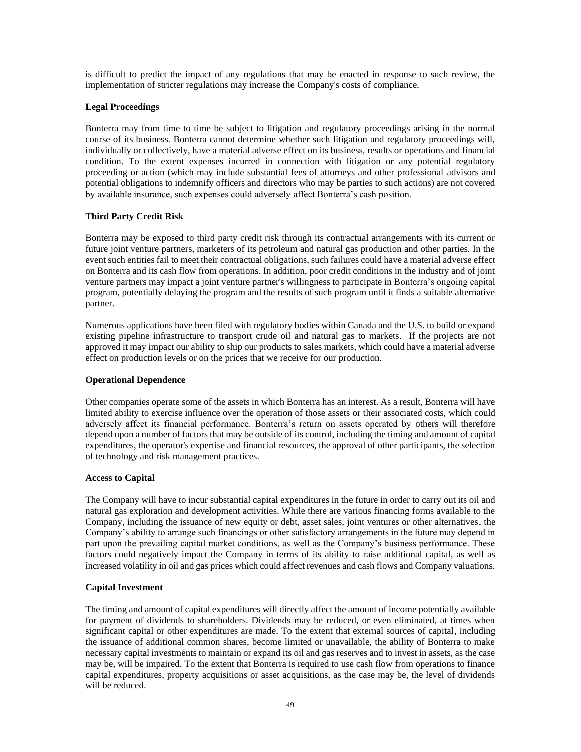is difficult to predict the impact of any regulations that may be enacted in response to such review, the implementation of stricter regulations may increase the Company's costs of compliance.

# **Legal Proceedings**

Bonterra may from time to time be subject to litigation and regulatory proceedings arising in the normal course of its business. Bonterra cannot determine whether such litigation and regulatory proceedings will, individually or collectively, have a material adverse effect on its business, results or operations and financial condition. To the extent expenses incurred in connection with litigation or any potential regulatory proceeding or action (which may include substantial fees of attorneys and other professional advisors and potential obligations to indemnify officers and directors who may be parties to such actions) are not covered by available insurance, such expenses could adversely affect Bonterra's cash position.

# **Third Party Credit Risk**

Bonterra may be exposed to third party credit risk through its contractual arrangements with its current or future joint venture partners, marketers of its petroleum and natural gas production and other parties. In the event such entities fail to meet their contractual obligations, such failures could have a material adverse effect on Bonterra and its cash flow from operations. In addition, poor credit conditions in the industry and of joint venture partners may impact a joint venture partner's willingness to participate in Bonterra's ongoing capital program, potentially delaying the program and the results of such program until it finds a suitable alternative partner.

Numerous applications have been filed with regulatory bodies within Canada and the U.S. to build or expand existing pipeline infrastructure to transport crude oil and natural gas to markets. If the projects are not approved it may impact our ability to ship our products to sales markets, which could have a material adverse effect on production levels or on the prices that we receive for our production.

# **Operational Dependence**

Other companies operate some of the assets in which Bonterra has an interest. As a result, Bonterra will have limited ability to exercise influence over the operation of those assets or their associated costs, which could adversely affect its financial performance. Bonterra's return on assets operated by others will therefore depend upon a number of factors that may be outside of its control, including the timing and amount of capital expenditures, the operator's expertise and financial resources, the approval of other participants, the selection of technology and risk management practices.

## **Access to Capital**

The Company will have to incur substantial capital expenditures in the future in order to carry out its oil and natural gas exploration and development activities. While there are various financing forms available to the Company, including the issuance of new equity or debt, asset sales, joint ventures or other alternatives, the Company's ability to arrange such financings or other satisfactory arrangements in the future may depend in part upon the prevailing capital market conditions, as well as the Company's business performance. These factors could negatively impact the Company in terms of its ability to raise additional capital, as well as increased volatility in oil and gas prices which could affect revenues and cash flows and Company valuations.

## **Capital Investment**

The timing and amount of capital expenditures will directly affect the amount of income potentially available for payment of dividends to shareholders. Dividends may be reduced, or even eliminated, at times when significant capital or other expenditures are made. To the extent that external sources of capital, including the issuance of additional common shares, become limited or unavailable, the ability of Bonterra to make necessary capital investments to maintain or expand its oil and gas reserves and to invest in assets, as the case may be, will be impaired. To the extent that Bonterra is required to use cash flow from operations to finance capital expenditures, property acquisitions or asset acquisitions, as the case may be, the level of dividends will be reduced.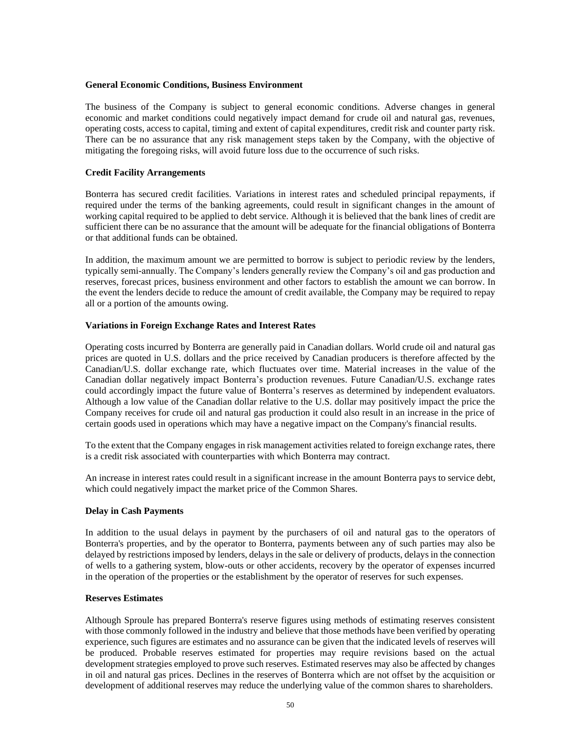### **General Economic Conditions, Business Environment**

The business of the Company is subject to general economic conditions. Adverse changes in general economic and market conditions could negatively impact demand for crude oil and natural gas, revenues, operating costs, access to capital, timing and extent of capital expenditures, credit risk and counter party risk. There can be no assurance that any risk management steps taken by the Company, with the objective of mitigating the foregoing risks, will avoid future loss due to the occurrence of such risks.

## **Credit Facility Arrangements**

Bonterra has secured credit facilities. Variations in interest rates and scheduled principal repayments, if required under the terms of the banking agreements, could result in significant changes in the amount of working capital required to be applied to debt service. Although it is believed that the bank lines of credit are sufficient there can be no assurance that the amount will be adequate for the financial obligations of Bonterra or that additional funds can be obtained.

In addition, the maximum amount we are permitted to borrow is subject to periodic review by the lenders, typically semi-annually. The Company's lenders generally review the Company's oil and gas production and reserves, forecast prices, business environment and other factors to establish the amount we can borrow. In the event the lenders decide to reduce the amount of credit available, the Company may be required to repay all or a portion of the amounts owing.

### **Variations in Foreign Exchange Rates and Interest Rates**

Operating costs incurred by Bonterra are generally paid in Canadian dollars. World crude oil and natural gas prices are quoted in U.S. dollars and the price received by Canadian producers is therefore affected by the Canadian/U.S. dollar exchange rate, which fluctuates over time. Material increases in the value of the Canadian dollar negatively impact Bonterra's production revenues. Future Canadian/U.S. exchange rates could accordingly impact the future value of Bonterra's reserves as determined by independent evaluators. Although a low value of the Canadian dollar relative to the U.S. dollar may positively impact the price the Company receives for crude oil and natural gas production it could also result in an increase in the price of certain goods used in operations which may have a negative impact on the Company's financial results.

To the extent that the Company engages in risk management activities related to foreign exchange rates, there is a credit risk associated with counterparties with which Bonterra may contract.

An increase in interest rates could result in a significant increase in the amount Bonterra pays to service debt, which could negatively impact the market price of the Common Shares.

## **Delay in Cash Payments**

In addition to the usual delays in payment by the purchasers of oil and natural gas to the operators of Bonterra's properties, and by the operator to Bonterra, payments between any of such parties may also be delayed by restrictions imposed by lenders, delays in the sale or delivery of products, delays in the connection of wells to a gathering system, blow-outs or other accidents, recovery by the operator of expenses incurred in the operation of the properties or the establishment by the operator of reserves for such expenses.

## **Reserves Estimates**

Although Sproule has prepared Bonterra's reserve figures using methods of estimating reserves consistent with those commonly followed in the industry and believe that those methods have been verified by operating experience, such figures are estimates and no assurance can be given that the indicated levels of reserves will be produced. Probable reserves estimated for properties may require revisions based on the actual development strategies employed to prove such reserves. Estimated reserves may also be affected by changes in oil and natural gas prices. Declines in the reserves of Bonterra which are not offset by the acquisition or development of additional reserves may reduce the underlying value of the common shares to shareholders.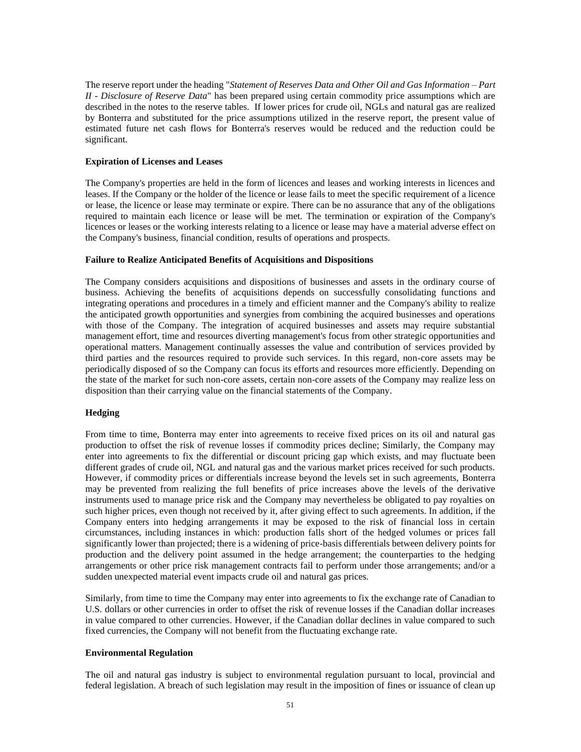The reserve report under the heading "*Statement of Reserves Data and Other Oil and Gas Information – Part II - Disclosure of Reserve Data*" has been prepared using certain commodity price assumptions which are described in the notes to the reserve tables. If lower prices for crude oil, NGLs and natural gas are realized by Bonterra and substituted for the price assumptions utilized in the reserve report, the present value of estimated future net cash flows for Bonterra's reserves would be reduced and the reduction could be significant.

## **Expiration of Licenses and Leases**

The Company's properties are held in the form of licences and leases and working interests in licences and leases. If the Company or the holder of the licence or lease fails to meet the specific requirement of a licence or lease, the licence or lease may terminate or expire. There can be no assurance that any of the obligations required to maintain each licence or lease will be met. The termination or expiration of the Company's licences or leases or the working interests relating to a licence or lease may have a material adverse effect on the Company's business, financial condition, results of operations and prospects.

### **Failure to Realize Anticipated Benefits of Acquisitions and Dispositions**

The Company considers acquisitions and dispositions of businesses and assets in the ordinary course of business. Achieving the benefits of acquisitions depends on successfully consolidating functions and integrating operations and procedures in a timely and efficient manner and the Company's ability to realize the anticipated growth opportunities and synergies from combining the acquired businesses and operations with those of the Company. The integration of acquired businesses and assets may require substantial management effort, time and resources diverting management's focus from other strategic opportunities and operational matters. Management continually assesses the value and contribution of services provided by third parties and the resources required to provide such services. In this regard, non-core assets may be periodically disposed of so the Company can focus its efforts and resources more efficiently. Depending on the state of the market for such non-core assets, certain non-core assets of the Company may realize less on disposition than their carrying value on the financial statements of the Company.

## **Hedging**

From time to time, Bonterra may enter into agreements to receive fixed prices on its oil and natural gas production to offset the risk of revenue losses if commodity prices decline; Similarly, the Company may enter into agreements to fix the differential or discount pricing gap which exists, and may fluctuate been different grades of crude oil, NGL and natural gas and the various market prices received for such products. However, if commodity prices or differentials increase beyond the levels set in such agreements, Bonterra may be prevented from realizing the full benefits of price increases above the levels of the derivative instruments used to manage price risk and the Company may nevertheless be obligated to pay royalties on such higher prices, even though not received by it, after giving effect to such agreements. In addition, if the Company enters into hedging arrangements it may be exposed to the risk of financial loss in certain circumstances, including instances in which: production falls short of the hedged volumes or prices fall significantly lower than projected; there is a widening of price-basis differentials between delivery points for production and the delivery point assumed in the hedge arrangement; the counterparties to the hedging arrangements or other price risk management contracts fail to perform under those arrangements; and/or a sudden unexpected material event impacts crude oil and natural gas prices.

Similarly, from time to time the Company may enter into agreements to fix the exchange rate of Canadian to U.S. dollars or other currencies in order to offset the risk of revenue losses if the Canadian dollar increases in value compared to other currencies. However, if the Canadian dollar declines in value compared to such fixed currencies, the Company will not benefit from the fluctuating exchange rate.

# **Environmental Regulation**

The oil and natural gas industry is subject to environmental regulation pursuant to local, provincial and federal legislation. A breach of such legislation may result in the imposition of fines or issuance of clean up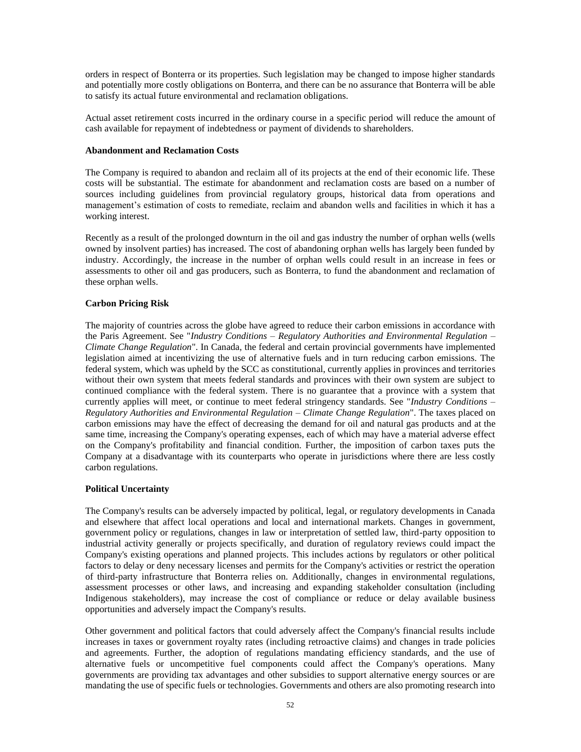orders in respect of Bonterra or its properties. Such legislation may be changed to impose higher standards and potentially more costly obligations on Bonterra, and there can be no assurance that Bonterra will be able to satisfy its actual future environmental and reclamation obligations.

Actual asset retirement costs incurred in the ordinary course in a specific period will reduce the amount of cash available for repayment of indebtedness or payment of dividends to shareholders.

## **Abandonment and Reclamation Costs**

The Company is required to abandon and reclaim all of its projects at the end of their economic life. These costs will be substantial. The estimate for abandonment and reclamation costs are based on a number of sources including guidelines from provincial regulatory groups, historical data from operations and management's estimation of costs to remediate, reclaim and abandon wells and facilities in which it has a working interest.

Recently as a result of the prolonged downturn in the oil and gas industry the number of orphan wells (wells owned by insolvent parties) has increased. The cost of abandoning orphan wells has largely been funded by industry. Accordingly, the increase in the number of orphan wells could result in an increase in fees or assessments to other oil and gas producers, such as Bonterra, to fund the abandonment and reclamation of these orphan wells.

## **Carbon Pricing Risk**

The majority of countries across the globe have agreed to reduce their carbon emissions in accordance with the Paris Agreement. See "*Industry Conditions – Regulatory Authorities and Environmental Regulation – Climate Change Regulation*". In Canada, the federal and certain provincial governments have implemented legislation aimed at incentivizing the use of alternative fuels and in turn reducing carbon emissions. The federal system, which was upheld by the SCC as constitutional, currently applies in provinces and territories without their own system that meets federal standards and provinces with their own system are subject to continued compliance with the federal system. There is no guarantee that a province with a system that currently applies will meet, or continue to meet federal stringency standards. See "*Industry Conditions – Regulatory Authorities and Environmental Regulation – Climate Change Regulation*". The taxes placed on carbon emissions may have the effect of decreasing the demand for oil and natural gas products and at the same time, increasing the Company's operating expenses, each of which may have a material adverse effect on the Company's profitability and financial condition. Further, the imposition of carbon taxes puts the Company at a disadvantage with its counterparts who operate in jurisdictions where there are less costly carbon regulations.

#### **Political Uncertainty**

The Company's results can be adversely impacted by political, legal, or regulatory developments in Canada and elsewhere that affect local operations and local and international markets. Changes in government, government policy or regulations, changes in law or interpretation of settled law, third-party opposition to industrial activity generally or projects specifically, and duration of regulatory reviews could impact the Company's existing operations and planned projects. This includes actions by regulators or other political factors to delay or deny necessary licenses and permits for the Company's activities or restrict the operation of third-party infrastructure that Bonterra relies on. Additionally, changes in environmental regulations, assessment processes or other laws, and increasing and expanding stakeholder consultation (including Indigenous stakeholders), may increase the cost of compliance or reduce or delay available business opportunities and adversely impact the Company's results.

Other government and political factors that could adversely affect the Company's financial results include increases in taxes or government royalty rates (including retroactive claims) and changes in trade policies and agreements. Further, the adoption of regulations mandating efficiency standards, and the use of alternative fuels or uncompetitive fuel components could affect the Company's operations. Many governments are providing tax advantages and other subsidies to support alternative energy sources or are mandating the use of specific fuels or technologies. Governments and others are also promoting research into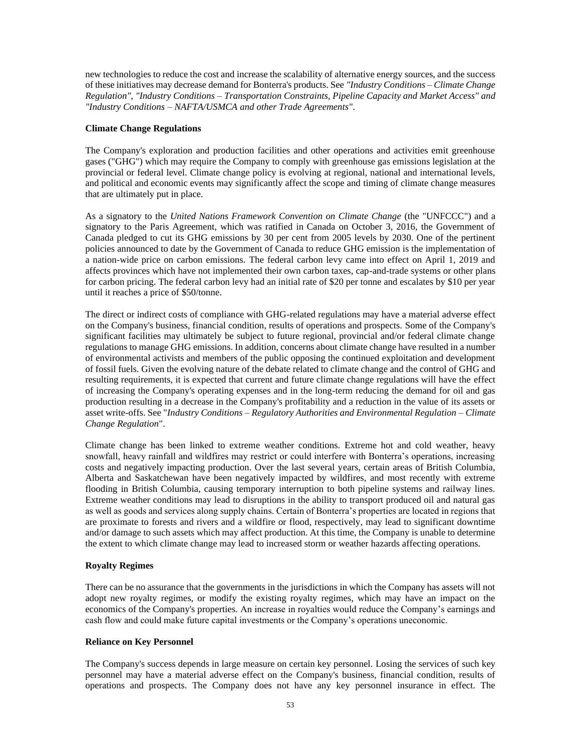new technologies to reduce the cost and increase the scalability of alternative energy sources, and the success of these initiatives may decrease demand for Bonterra's products. See *"Industry Conditions – Climate Change Regulation", "Industry Conditions – Transportation Constraints, Pipeline Capacity and Market Access" and "Industry Conditions – NAFTA/USMCA and other Trade Agreements"*.

## **Climate Change Regulations**

The Company's exploration and production facilities and other operations and activities emit greenhouse gases ("GHG") which may require the Company to comply with greenhouse gas emissions legislation at the provincial or federal level. Climate change policy is evolving at regional, national and international levels, and political and economic events may significantly affect the scope and timing of climate change measures that are ultimately put in place.

As a signatory to the *United Nations Framework Convention on Climate Change* (the "UNFCCC") and a signatory to the Paris Agreement, which was ratified in Canada on October 3, 2016, the Government of Canada pledged to cut its GHG emissions by 30 per cent from 2005 levels by 2030. One of the pertinent policies announced to date by the Government of Canada to reduce GHG emission is the implementation of a nation-wide price on carbon emissions. The federal carbon levy came into effect on April 1, 2019 and affects provinces which have not implemented their own carbon taxes, cap-and-trade systems or other plans for carbon pricing. The federal carbon levy had an initial rate of \$20 per tonne and escalates by \$10 per year until it reaches a price of \$50/tonne.

The direct or indirect costs of compliance with GHG-related regulations may have a material adverse effect on the Company's business, financial condition, results of operations and prospects. Some of the Company's significant facilities may ultimately be subject to future regional, provincial and/or federal climate change regulations to manage GHG emissions. In addition, concerns about climate change have resulted in a number of environmental activists and members of the public opposing the continued exploitation and development of fossil fuels. Given the evolving nature of the debate related to climate change and the control of GHG and resulting requirements, it is expected that current and future climate change regulations will have the effect of increasing the Company's operating expenses and in the long-term reducing the demand for oil and gas production resulting in a decrease in the Company's profitability and a reduction in the value of its assets or asset write-offs. See "*Industry Conditions – Regulatory Authorities and Environmental Regulation – Climate Change Regulation*".

Climate change has been linked to extreme weather conditions. Extreme hot and cold weather, heavy snowfall, heavy rainfall and wildfires may restrict or could interfere with Bonterra's operations, increasing costs and negatively impacting production. Over the last several years, certain areas of British Columbia, Alberta and Saskatchewan have been negatively impacted by wildfires, and most recently with extreme flooding in British Columbia, causing temporary interruption to both pipeline systems and railway lines. Extreme weather conditions may lead to disruptions in the ability to transport produced oil and natural gas as well as goods and services along supply chains. Certain of Bonterra's properties are located in regions that are proximate to forests and rivers and a wildfire or flood, respectively, may lead to significant downtime and/or damage to such assets which may affect production. At this time, the Company is unable to determine the extent to which climate change may lead to increased storm or weather hazards affecting operations.

## **Royalty Regimes**

There can be no assurance that the governments in the jurisdictions in which the Company has assets will not adopt new royalty regimes, or modify the existing royalty regimes, which may have an impact on the economics of the Company's properties. An increase in royalties would reduce the Company's earnings and cash flow and could make future capital investments or the Company's operations uneconomic.

## **Reliance on Key Personnel**

The Company's success depends in large measure on certain key personnel. Losing the services of such key personnel may have a material adverse effect on the Company's business, financial condition, results of operations and prospects. The Company does not have any key personnel insurance in effect. The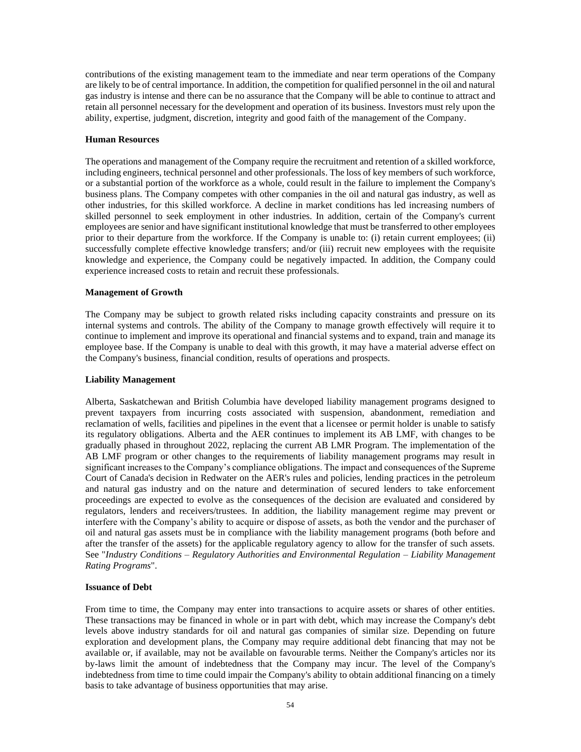contributions of the existing management team to the immediate and near term operations of the Company are likely to be of central importance. In addition, the competition for qualified personnel in the oil and natural gas industry is intense and there can be no assurance that the Company will be able to continue to attract and retain all personnel necessary for the development and operation of its business. Investors must rely upon the ability, expertise, judgment, discretion, integrity and good faith of the management of the Company.

## **Human Resources**

The operations and management of the Company require the recruitment and retention of a skilled workforce, including engineers, technical personnel and other professionals. The loss of key members of such workforce, or a substantial portion of the workforce as a whole, could result in the failure to implement the Company's business plans. The Company competes with other companies in the oil and natural gas industry, as well as other industries, for this skilled workforce. A decline in market conditions has led increasing numbers of skilled personnel to seek employment in other industries. In addition, certain of the Company's current employees are senior and have significant institutional knowledge that must be transferred to other employees prior to their departure from the workforce. If the Company is unable to: (i) retain current employees; (ii) successfully complete effective knowledge transfers; and/or (iii) recruit new employees with the requisite knowledge and experience, the Company could be negatively impacted. In addition, the Company could experience increased costs to retain and recruit these professionals.

## **Management of Growth**

The Company may be subject to growth related risks including capacity constraints and pressure on its internal systems and controls. The ability of the Company to manage growth effectively will require it to continue to implement and improve its operational and financial systems and to expand, train and manage its employee base. If the Company is unable to deal with this growth, it may have a material adverse effect on the Company's business, financial condition, results of operations and prospects.

### **Liability Management**

Alberta, Saskatchewan and British Columbia have developed liability management programs designed to prevent taxpayers from incurring costs associated with suspension, abandonment, remediation and reclamation of wells, facilities and pipelines in the event that a licensee or permit holder is unable to satisfy its regulatory obligations. Alberta and the AER continues to implement its AB LMF, with changes to be gradually phased in throughout 2022, replacing the current AB LMR Program. The implementation of the AB LMF program or other changes to the requirements of liability management programs may result in significant increases to the Company's compliance obligations. The impact and consequences of the Supreme Court of Canada's decision in Redwater on the AER's rules and policies, lending practices in the petroleum and natural gas industry and on the nature and determination of secured lenders to take enforcement proceedings are expected to evolve as the consequences of the decision are evaluated and considered by regulators, lenders and receivers/trustees. In addition, the liability management regime may prevent or interfere with the Company's ability to acquire or dispose of assets, as both the vendor and the purchaser of oil and natural gas assets must be in compliance with the liability management programs (both before and after the transfer of the assets) for the applicable regulatory agency to allow for the transfer of such assets. See "*Industry Conditions – Regulatory Authorities and Environmental Regulation – Liability Management Rating Programs*".

## **Issuance of Debt**

From time to time, the Company may enter into transactions to acquire assets or shares of other entities. These transactions may be financed in whole or in part with debt, which may increase the Company's debt levels above industry standards for oil and natural gas companies of similar size. Depending on future exploration and development plans, the Company may require additional debt financing that may not be available or, if available, may not be available on favourable terms. Neither the Company's articles nor its by-laws limit the amount of indebtedness that the Company may incur. The level of the Company's indebtedness from time to time could impair the Company's ability to obtain additional financing on a timely basis to take advantage of business opportunities that may arise.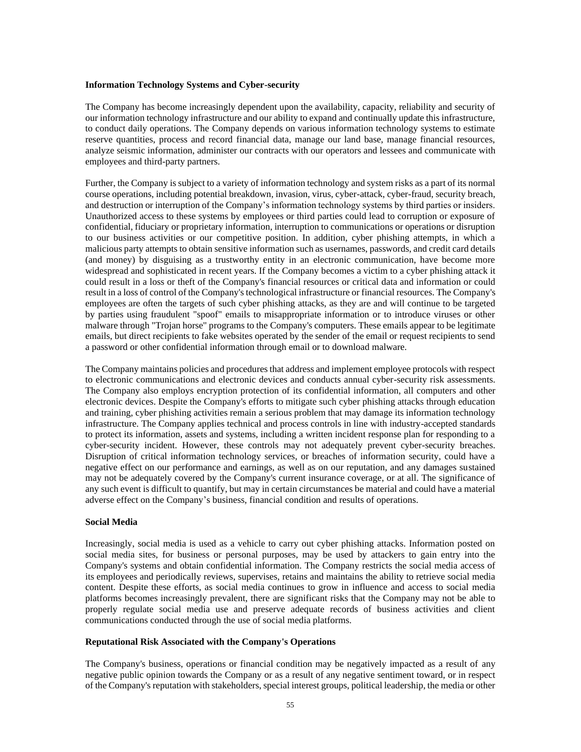#### **Information Technology Systems and Cyber-security**

The Company has become increasingly dependent upon the availability, capacity, reliability and security of our information technology infrastructure and our ability to expand and continually update this infrastructure, to conduct daily operations. The Company depends on various information technology systems to estimate reserve quantities, process and record financial data, manage our land base, manage financial resources, analyze seismic information, administer our contracts with our operators and lessees and communicate with employees and third-party partners.

Further, the Company is subject to a variety of information technology and system risks as a part of its normal course operations, including potential breakdown, invasion, virus, cyber-attack, cyber-fraud, security breach, and destruction or interruption of the Company's information technology systems by third parties or insiders. Unauthorized access to these systems by employees or third parties could lead to corruption or exposure of confidential, fiduciary or proprietary information, interruption to communications or operations or disruption to our business activities or our competitive position. In addition, cyber phishing attempts, in which a malicious party attempts to obtain sensitive information such as usernames, passwords, and credit card details (and money) by disguising as a trustworthy entity in an electronic communication, have become more widespread and sophisticated in recent years. If the Company becomes a victim to a cyber phishing attack it could result in a loss or theft of the Company's financial resources or critical data and information or could result in a loss of control of the Company's technological infrastructure or financial resources. The Company's employees are often the targets of such cyber phishing attacks, as they are and will continue to be targeted by parties using fraudulent "spoof" emails to misappropriate information or to introduce viruses or other malware through "Trojan horse" programs to the Company's computers. These emails appear to be legitimate emails, but direct recipients to fake websites operated by the sender of the email or request recipients to send a password or other confidential information through email or to download malware.

The Company maintains policies and procedures that address and implement employee protocols with respect to electronic communications and electronic devices and conducts annual cyber-security risk assessments. The Company also employs encryption protection of its confidential information, all computers and other electronic devices. Despite the Company's efforts to mitigate such cyber phishing attacks through education and training, cyber phishing activities remain a serious problem that may damage its information technology infrastructure. The Company applies technical and process controls in line with industry-accepted standards to protect its information, assets and systems, including a written incident response plan for responding to a cyber-security incident. However, these controls may not adequately prevent cyber-security breaches. Disruption of critical information technology services, or breaches of information security, could have a negative effect on our performance and earnings, as well as on our reputation, and any damages sustained may not be adequately covered by the Company's current insurance coverage, or at all. The significance of any such event is difficult to quantify, but may in certain circumstances be material and could have a material adverse effect on the Company's business, financial condition and results of operations.

### **Social Media**

Increasingly, social media is used as a vehicle to carry out cyber phishing attacks. Information posted on social media sites, for business or personal purposes, may be used by attackers to gain entry into the Company's systems and obtain confidential information. The Company restricts the social media access of its employees and periodically reviews, supervises, retains and maintains the ability to retrieve social media content. Despite these efforts, as social media continues to grow in influence and access to social media platforms becomes increasingly prevalent, there are significant risks that the Company may not be able to properly regulate social media use and preserve adequate records of business activities and client communications conducted through the use of social media platforms.

# **Reputational Risk Associated with the Company's Operations**

The Company's business, operations or financial condition may be negatively impacted as a result of any negative public opinion towards the Company or as a result of any negative sentiment toward, or in respect of the Company's reputation with stakeholders, special interest groups, political leadership, the media or other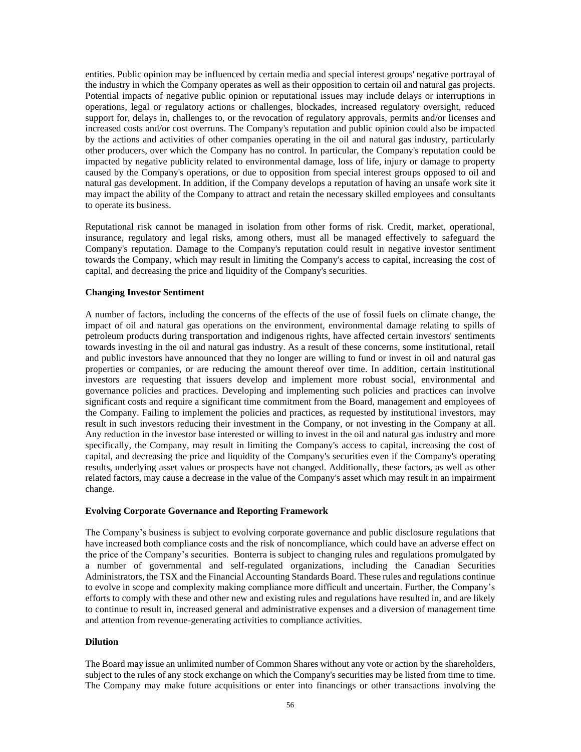entities. Public opinion may be influenced by certain media and special interest groups' negative portrayal of the industry in which the Company operates as well as their opposition to certain oil and natural gas projects. Potential impacts of negative public opinion or reputational issues may include delays or interruptions in operations, legal or regulatory actions or challenges, blockades, increased regulatory oversight, reduced support for, delays in, challenges to, or the revocation of regulatory approvals, permits and/or licenses and increased costs and/or cost overruns. The Company's reputation and public opinion could also be impacted by the actions and activities of other companies operating in the oil and natural gas industry, particularly other producers, over which the Company has no control. In particular, the Company's reputation could be impacted by negative publicity related to environmental damage, loss of life, injury or damage to property caused by the Company's operations, or due to opposition from special interest groups opposed to oil and natural gas development. In addition, if the Company develops a reputation of having an unsafe work site it may impact the ability of the Company to attract and retain the necessary skilled employees and consultants to operate its business.

Reputational risk cannot be managed in isolation from other forms of risk. Credit, market, operational, insurance, regulatory and legal risks, among others, must all be managed effectively to safeguard the Company's reputation. Damage to the Company's reputation could result in negative investor sentiment towards the Company, which may result in limiting the Company's access to capital, increasing the cost of capital, and decreasing the price and liquidity of the Company's securities.

## **Changing Investor Sentiment**

A number of factors, including the concerns of the effects of the use of fossil fuels on climate change, the impact of oil and natural gas operations on the environment, environmental damage relating to spills of petroleum products during transportation and indigenous rights, have affected certain investors' sentiments towards investing in the oil and natural gas industry. As a result of these concerns, some institutional, retail and public investors have announced that they no longer are willing to fund or invest in oil and natural gas properties or companies, or are reducing the amount thereof over time. In addition, certain institutional investors are requesting that issuers develop and implement more robust social, environmental and governance policies and practices. Developing and implementing such policies and practices can involve significant costs and require a significant time commitment from the Board, management and employees of the Company. Failing to implement the policies and practices, as requested by institutional investors, may result in such investors reducing their investment in the Company, or not investing in the Company at all. Any reduction in the investor base interested or willing to invest in the oil and natural gas industry and more specifically, the Company, may result in limiting the Company's access to capital, increasing the cost of capital, and decreasing the price and liquidity of the Company's securities even if the Company's operating results, underlying asset values or prospects have not changed. Additionally, these factors, as well as other related factors, may cause a decrease in the value of the Company's asset which may result in an impairment change.

## **Evolving Corporate Governance and Reporting Framework**

The Company's business is subject to evolving corporate governance and public disclosure regulations that have increased both compliance costs and the risk of noncompliance, which could have an adverse effect on the price of the Company's securities. Bonterra is subject to changing rules and regulations promulgated by a number of governmental and self-regulated organizations, including the Canadian Securities Administrators, the TSX and the Financial Accounting Standards Board. These rules and regulations continue to evolve in scope and complexity making compliance more difficult and uncertain. Further, the Company's efforts to comply with these and other new and existing rules and regulations have resulted in, and are likely to continue to result in, increased general and administrative expenses and a diversion of management time and attention from revenue-generating activities to compliance activities.

## **Dilution**

The Board may issue an unlimited number of Common Shares without any vote or action by the shareholders, subject to the rules of any stock exchange on which the Company's securities may be listed from time to time. The Company may make future acquisitions or enter into financings or other transactions involving the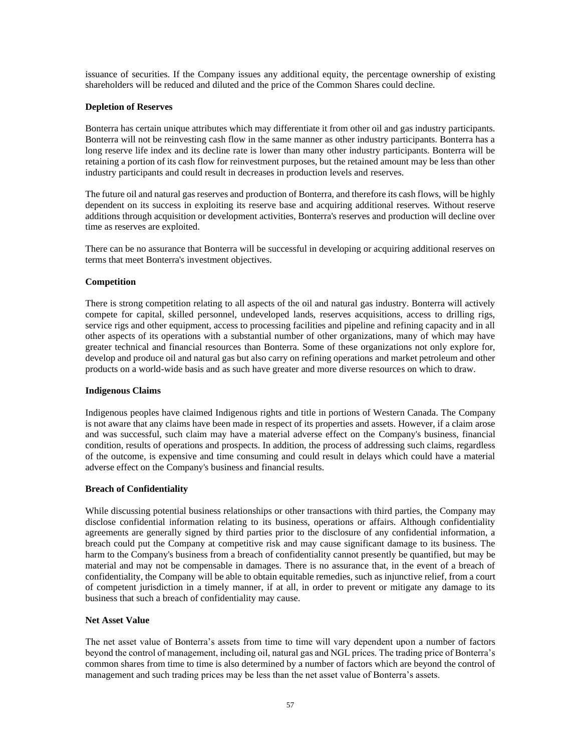issuance of securities. If the Company issues any additional equity, the percentage ownership of existing shareholders will be reduced and diluted and the price of the Common Shares could decline.

## **Depletion of Reserves**

Bonterra has certain unique attributes which may differentiate it from other oil and gas industry participants. Bonterra will not be reinvesting cash flow in the same manner as other industry participants. Bonterra has a long reserve life index and its decline rate is lower than many other industry participants. Bonterra will be retaining a portion of its cash flow for reinvestment purposes, but the retained amount may be less than other industry participants and could result in decreases in production levels and reserves.

The future oil and natural gas reserves and production of Bonterra, and therefore its cash flows, will be highly dependent on its success in exploiting its reserve base and acquiring additional reserves. Without reserve additions through acquisition or development activities, Bonterra's reserves and production will decline over time as reserves are exploited.

There can be no assurance that Bonterra will be successful in developing or acquiring additional reserves on terms that meet Bonterra's investment objectives.

# **Competition**

There is strong competition relating to all aspects of the oil and natural gas industry. Bonterra will actively compete for capital, skilled personnel, undeveloped lands, reserves acquisitions, access to drilling rigs, service rigs and other equipment, access to processing facilities and pipeline and refining capacity and in all other aspects of its operations with a substantial number of other organizations, many of which may have greater technical and financial resources than Bonterra. Some of these organizations not only explore for, develop and produce oil and natural gas but also carry on refining operations and market petroleum and other products on a world-wide basis and as such have greater and more diverse resources on which to draw.

## **Indigenous Claims**

Indigenous peoples have claimed Indigenous rights and title in portions of Western Canada. The Company is not aware that any claims have been made in respect of its properties and assets. However, if a claim arose and was successful, such claim may have a material adverse effect on the Company's business, financial condition, results of operations and prospects. In addition, the process of addressing such claims, regardless of the outcome, is expensive and time consuming and could result in delays which could have a material adverse effect on the Company's business and financial results.

## **Breach of Confidentiality**

While discussing potential business relationships or other transactions with third parties, the Company may disclose confidential information relating to its business, operations or affairs. Although confidentiality agreements are generally signed by third parties prior to the disclosure of any confidential information, a breach could put the Company at competitive risk and may cause significant damage to its business. The harm to the Company's business from a breach of confidentiality cannot presently be quantified, but may be material and may not be compensable in damages. There is no assurance that, in the event of a breach of confidentiality, the Company will be able to obtain equitable remedies, such as injunctive relief, from a court of competent jurisdiction in a timely manner, if at all, in order to prevent or mitigate any damage to its business that such a breach of confidentiality may cause.

## **Net Asset Value**

The net asset value of Bonterra's assets from time to time will vary dependent upon a number of factors beyond the control of management, including oil, natural gas and NGL prices. The trading price of Bonterra's common shares from time to time is also determined by a number of factors which are beyond the control of management and such trading prices may be less than the net asset value of Bonterra's assets.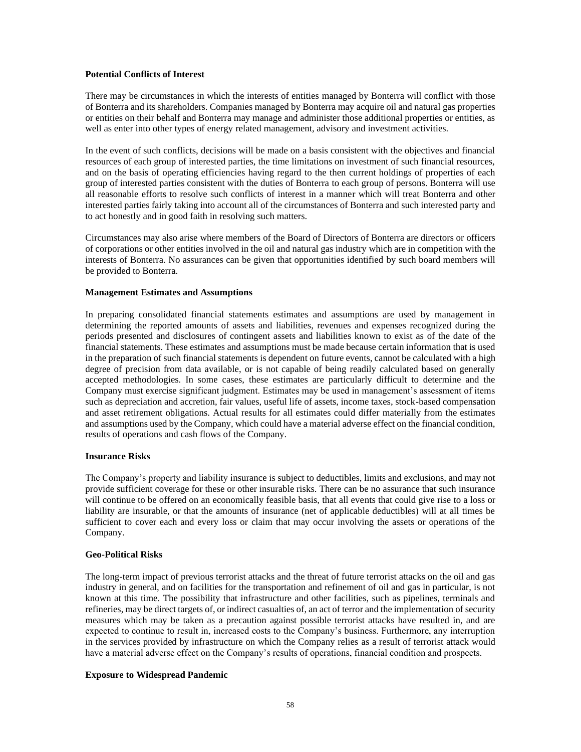## **Potential Conflicts of Interest**

There may be circumstances in which the interests of entities managed by Bonterra will conflict with those of Bonterra and its shareholders. Companies managed by Bonterra may acquire oil and natural gas properties or entities on their behalf and Bonterra may manage and administer those additional properties or entities, as well as enter into other types of energy related management, advisory and investment activities.

In the event of such conflicts, decisions will be made on a basis consistent with the objectives and financial resources of each group of interested parties, the time limitations on investment of such financial resources, and on the basis of operating efficiencies having regard to the then current holdings of properties of each group of interested parties consistent with the duties of Bonterra to each group of persons. Bonterra will use all reasonable efforts to resolve such conflicts of interest in a manner which will treat Bonterra and other interested parties fairly taking into account all of the circumstances of Bonterra and such interested party and to act honestly and in good faith in resolving such matters.

Circumstances may also arise where members of the Board of Directors of Bonterra are directors or officers of corporations or other entities involved in the oil and natural gas industry which are in competition with the interests of Bonterra. No assurances can be given that opportunities identified by such board members will be provided to Bonterra.

### **Management Estimates and Assumptions**

In preparing consolidated financial statements estimates and assumptions are used by management in determining the reported amounts of assets and liabilities, revenues and expenses recognized during the periods presented and disclosures of contingent assets and liabilities known to exist as of the date of the financial statements. These estimates and assumptions must be made because certain information that is used in the preparation of such financial statements is dependent on future events, cannot be calculated with a high degree of precision from data available, or is not capable of being readily calculated based on generally accepted methodologies. In some cases, these estimates are particularly difficult to determine and the Company must exercise significant judgment. Estimates may be used in management's assessment of items such as depreciation and accretion, fair values, useful life of assets, income taxes, stock-based compensation and asset retirement obligations. Actual results for all estimates could differ materially from the estimates and assumptions used by the Company, which could have a material adverse effect on the financial condition, results of operations and cash flows of the Company.

## **Insurance Risks**

The Company's property and liability insurance is subject to deductibles, limits and exclusions, and may not provide sufficient coverage for these or other insurable risks. There can be no assurance that such insurance will continue to be offered on an economically feasible basis, that all events that could give rise to a loss or liability are insurable, or that the amounts of insurance (net of applicable deductibles) will at all times be sufficient to cover each and every loss or claim that may occur involving the assets or operations of the Company.

## **Geo-Political Risks**

The long-term impact of previous terrorist attacks and the threat of future terrorist attacks on the oil and gas industry in general, and on facilities for the transportation and refinement of oil and gas in particular, is not known at this time. The possibility that infrastructure and other facilities, such as pipelines, terminals and refineries, may be direct targets of, or indirect casualties of, an act of terror and the implementation of security measures which may be taken as a precaution against possible terrorist attacks have resulted in, and are expected to continue to result in, increased costs to the Company's business. Furthermore, any interruption in the services provided by infrastructure on which the Company relies as a result of terrorist attack would have a material adverse effect on the Company's results of operations, financial condition and prospects.

## **Exposure to Widespread Pandemic**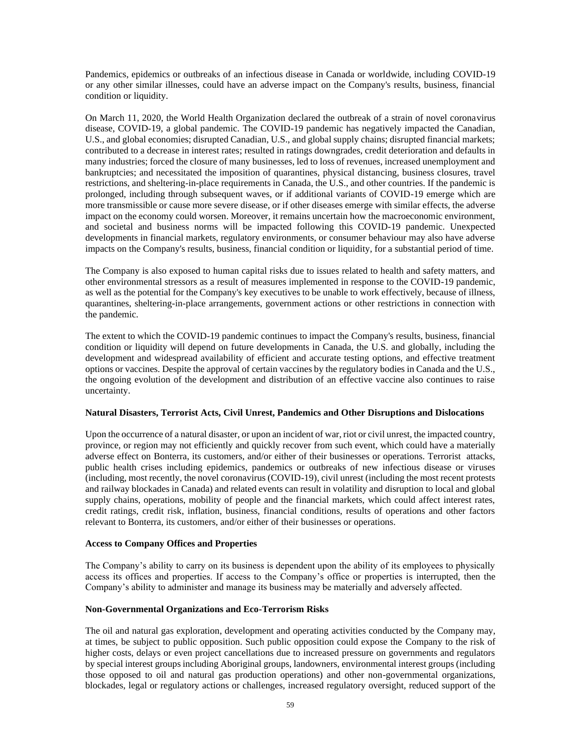Pandemics, epidemics or outbreaks of an infectious disease in Canada or worldwide, including COVID-19 or any other similar illnesses, could have an adverse impact on the Company's results, business, financial condition or liquidity.

On March 11, 2020, the World Health Organization declared the outbreak of a strain of novel coronavirus disease, COVID-19, a global pandemic. The COVID-19 pandemic has negatively impacted the Canadian, U.S., and global economies; disrupted Canadian, U.S., and global supply chains; disrupted financial markets; contributed to a decrease in interest rates; resulted in ratings downgrades, credit deterioration and defaults in many industries; forced the closure of many businesses, led to loss of revenues, increased unemployment and bankruptcies; and necessitated the imposition of quarantines, physical distancing, business closures, travel restrictions, and sheltering-in-place requirements in Canada, the U.S., and other countries. If the pandemic is prolonged, including through subsequent waves, or if additional variants of COVID-19 emerge which are more transmissible or cause more severe disease, or if other diseases emerge with similar effects, the adverse impact on the economy could worsen. Moreover, it remains uncertain how the macroeconomic environment, and societal and business norms will be impacted following this COVID-19 pandemic. Unexpected developments in financial markets, regulatory environments, or consumer behaviour may also have adverse impacts on the Company's results, business, financial condition or liquidity, for a substantial period of time.

The Company is also exposed to human capital risks due to issues related to health and safety matters, and other environmental stressors as a result of measures implemented in response to the COVID-19 pandemic, as well as the potential for the Company's key executives to be unable to work effectively, because of illness, quarantines, sheltering-in-place arrangements, government actions or other restrictions in connection with the pandemic.

The extent to which the COVID-19 pandemic continues to impact the Company's results, business, financial condition or liquidity will depend on future developments in Canada, the U.S. and globally, including the development and widespread availability of efficient and accurate testing options, and effective treatment options or vaccines. Despite the approval of certain vaccines by the regulatory bodies in Canada and the U.S., the ongoing evolution of the development and distribution of an effective vaccine also continues to raise uncertainty.

## **Natural Disasters, Terrorist Acts, Civil Unrest, Pandemics and Other Disruptions and Dislocations**

Upon the occurrence of a natural disaster, or upon an incident of war, riot or civil unrest, the impacted country, province, or region may not efficiently and quickly recover from such event, which could have a materially adverse effect on Bonterra, its customers, and/or either of their businesses or operations. Terrorist attacks, public health crises including epidemics, pandemics or outbreaks of new infectious disease or viruses (including, most recently, the novel coronavirus (COVID-19), civil unrest (including the most recent protests and railway blockades in Canada) and related events can result in volatility and disruption to local and global supply chains, operations, mobility of people and the financial markets, which could affect interest rates, credit ratings, credit risk, inflation, business, financial conditions, results of operations and other factors relevant to Bonterra, its customers, and/or either of their businesses or operations.

## **Access to Company Offices and Properties**

The Company's ability to carry on its business is dependent upon the ability of its employees to physically access its offices and properties. If access to the Company's office or properties is interrupted, then the Company's ability to administer and manage its business may be materially and adversely affected.

# **Non-Governmental Organizations and Eco-Terrorism Risks**

The oil and natural gas exploration, development and operating activities conducted by the Company may, at times, be subject to public opposition. Such public opposition could expose the Company to the risk of higher costs, delays or even project cancellations due to increased pressure on governments and regulators by special interest groups including Aboriginal groups, landowners, environmental interest groups (including those opposed to oil and natural gas production operations) and other non-governmental organizations, blockades, legal or regulatory actions or challenges, increased regulatory oversight, reduced support of the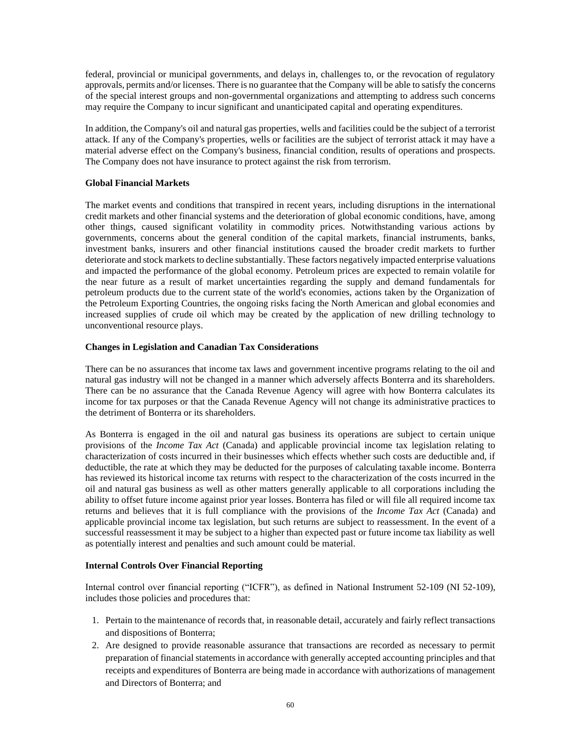federal, provincial or municipal governments, and delays in, challenges to, or the revocation of regulatory approvals, permits and/or licenses. There is no guarantee that the Company will be able to satisfy the concerns of the special interest groups and non-governmental organizations and attempting to address such concerns may require the Company to incur significant and unanticipated capital and operating expenditures.

In addition, the Company's oil and natural gas properties, wells and facilities could be the subject of a terrorist attack. If any of the Company's properties, wells or facilities are the subject of terrorist attack it may have a material adverse effect on the Company's business, financial condition, results of operations and prospects. The Company does not have insurance to protect against the risk from terrorism.

# **Global Financial Markets**

The market events and conditions that transpired in recent years, including disruptions in the international credit markets and other financial systems and the deterioration of global economic conditions, have, among other things, caused significant volatility in commodity prices. Notwithstanding various actions by governments, concerns about the general condition of the capital markets, financial instruments, banks, investment banks, insurers and other financial institutions caused the broader credit markets to further deteriorate and stock markets to decline substantially. These factors negatively impacted enterprise valuations and impacted the performance of the global economy. Petroleum prices are expected to remain volatile for the near future as a result of market uncertainties regarding the supply and demand fundamentals for petroleum products due to the current state of the world's economies, actions taken by the Organization of the Petroleum Exporting Countries, the ongoing risks facing the North American and global economies and increased supplies of crude oil which may be created by the application of new drilling technology to unconventional resource plays.

## **Changes in Legislation and Canadian Tax Considerations**

There can be no assurances that income tax laws and government incentive programs relating to the oil and natural gas industry will not be changed in a manner which adversely affects Bonterra and its shareholders. There can be no assurance that the Canada Revenue Agency will agree with how Bonterra calculates its income for tax purposes or that the Canada Revenue Agency will not change its administrative practices to the detriment of Bonterra or its shareholders.

As Bonterra is engaged in the oil and natural gas business its operations are subject to certain unique provisions of the *Income Tax Act* (Canada) and applicable provincial income tax legislation relating to characterization of costs incurred in their businesses which effects whether such costs are deductible and, if deductible, the rate at which they may be deducted for the purposes of calculating taxable income. Bonterra has reviewed its historical income tax returns with respect to the characterization of the costs incurred in the oil and natural gas business as well as other matters generally applicable to all corporations including the ability to offset future income against prior year losses. Bonterra has filed or will file all required income tax returns and believes that it is full compliance with the provisions of the *Income Tax Act* (Canada) and applicable provincial income tax legislation, but such returns are subject to reassessment. In the event of a successful reassessment it may be subject to a higher than expected past or future income tax liability as well as potentially interest and penalties and such amount could be material.

## **Internal Controls Over Financial Reporting**

Internal control over financial reporting ("ICFR"), as defined in National Instrument 52-109 (NI 52-109), includes those policies and procedures that:

- 1. Pertain to the maintenance of records that, in reasonable detail, accurately and fairly reflect transactions and dispositions of Bonterra;
- 2. Are designed to provide reasonable assurance that transactions are recorded as necessary to permit preparation of financial statements in accordance with generally accepted accounting principles and that receipts and expenditures of Bonterra are being made in accordance with authorizations of management and Directors of Bonterra; and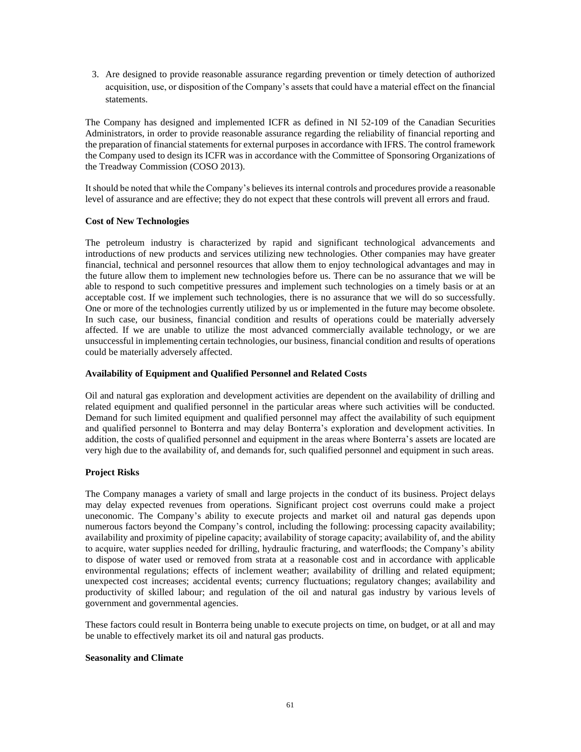3. Are designed to provide reasonable assurance regarding prevention or timely detection of authorized acquisition, use, or disposition of the Company's assets that could have a material effect on the financial statements.

The Company has designed and implemented ICFR as defined in NI 52-109 of the Canadian Securities Administrators, in order to provide reasonable assurance regarding the reliability of financial reporting and the preparation of financial statements for external purposes in accordance with IFRS. The control framework the Company used to design its ICFR was in accordance with the Committee of Sponsoring Organizations of the Treadway Commission (COSO 2013).

It should be noted that while the Company's believes its internal controls and procedures provide a reasonable level of assurance and are effective; they do not expect that these controls will prevent all errors and fraud.

# **Cost of New Technologies**

The petroleum industry is characterized by rapid and significant technological advancements and introductions of new products and services utilizing new technologies. Other companies may have greater financial, technical and personnel resources that allow them to enjoy technological advantages and may in the future allow them to implement new technologies before us. There can be no assurance that we will be able to respond to such competitive pressures and implement such technologies on a timely basis or at an acceptable cost. If we implement such technologies, there is no assurance that we will do so successfully. One or more of the technologies currently utilized by us or implemented in the future may become obsolete. In such case, our business, financial condition and results of operations could be materially adversely affected. If we are unable to utilize the most advanced commercially available technology, or we are unsuccessful in implementing certain technologies, our business, financial condition and results of operations could be materially adversely affected.

# **Availability of Equipment and Qualified Personnel and Related Costs**

Oil and natural gas exploration and development activities are dependent on the availability of drilling and related equipment and qualified personnel in the particular areas where such activities will be conducted. Demand for such limited equipment and qualified personnel may affect the availability of such equipment and qualified personnel to Bonterra and may delay Bonterra's exploration and development activities. In addition, the costs of qualified personnel and equipment in the areas where Bonterra's assets are located are very high due to the availability of, and demands for, such qualified personnel and equipment in such areas.

## **Project Risks**

The Company manages a variety of small and large projects in the conduct of its business. Project delays may delay expected revenues from operations. Significant project cost overruns could make a project uneconomic. The Company's ability to execute projects and market oil and natural gas depends upon numerous factors beyond the Company's control, including the following: processing capacity availability; availability and proximity of pipeline capacity; availability of storage capacity; availability of, and the ability to acquire, water supplies needed for drilling, hydraulic fracturing, and waterfloods; the Company's ability to dispose of water used or removed from strata at a reasonable cost and in accordance with applicable environmental regulations; effects of inclement weather; availability of drilling and related equipment; unexpected cost increases; accidental events; currency fluctuations; regulatory changes; availability and productivity of skilled labour; and regulation of the oil and natural gas industry by various levels of government and governmental agencies.

These factors could result in Bonterra being unable to execute projects on time, on budget, or at all and may be unable to effectively market its oil and natural gas products.

## **Seasonality and Climate**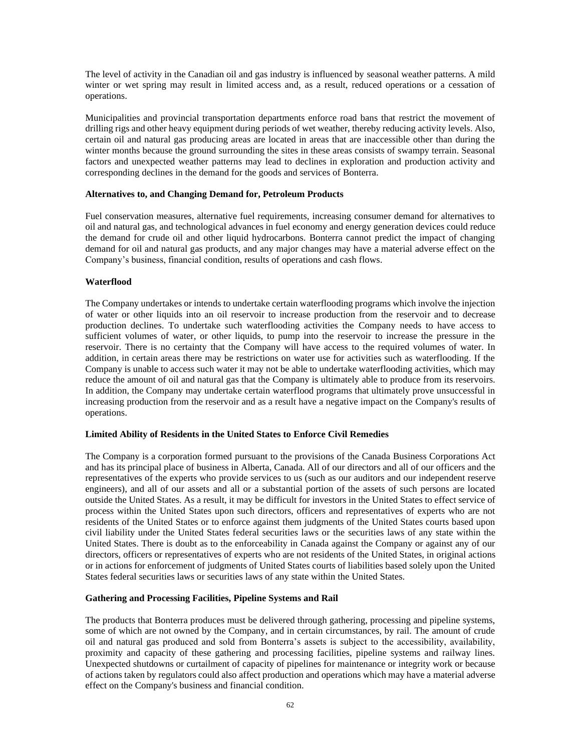The level of activity in the Canadian oil and gas industry is influenced by seasonal weather patterns. A mild winter or wet spring may result in limited access and, as a result, reduced operations or a cessation of operations.

Municipalities and provincial transportation departments enforce road bans that restrict the movement of drilling rigs and other heavy equipment during periods of wet weather, thereby reducing activity levels. Also, certain oil and natural gas producing areas are located in areas that are inaccessible other than during the winter months because the ground surrounding the sites in these areas consists of swampy terrain. Seasonal factors and unexpected weather patterns may lead to declines in exploration and production activity and corresponding declines in the demand for the goods and services of Bonterra.

## **Alternatives to, and Changing Demand for, Petroleum Products**

Fuel conservation measures, alternative fuel requirements, increasing consumer demand for alternatives to oil and natural gas, and technological advances in fuel economy and energy generation devices could reduce the demand for crude oil and other liquid hydrocarbons. Bonterra cannot predict the impact of changing demand for oil and natural gas products, and any major changes may have a material adverse effect on the Company's business, financial condition, results of operations and cash flows.

## **Waterflood**

The Company undertakes or intends to undertake certain waterflooding programs which involve the injection of water or other liquids into an oil reservoir to increase production from the reservoir and to decrease production declines. To undertake such waterflooding activities the Company needs to have access to sufficient volumes of water, or other liquids, to pump into the reservoir to increase the pressure in the reservoir. There is no certainty that the Company will have access to the required volumes of water. In addition, in certain areas there may be restrictions on water use for activities such as waterflooding. If the Company is unable to access such water it may not be able to undertake waterflooding activities, which may reduce the amount of oil and natural gas that the Company is ultimately able to produce from its reservoirs. In addition, the Company may undertake certain waterflood programs that ultimately prove unsuccessful in increasing production from the reservoir and as a result have a negative impact on the Company's results of operations.

### **Limited Ability of Residents in the United States to Enforce Civil Remedies**

The Company is a corporation formed pursuant to the provisions of the Canada Business Corporations Act and has its principal place of business in Alberta, Canada. All of our directors and all of our officers and the representatives of the experts who provide services to us (such as our auditors and our independent reserve engineers), and all of our assets and all or a substantial portion of the assets of such persons are located outside the United States. As a result, it may be difficult for investors in the United States to effect service of process within the United States upon such directors, officers and representatives of experts who are not residents of the United States or to enforce against them judgments of the United States courts based upon civil liability under the United States federal securities laws or the securities laws of any state within the United States. There is doubt as to the enforceability in Canada against the Company or against any of our directors, officers or representatives of experts who are not residents of the United States, in original actions or in actions for enforcement of judgments of United States courts of liabilities based solely upon the United States federal securities laws or securities laws of any state within the United States.

## **Gathering and Processing Facilities, Pipeline Systems and Rail**

The products that Bonterra produces must be delivered through gathering, processing and pipeline systems, some of which are not owned by the Company, and in certain circumstances, by rail. The amount of crude oil and natural gas produced and sold from Bonterra's assets is subject to the accessibility, availability, proximity and capacity of these gathering and processing facilities, pipeline systems and railway lines. Unexpected shutdowns or curtailment of capacity of pipelines for maintenance or integrity work or because of actions taken by regulators could also affect production and operations which may have a material adverse effect on the Company's business and financial condition.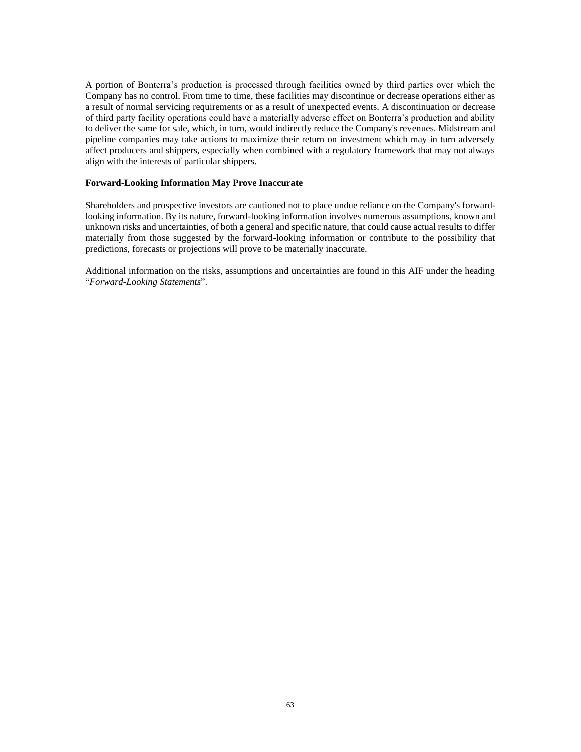A portion of Bonterra's production is processed through facilities owned by third parties over which the Company has no control. From time to time, these facilities may discontinue or decrease operations either as a result of normal servicing requirements or as a result of unexpected events. A discontinuation or decrease of third party facility operations could have a materially adverse effect on Bonterra's production and ability to deliver the same for sale, which, in turn, would indirectly reduce the Company's revenues. Midstream and pipeline companies may take actions to maximize their return on investment which may in turn adversely affect producers and shippers, especially when combined with a regulatory framework that may not always align with the interests of particular shippers.

## **Forward-Looking Information May Prove Inaccurate**

Shareholders and prospective investors are cautioned not to place undue reliance on the Company's forwardlooking information. By its nature, forward-looking information involves numerous assumptions, known and unknown risks and uncertainties, of both a general and specific nature, that could cause actual results to differ materially from those suggested by the forward-looking information or contribute to the possibility that predictions, forecasts or projections will prove to be materially inaccurate.

Additional information on the risks, assumptions and uncertainties are found in this AIF under the heading "*Forward-Looking Statements*".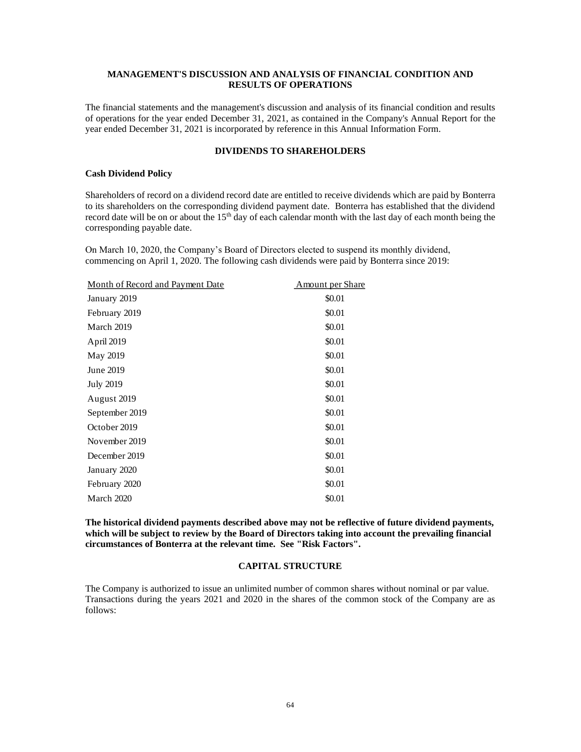## **MANAGEMENT'S DISCUSSION AND ANALYSIS OF FINANCIAL CONDITION AND RESULTS OF OPERATIONS**

The financial statements and the management's discussion and analysis of its financial condition and results of operations for the year ended December 31, 2021, as contained in the Company's Annual Report for the year ended December 31, 2021 is incorporated by reference in this Annual Information Form.

# **DIVIDENDS TO SHAREHOLDERS**

## **Cash Dividend Policy**

Shareholders of record on a dividend record date are entitled to receive dividends which are paid by Bonterra to its shareholders on the corresponding dividend payment date. Bonterra has established that the dividend record date will be on or about the  $15<sup>th</sup>$  day of each calendar month with the last day of each month being the corresponding payable date.

On March 10, 2020, the Company's Board of Directors elected to suspend its monthly dividend, commencing on April 1, 2020. The following cash dividends were paid by Bonterra since 2019:

| Month of Record and Payment Date | <b>Amount per Share</b> |
|----------------------------------|-------------------------|
| January 2019                     | \$0.01                  |
| February 2019                    | \$0.01                  |
| March 2019                       | \$0.01                  |
| April 2019                       | \$0.01                  |
| May 2019                         | \$0.01                  |
| June 2019                        | \$0.01                  |
| <b>July 2019</b>                 | \$0.01                  |
| August 2019                      | \$0.01                  |
| September 2019                   | \$0.01                  |
| October 2019                     | \$0.01                  |
| November 2019                    | \$0.01                  |
| December 2019                    | \$0.01                  |
| January 2020                     | \$0.01                  |
| February 2020                    | \$0.01                  |
| March 2020                       | \$0.01                  |

**The historical dividend payments described above may not be reflective of future dividend payments, which will be subject to review by the Board of Directors taking into account the prevailing financial circumstances of Bonterra at the relevant time. See "Risk Factors".**

## **CAPITAL STRUCTURE**

The Company is authorized to issue an unlimited number of common shares without nominal or par value. Transactions during the years 2021 and 2020 in the shares of the common stock of the Company are as follows: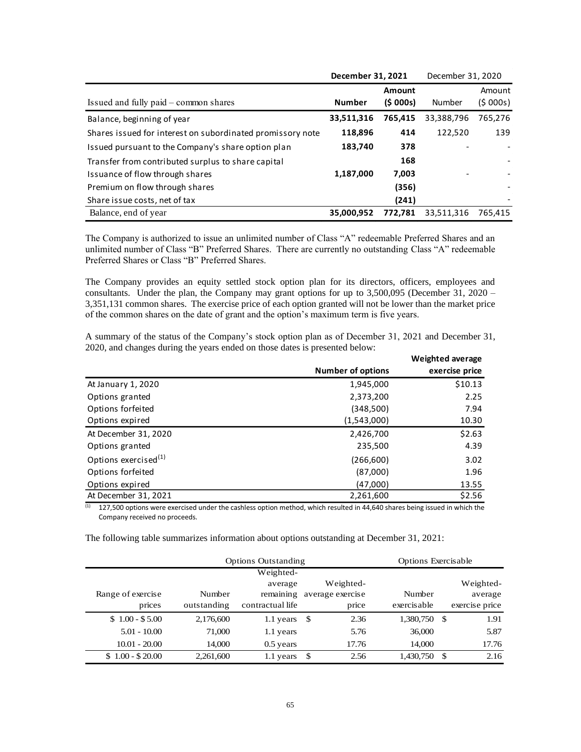|                                                            | December 31, 2021 |         | December 31, 2020 |         |
|------------------------------------------------------------|-------------------|---------|-------------------|---------|
|                                                            |                   | Amount  |                   | Amount  |
| Issued and fully paid – common shares                      | <b>Number</b>     | (5000s) | Number            | (5000s) |
| Balance, beginning of year                                 | 33,511,316        | 765,415 | 33,388,796        | 765,276 |
| Shares issued for interest on subordinated promissory note | 118,896           | 414     | 122,520           | 139     |
| Issued pursuant to the Company's share option plan         | 183,740           | 378     |                   |         |
| Transfer from contributed surplus to share capital         |                   | 168     |                   |         |
| Issuance of flow through shares                            | 1,187,000         | 7,003   |                   |         |
| Premium on flow through shares                             |                   | (356)   |                   |         |
| Share issue costs, net of tax                              |                   | (241)   |                   |         |
| Balance, end of year                                       | 35,000,952        | 772.781 | 33,511,316        | 765,415 |

The Company is authorized to issue an unlimited number of Class "A" redeemable Preferred Shares and an unlimited number of Class "B" Preferred Shares. There are currently no outstanding Class "A" redeemable Preferred Shares or Class "B" Preferred Shares.

The Company provides an equity settled stock option plan for its directors, officers, employees and consultants. Under the plan, the Company may grant options for up to 3,500,095 (December 31, 2020 – 3,351,131 common shares. The exercise price of each option granted will not be lower than the market price of the common shares on the date of grant and the option's maximum term is five years.

A summary of the status of the Company's stock option plan as of December 31, 2021 and December 31, 2020, and changes during the years ended on those dates is presented below: **Weighted average** 

|                                  |                          | weighted average |
|----------------------------------|--------------------------|------------------|
|                                  | <b>Number of options</b> | exercise price   |
| At January 1, 2020               | 1,945,000                | \$10.13          |
| Options granted                  | 2,373,200                | 2.25             |
| Options forfeited                | (348,500)                | 7.94             |
| Options expired                  | (1,543,000)              | 10.30            |
| At December 31, 2020             | 2,426,700                | \$2.63           |
| Options granted                  | 235,500                  | 4.39             |
| Options exercised <sup>(1)</sup> | (266, 600)               | 3.02             |
| Options forfeited                | (87,000)                 | 1.96             |
| Options expired                  | (47,000)                 | 13.55            |
| At December 31, 2021             | 2,261,600                | \$2.56           |

 $(1)$  127,500 options were exercised under the cashless option method, which resulted in 44,640 shares being issued in which the Company received no proceeds.

The following table summarizes information about options outstanding at December 31, 2021:

| <b>Options Outstanding</b> |             |                  | <b>Options Exercisable</b> |                  |              |      |                |
|----------------------------|-------------|------------------|----------------------------|------------------|--------------|------|----------------|
|                            |             | Weighted-        |                            |                  |              |      |                |
|                            |             | average          |                            | Weighted-        |              |      | Weighted-      |
| Range of exercise          | Number      | remaining        |                            | average exercise | Number       |      | average        |
| prices                     | outstanding | contractual life |                            | price            | exercisable  |      | exercise price |
| $$1.00 - $5.00$            | 2,176,600   | 1.1 years        | - \$                       | 2.36             | 1,380,750 \$ |      | 1.91           |
| $5.01 - 10.00$             | 71,000      | 1.1 years        |                            | 5.76             | 36,000       |      | 5.87           |
| $10.01 - 20.00$            | 14,000      | $0.5$ years      |                            | 17.76            | 14,000       |      | 17.76          |
| $$1.00 - $20.00$           | 2,261,600   | 1.1 years        | -\$                        | 2.56             | 1,430,750    | - \$ | 2.16           |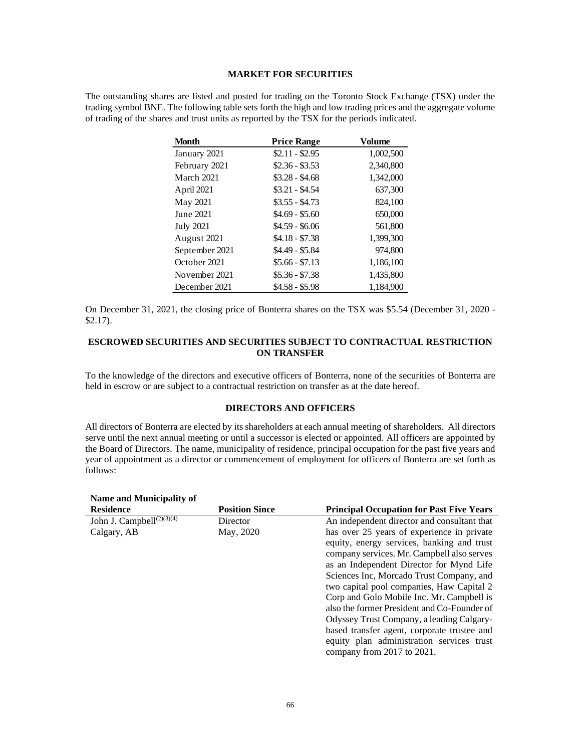#### **MARKET FOR SECURITIES**

The outstanding shares are listed and posted for trading on the Toronto Stock Exchange (TSX) under the trading symbol BNE. The following table sets forth the high and low trading prices and the aggregate volume of trading of the shares and trust units as reported by the TSX for the periods indicated.

| <b>Month</b>     | <b>Price Range</b> | Volume    |
|------------------|--------------------|-----------|
| January 2021     | $$2.11 - $2.95$    | 1,002,500 |
| February 2021    | $$2.36 - $3.53$    | 2,340,800 |
| March 2021       | $$3.28 - $4.68$    | 1,342,000 |
| April 2021       | $$3.21 - $4.54$    | 637,300   |
| May 2021         | $$3.55 - $4.73$    | 824,100   |
| June 2021        | $$4.69 - $5.60$    | 650,000   |
| <b>July 2021</b> | $$4.59 - $6.06$    | 561,800   |
| August 2021      | $$4.18 - $7.38$    | 1,399,300 |
| September 2021   | \$4.49 - \$5.84    | 974,800   |
| October 2021     | $$5.66 - $7.13$    | 1,186,100 |
| November 2021    | $$5.36 - $7.38$    | 1,435,800 |
| December 2021    | \$4.58 - \$5.98    | 1,184,900 |

On December 31, 2021, the closing price of Bonterra shares on the TSX was \$5.54 (December 31, 2020 - \$2.17).

## **ESCROWED SECURITIES AND SECURITIES SUBJECT TO CONTRACTUAL RESTRICTION ON TRANSFER**

To the knowledge of the directors and executive officers of Bonterra, none of the securities of Bonterra are held in escrow or are subject to a contractual restriction on transfer as at the date hereof.

### **DIRECTORS AND OFFICERS**

All directors of Bonterra are elected by its shareholders at each annual meeting of shareholders. All directors serve until the next annual meeting or until a successor is elected or appointed. All officers are appointed by the Board of Directors. The name, municipality of residence, principal occupation for the past five years and year of appointment as a director or commencement of employment for officers of Bonterra are set forth as follows:

#### **Name and Municipality of Residence Position Since Principal Occupation for Past Five Years** John J. Campbell<sup>(2)(3)(4)</sup> Calgary, AB **Director** May, 2020 An independent director and consultant that has over 25 years of experience in private equity, energy services, banking and trust company services. Mr. Campbell also serves as an Independent Director for Mynd Life Sciences Inc, Morcado Trust Company, and two capital pool companies, Haw Capital 2 Corp and Golo Mobile Inc. Mr. Campbell is also the former President and Co-Founder of Odyssey Trust Company, a leading Calgarybased transfer agent, corporate trustee and equity plan administration services trust company from 2017 to 2021.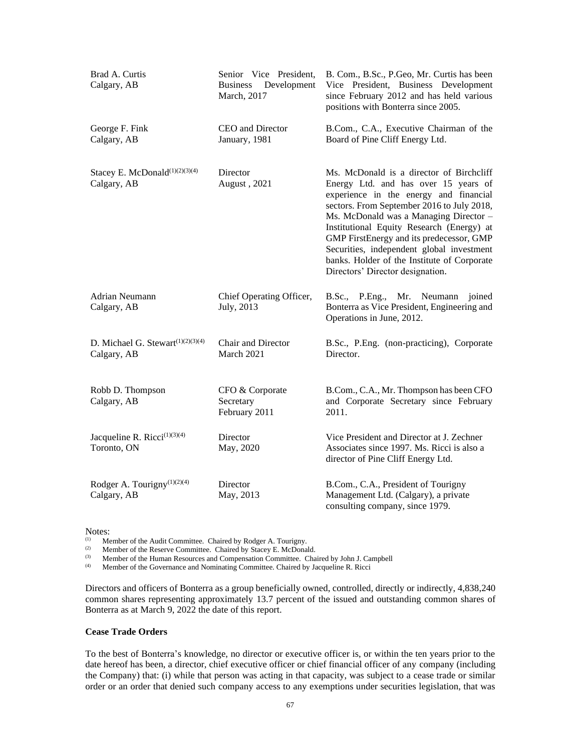| Brad A. Curtis<br>Senior Vice President,<br>Development<br>Calgary, AB<br><b>Business</b><br>March, 2017 |                                               | B. Com., B.Sc., P.Geo, Mr. Curtis has been<br>Vice President, Business Development<br>since February 2012 and has held various<br>positions with Bonterra since 2005.                                                                                                                                                                                                                                                                       |  |  |
|----------------------------------------------------------------------------------------------------------|-----------------------------------------------|---------------------------------------------------------------------------------------------------------------------------------------------------------------------------------------------------------------------------------------------------------------------------------------------------------------------------------------------------------------------------------------------------------------------------------------------|--|--|
| George F. Fink<br>Calgary, AB                                                                            | CEO and Director<br>January, 1981             | B.Com., C.A., Executive Chairman of the<br>Board of Pine Cliff Energy Ltd.                                                                                                                                                                                                                                                                                                                                                                  |  |  |
| Stacey E. McDonald <sup>(1)(2)(3)(4)</sup><br>Director<br>Calgary, AB<br>August, 2021                    |                                               | Ms. McDonald is a director of Birchcliff<br>Energy Ltd. and has over 15 years of<br>experience in the energy and financial<br>sectors. From September 2016 to July 2018,<br>Ms. McDonald was a Managing Director -<br>Institutional Equity Research (Energy) at<br>GMP FirstEnergy and its predecessor, GMP<br>Securities, independent global investment<br>banks. Holder of the Institute of Corporate<br>Directors' Director designation. |  |  |
| Adrian Neumann<br>Calgary, AB                                                                            | Chief Operating Officer,<br>July, 2013        | B.Sc., P.Eng., Mr. Neumann<br>joined<br>Bonterra as Vice President, Engineering and<br>Operations in June, 2012.                                                                                                                                                                                                                                                                                                                            |  |  |
| D. Michael G. Stewart <sup>(1)(2)(3)(4)</sup><br>Calgary, AB                                             | Chair and Director<br>March 2021              | B.Sc., P.Eng. (non-practicing), Corporate<br>Director.                                                                                                                                                                                                                                                                                                                                                                                      |  |  |
| Robb D. Thompson<br>Calgary, AB                                                                          | CFO & Corporate<br>Secretary<br>February 2011 | B.Com., C.A., Mr. Thompson has been CFO<br>and Corporate Secretary since February<br>2011.                                                                                                                                                                                                                                                                                                                                                  |  |  |
| Jacqueline R. Ricci <sup>(1)(3)(4)</sup><br>Toronto, ON                                                  | Director<br>May, 2020                         | Vice President and Director at J. Zechner<br>Associates since 1997. Ms. Ricci is also a<br>director of Pine Cliff Energy Ltd.                                                                                                                                                                                                                                                                                                               |  |  |
| Rodger A. Tourigny $(1)(2)(4)$<br>Calgary, AB                                                            | Director<br>May, 2013                         | B.Com., C.A., President of Tourigny<br>Management Ltd. (Calgary), a private<br>consulting company, since 1979.                                                                                                                                                                                                                                                                                                                              |  |  |

Notes:

(1) Member of the Audit Committee. Chaired by Rodger A. Tourigny.<br>
Mamber of the Pecerya Committee. Chaired by Stacey E. McDonal

(2) Member of the Reserve Committee. Chaired by Stacey E. McDonald.<br>
Member of the Human Resources and Compensation Committee. Cha

(3) Member of the Human Resources and Compensation Committee. Chaired by John J. Campbell (4) Member of the Governance and Nominating Committee. Chaired by Jacqueline R. Ricci

Member of the Governance and Nominating Committee. Chaired by Jacqueline R. Ricci

Directors and officers of Bonterra as a group beneficially owned, controlled, directly or indirectly, 4,838,240 common shares representing approximately 13.7 percent of the issued and outstanding common shares of Bonterra as at March 9, 2022 the date of this report.

# **Cease Trade Orders**

To the best of Bonterra's knowledge, no director or executive officer is, or within the ten years prior to the date hereof has been, a director, chief executive officer or chief financial officer of any company (including the Company) that: (i) while that person was acting in that capacity, was subject to a cease trade or similar order or an order that denied such company access to any exemptions under securities legislation, that was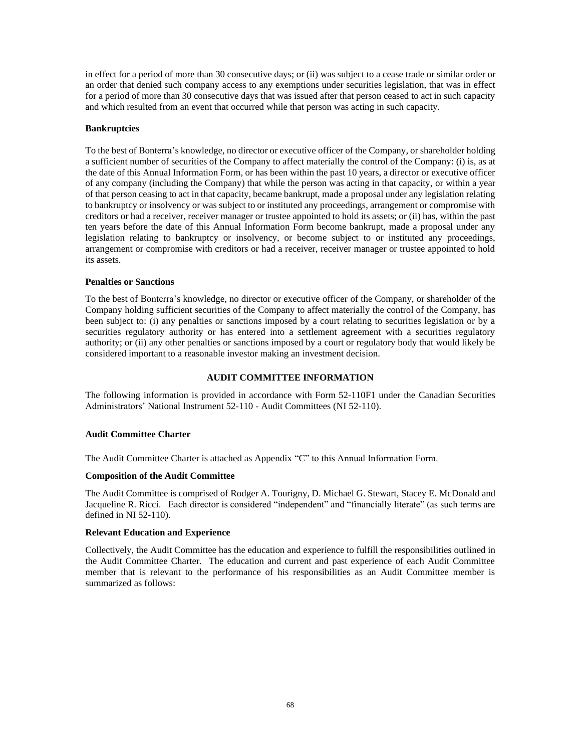in effect for a period of more than 30 consecutive days; or (ii) was subject to a cease trade or similar order or an order that denied such company access to any exemptions under securities legislation, that was in effect for a period of more than 30 consecutive days that was issued after that person ceased to act in such capacity and which resulted from an event that occurred while that person was acting in such capacity.

### **Bankruptcies**

To the best of Bonterra's knowledge, no director or executive officer of the Company, or shareholder holding a sufficient number of securities of the Company to affect materially the control of the Company: (i) is, as at the date of this Annual Information Form, or has been within the past 10 years, a director or executive officer of any company (including the Company) that while the person was acting in that capacity, or within a year of that person ceasing to act in that capacity, became bankrupt, made a proposal under any legislation relating to bankruptcy or insolvency or was subject to or instituted any proceedings, arrangement or compromise with creditors or had a receiver, receiver manager or trustee appointed to hold its assets; or (ii) has, within the past ten years before the date of this Annual Information Form become bankrupt, made a proposal under any legislation relating to bankruptcy or insolvency, or become subject to or instituted any proceedings, arrangement or compromise with creditors or had a receiver, receiver manager or trustee appointed to hold its assets.

## **Penalties or Sanctions**

To the best of Bonterra's knowledge, no director or executive officer of the Company, or shareholder of the Company holding sufficient securities of the Company to affect materially the control of the Company, has been subject to: (i) any penalties or sanctions imposed by a court relating to securities legislation or by a securities regulatory authority or has entered into a settlement agreement with a securities regulatory authority; or (ii) any other penalties or sanctions imposed by a court or regulatory body that would likely be considered important to a reasonable investor making an investment decision.

## **AUDIT COMMITTEE INFORMATION**

The following information is provided in accordance with Form 52-110F1 under the Canadian Securities Administrators' National Instrument 52-110 - Audit Committees (NI 52-110).

## **Audit Committee Charter**

The Audit Committee Charter is attached as Appendix "C" to this Annual Information Form.

#### **Composition of the Audit Committee**

The Audit Committee is comprised of Rodger A. Tourigny, D. Michael G. Stewart, Stacey E. McDonald and Jacqueline R. Ricci. Each director is considered "independent" and "financially literate" (as such terms are defined in NI 52-110).

## **Relevant Education and Experience**

Collectively, the Audit Committee has the education and experience to fulfill the responsibilities outlined in the Audit Committee Charter. The education and current and past experience of each Audit Committee member that is relevant to the performance of his responsibilities as an Audit Committee member is summarized as follows: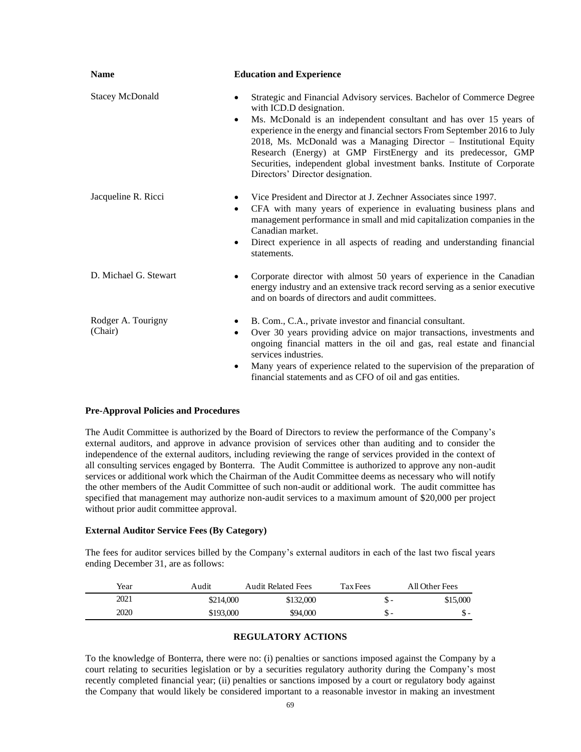| <b>Name</b><br><b>Education and Experience</b> |                                                                                                                                                                                                                                                                                                                                                                                                                                                                                                                                      |  |  |
|------------------------------------------------|--------------------------------------------------------------------------------------------------------------------------------------------------------------------------------------------------------------------------------------------------------------------------------------------------------------------------------------------------------------------------------------------------------------------------------------------------------------------------------------------------------------------------------------|--|--|
| <b>Stacey McDonald</b>                         | Strategic and Financial Advisory services. Bachelor of Commerce Degree<br>$\bullet$<br>with ICD.D designation.<br>Ms. McDonald is an independent consultant and has over 15 years of<br>$\bullet$<br>experience in the energy and financial sectors From September 2016 to July<br>2018, Ms. McDonald was a Managing Director - Institutional Equity<br>Research (Energy) at GMP FirstEnergy and its predecessor, GMP<br>Securities, independent global investment banks. Institute of Corporate<br>Directors' Director designation. |  |  |
| Jacqueline R. Ricci                            | Vice President and Director at J. Zechner Associates since 1997.<br>$\bullet$<br>CFA with many years of experience in evaluating business plans and<br>$\bullet$<br>management performance in small and mid capitalization companies in the<br>Canadian market.<br>Direct experience in all aspects of reading and understanding financial<br>$\bullet$<br>statements.                                                                                                                                                               |  |  |
| D. Michael G. Stewart                          | Corporate director with almost 50 years of experience in the Canadian<br>energy industry and an extensive track record serving as a senior executive<br>and on boards of directors and audit committees.                                                                                                                                                                                                                                                                                                                             |  |  |
| Rodger A. Tourigny<br>(Chair)                  | B. Com., C.A., private investor and financial consultant.<br>$\bullet$<br>Over 30 years providing advice on major transactions, investments and<br>$\bullet$<br>ongoing financial matters in the oil and gas, real estate and financial<br>services industries.<br>Many years of experience related to the supervision of the preparation of<br>$\bullet$<br>financial statements and as CFO of oil and gas entities.                                                                                                                |  |  |

## **Pre-Approval Policies and Procedures**

The Audit Committee is authorized by the Board of Directors to review the performance of the Company's external auditors, and approve in advance provision of services other than auditing and to consider the independence of the external auditors, including reviewing the range of services provided in the context of all consulting services engaged by Bonterra. The Audit Committee is authorized to approve any non-audit services or additional work which the Chairman of the Audit Committee deems as necessary who will notify the other members of the Audit Committee of such non-audit or additional work. The audit committee has specified that management may authorize non-audit services to a maximum amount of \$20,000 per project without prior audit committee approval.

#### **External Auditor Service Fees (By Category)**

The fees for auditor services billed by the Company's external auditors in each of the last two fiscal years ending December 31, are as follows:

| Year | Audit     | <b>Audit Related Fees</b> | Tax Fees | All Other Fees |
|------|-----------|---------------------------|----------|----------------|
| 2021 | \$214,000 | \$132,000                 | D        | \$15.000       |
| 2020 | \$193,000 | \$94,000                  | D        | - ה            |

# **REGULATORY ACTIONS**

To the knowledge of Bonterra, there were no: (i) penalties or sanctions imposed against the Company by a court relating to securities legislation or by a securities regulatory authority during the Company's most recently completed financial year; (ii) penalties or sanctions imposed by a court or regulatory body against the Company that would likely be considered important to a reasonable investor in making an investment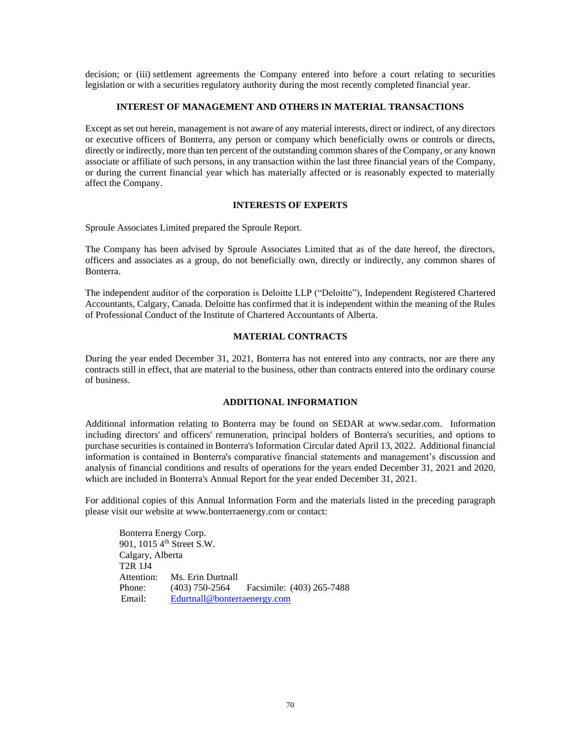decision; or (iii) settlement agreements the Company entered into before a court relating to securities legislation or with a securities regulatory authority during the most recently completed financial year.

## **INTEREST OF MANAGEMENT AND OTHERS IN MATERIAL TRANSACTIONS**

Except as set out herein, management is not aware of any material interests, direct or indirect, of any directors or executive officers of Bonterra, any person or company which beneficially owns or controls or directs, directly or indirectly, more than ten percent of the outstanding common shares of the Company, or any known associate or affiliate of such persons, in any transaction within the last three financial years of the Company, or during the current financial year which has materially affected or is reasonably expected to materially affect the Company.

## **INTERESTS OF EXPERTS**

Sproule Associates Limited prepared the Sproule Report.

The Company has been advised by Sproule Associates Limited that as of the date hereof, the directors, officers and associates as a group, do not beneficially own, directly or indirectly, any common shares of Bonterra.

The independent auditor of the corporation is Deloitte LLP ("Deloitte"), Independent Registered Chartered Accountants, Calgary, Canada. Deloitte has confirmed that it is independent within the meaning of the Rules of Professional Conduct of the Institute of Chartered Accountants of Alberta.

# **MATERIAL CONTRACTS**

During the year ended December 31, 2021, Bonterra has not entered into any contracts, nor are there any contracts still in effect, that are material to the business, other than contracts entered into the ordinary course of business.

# **ADDITIONAL INFORMATION**

Additional information relating to Bonterra may be found on SEDAR at [www.sedar.com.](http://www.sedar.com/) Information including directors' and officers' remuneration, principal holders of Bonterra's securities, and options to purchase securities is contained in Bonterra's Information Circular dated April 13, 2022. Additional financial information is contained in Bonterra's comparative financial statements and management's discussion and analysis of financial conditions and results of operations for the years ended December 31, 2021 and 2020, which are included in Bonterra's Annual Report for the year ended December 31, 2021.

For additional copies of this Annual Information Form and the materials listed in the preceding paragraph please visit our website a[t www.bonterraenergy.com](http://www.bonterraenergy.com/) or contact:

Bonterra Energy Corp. 901, 1015 4<sup>th</sup> Street S.W. Calgary, Alberta T2R 1J4 Attention: Ms. Erin Durtnall Phone: (403) 750-2564 Facsimile: (403) 265-7488 Email: [Edurtnall@bonterraenergy.com](mailto:Edurtnall@bonterraenergy.com)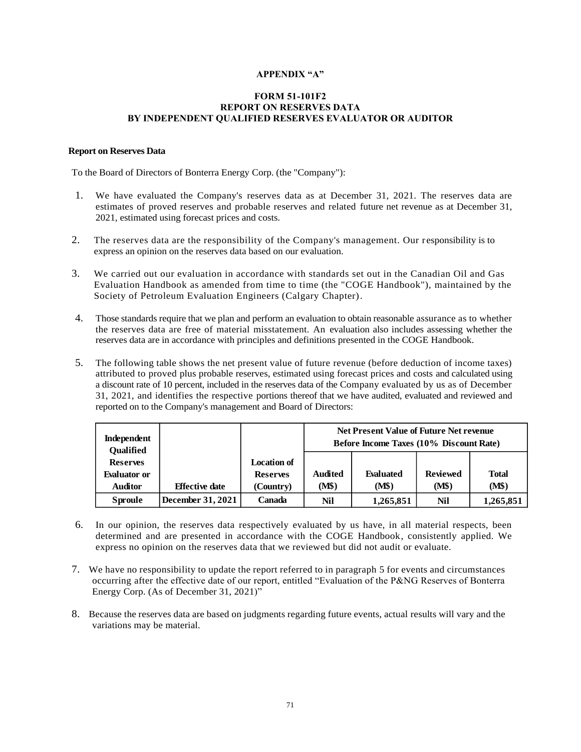# **APPENDIX "A"**

#### **FORM 51-101F2 REPORT ON RESERVES DATA BY INDEPENDENT QUALIFIED RESERVES EVALUATOR OR AUDITOR**

### **Report on Reserves Data**

To the Board of Directors of Bonterra Energy Corp. (the "Company"):

- 1. We have evaluated the Company's reserves data as at December 31, 2021. The reserves data are estimates of proved reserves and probable reserves and related future net revenue as at December 31, 2021, estimated using forecast prices and costs.
- 2. The reserves data are the responsibility of the Company's management. Our responsibility is to express an opinion on the reserves data based on our evaluation.
- 3. We carried out our evaluation in accordance with standards set out in the Canadian Oil and Gas Evaluation Handbook as amended from time to time (the "COGE Handbook"), maintained by the Society of Petroleum Evaluation Engineers (Calgary Chapter).
- 4. Those standards require that we plan and perform an evaluation to obtain reasonable assurance as to whether the reserves data are free of material misstatement. An evaluation also includes assessing whether the reserves data are in accordance with principles and definitions presented in the COGE Handbook.
- 5. The following table shows the net present value of future revenue (before deduction of income taxes) attributed to proved plus probable reserves, estimated using forecast prices and costs and calculated using a discount rate of 10 percent, included in the reserves data of the Company evaluated by us as of December 31, 2021, and identifies the respective portions thereof that we have audited, evaluated and reviewed and reported on to the Company's management and Board of Directors:

| Independent<br><b>Qualified</b> |                       |                    | <b>Net Present Value of Future Net revenue</b><br><b>Before Income Taxes (10% Discount Rate)</b> |           |                 |              |
|---------------------------------|-----------------------|--------------------|--------------------------------------------------------------------------------------------------|-----------|-----------------|--------------|
| <b>Reserves</b>                 |                       | <b>Location of</b> |                                                                                                  |           |                 |              |
| <b>Evaluator or</b>             |                       | <b>Reserves</b>    | <b>Audited</b>                                                                                   | Evaluated | <b>Reviewed</b> | <b>Total</b> |
| <b>Auditor</b>                  | <b>Effective date</b> | (Country)          | (M\$)                                                                                            | (M\$)     | (M\$)           | (M\$)        |
| <b>Sproule</b>                  | December 31, 2021     | Canada             | Nil                                                                                              | 1,265,851 | Nil             | 1,265,851    |

- 6. In our opinion, the reserves data respectively evaluated by us have, in all material respects, been determined and are presented in accordance with the COGE Handbook, consistently applied. We express no opinion on the reserves data that we reviewed but did not audit or evaluate.
- 7. We have no responsibility to update the report referred to in paragraph 5 for events and circumstances occurring after the effective date of our report, entitled "Evaluation of the P&NG Reserves of Bonterra Energy Corp. (As of December 31, 2021)"
- 8. Because the reserves data are based on judgments regarding future events, actual results will vary and the variations may be material.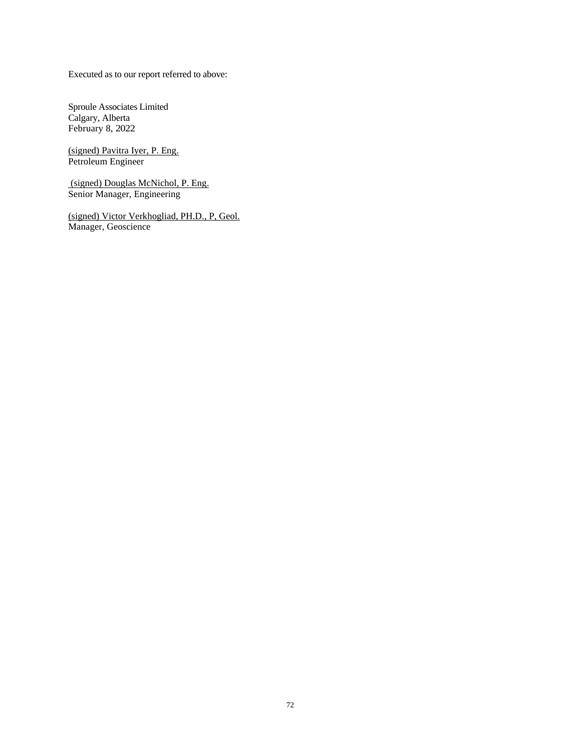Executed as to our report referred to above:

Sproule Associates Limited Calgary, Alberta February 8, 2022

(signed) Pavitra Iyer, P. Eng. Petroleum Engineer

(signed) Douglas McNichol, P. Eng. Senior Manager, Engineering

(signed) Victor Verkhogliad, PH.D., P, Geol. Manager, Geoscience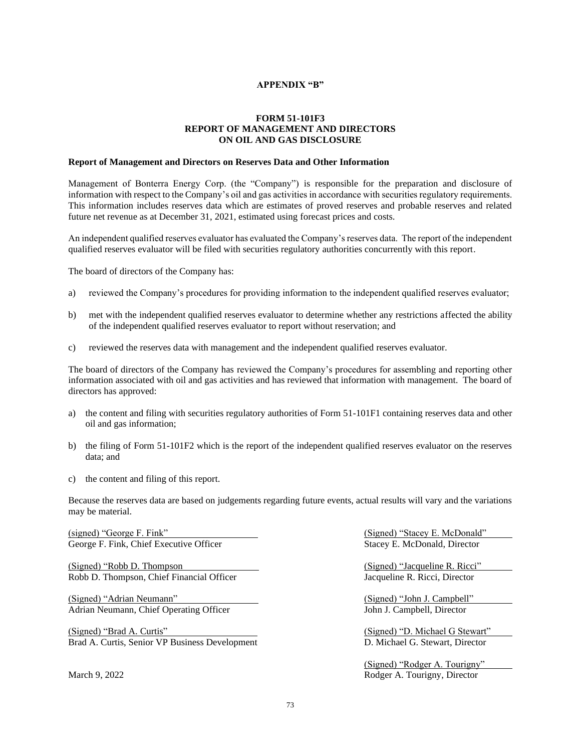## **APPENDIX "B"**

# **FORM 51-101F3 REPORT OF MANAGEMENT AND DIRECTORS ON OIL AND GAS DISCLOSURE**

#### **Report of Management and Directors on Reserves Data and Other Information**

Management of Bonterra Energy Corp. (the "Company") is responsible for the preparation and disclosure of information with respect to the Company's oil and gas activities in accordance with securities regulatory requirements. This information includes reserves data which are estimates of proved reserves and probable reserves and related future net revenue as at December 31, 2021, estimated using forecast prices and costs.

An independent qualified reserves evaluator has evaluated the Company's reserves data. The report of the independent qualified reserves evaluator will be filed with securities regulatory authorities concurrently with this report.

The board of directors of the Company has:

- a) reviewed the Company's procedures for providing information to the independent qualified reserves evaluator;
- b) met with the independent qualified reserves evaluator to determine whether any restrictions affected the ability of the independent qualified reserves evaluator to report without reservation; and
- c) reviewed the reserves data with management and the independent qualified reserves evaluator.

The board of directors of the Company has reviewed the Company's procedures for assembling and reporting other information associated with oil and gas activities and has reviewed that information with management. The board of directors has approved:

- a) the content and filing with securities regulatory authorities of Form 51-101F1 containing reserves data and other oil and gas information;
- b) the filing of Form 51-101F2 which is the report of the independent qualified reserves evaluator on the reserves data; and
- c) the content and filing of this report.

Because the reserves data are based on judgements regarding future events, actual results will vary and the variations may be material.

(signed) "George F. Fink" (Signed) "Stacey E. McDonald" George F. Fink, Chief Executive Officer Stacey E. McDonald, Director Stacey E. McDonald, Director

(Signed) "Robb D. Thompson (Signed) "Jacqueline R. Ricci" Robb D. Thompson, Chief Financial Officer **Financial Structure Properties** Jacqueline R. Ricci, Director

(Signed) "Adrian Neumann" (Signed) "John J. Campbell" Adrian Neumann, Chief Operating Officer Theorem 1986 Solid John J. Campbell, Director

(Signed) "Brad A. Curtis" (Signed) "D. Michael G Stewart" Brad A. Curtis, Senior VP Business Development D. Michael G. Stewart, Director

(Signed) "Rodger A. Tourigny" March 9, 2022 **Rodger A. Tourigny, Director**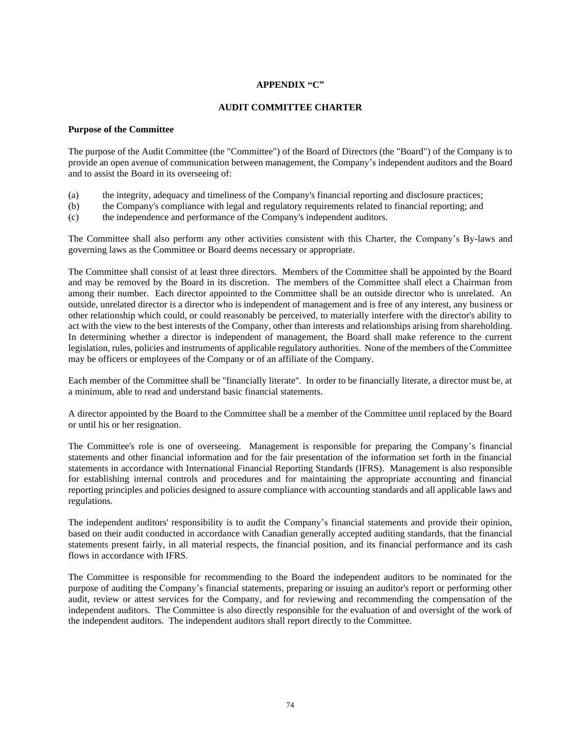# **APPENDIX "C"**

## **AUDIT COMMITTEE CHARTER**

#### **Purpose of the Committee**

The purpose of the Audit Committee (the "Committee") of the Board of Directors (the "Board") of the Company is to provide an open avenue of communication between management, the Company's independent auditors and the Board and to assist the Board in its overseeing of:

- (a) the integrity, adequacy and timeliness of the Company's financial reporting and disclosure practices;
- (b) the Company's compliance with legal and regulatory requirements related to financial reporting; and
- (c) the independence and performance of the Company's independent auditors.

The Committee shall also perform any other activities consistent with this Charter, the Company's By-laws and governing laws as the Committee or Board deems necessary or appropriate.

The Committee shall consist of at least three directors. Members of the Committee shall be appointed by the Board and may be removed by the Board in its discretion. The members of the Committee shall elect a Chairman from among their number. Each director appointed to the Committee shall be an outside director who is unrelated. An outside, unrelated director is a director who is independent of management and is free of any interest, any business or other relationship which could, or could reasonably be perceived, to materially interfere with the director's ability to act with the view to the best interests of the Company, other than interests and relationships arising from shareholding. In determining whether a director is independent of management, the Board shall make reference to the current legislation, rules, policies and instruments of applicable regulatory authorities. None of the members of the Committee may be officers or employees of the Company or of an affiliate of the Company.

Each member of the Committee shall be "financially literate". In order to be financially literate, a director must be, at a minimum, able to read and understand basic financial statements.

A director appointed by the Board to the Committee shall be a member of the Committee until replaced by the Board or until his or her resignation.

The Committee's role is one of overseeing. Management is responsible for preparing the Company's financial statements and other financial information and for the fair presentation of the information set forth in the financial statements in accordance with International Financial Reporting Standards (IFRS). Management is also responsible for establishing internal controls and procedures and for maintaining the appropriate accounting and financial reporting principles and policies designed to assure compliance with accounting standards and all applicable laws and regulations.

The independent auditors' responsibility is to audit the Company's financial statements and provide their opinion, based on their audit conducted in accordance with Canadian generally accepted auditing standards, that the financial statements present fairly, in all material respects, the financial position, and its financial performance and its cash flows in accordance with IFRS.

The Committee is responsible for recommending to the Board the independent auditors to be nominated for the purpose of auditing the Company's financial statements, preparing or issuing an auditor's report or performing other audit, review or attest services for the Company, and for reviewing and recommending the compensation of the independent auditors. The Committee is also directly responsible for the evaluation of and oversight of the work of the independent auditors. The independent auditors shall report directly to the Committee.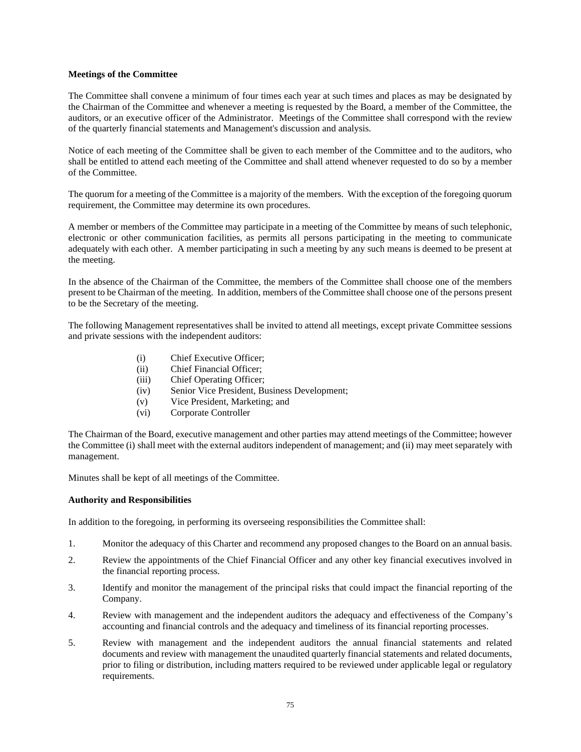#### **Meetings of the Committee**

The Committee shall convene a minimum of four times each year at such times and places as may be designated by the Chairman of the Committee and whenever a meeting is requested by the Board, a member of the Committee, the auditors, or an executive officer of the Administrator. Meetings of the Committee shall correspond with the review of the quarterly financial statements and Management's discussion and analysis.

Notice of each meeting of the Committee shall be given to each member of the Committee and to the auditors, who shall be entitled to attend each meeting of the Committee and shall attend whenever requested to do so by a member of the Committee.

The quorum for a meeting of the Committee is a majority of the members. With the exception of the foregoing quorum requirement, the Committee may determine its own procedures.

A member or members of the Committee may participate in a meeting of the Committee by means of such telephonic, electronic or other communication facilities, as permits all persons participating in the meeting to communicate adequately with each other. A member participating in such a meeting by any such means is deemed to be present at the meeting.

In the absence of the Chairman of the Committee, the members of the Committee shall choose one of the members present to be Chairman of the meeting. In addition, members of the Committee shall choose one of the persons present to be the Secretary of the meeting.

The following Management representatives shall be invited to attend all meetings, except private Committee sessions and private sessions with the independent auditors:

- (i) Chief Executive Officer;
- (ii) Chief Financial Officer;
- (iii) Chief Operating Officer;
- (iv) Senior Vice President, Business Development;
- (v) Vice President, Marketing; and
- (vi) Corporate Controller

The Chairman of the Board, executive management and other parties may attend meetings of the Committee; however the Committee (i) shall meet with the external auditors independent of management; and (ii) may meet separately with management.

Minutes shall be kept of all meetings of the Committee.

#### **Authority and Responsibilities**

In addition to the foregoing, in performing its overseeing responsibilities the Committee shall:

- 1. Monitor the adequacy of this Charter and recommend any proposed changes to the Board on an annual basis.
- 2. Review the appointments of the Chief Financial Officer and any other key financial executives involved in the financial reporting process.
- 3. Identify and monitor the management of the principal risks that could impact the financial reporting of the Company.
- 4. Review with management and the independent auditors the adequacy and effectiveness of the Company's accounting and financial controls and the adequacy and timeliness of its financial reporting processes.
- 5. Review with management and the independent auditors the annual financial statements and related documents and review with management the unaudited quarterly financial statements and related documents, prior to filing or distribution, including matters required to be reviewed under applicable legal or regulatory requirements.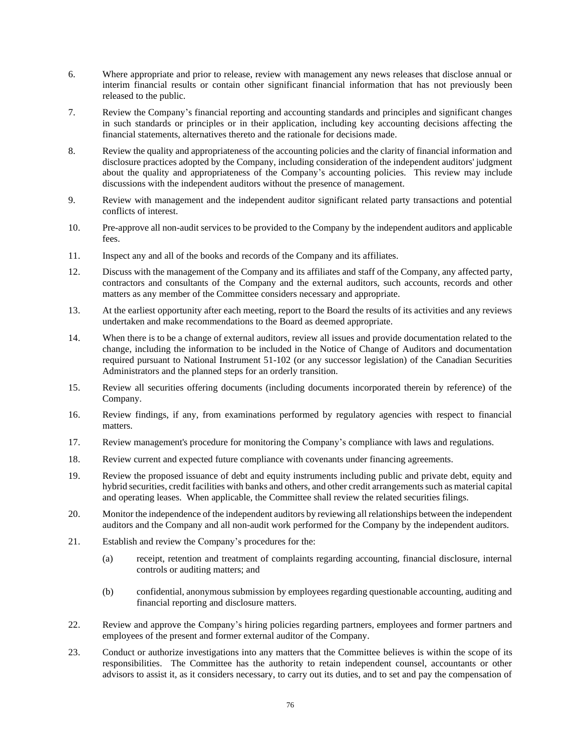- 6. Where appropriate and prior to release, review with management any news releases that disclose annual or interim financial results or contain other significant financial information that has not previously been released to the public.
- 7. Review the Company's financial reporting and accounting standards and principles and significant changes in such standards or principles or in their application, including key accounting decisions affecting the financial statements, alternatives thereto and the rationale for decisions made.
- 8. Review the quality and appropriateness of the accounting policies and the clarity of financial information and disclosure practices adopted by the Company, including consideration of the independent auditors' judgment about the quality and appropriateness of the Company's accounting policies. This review may include discussions with the independent auditors without the presence of management.
- 9. Review with management and the independent auditor significant related party transactions and potential conflicts of interest.
- 10. Pre-approve all non-audit services to be provided to the Company by the independent auditors and applicable fees.
- 11. Inspect any and all of the books and records of the Company and its affiliates.
- 12. Discuss with the management of the Company and its affiliates and staff of the Company, any affected party, contractors and consultants of the Company and the external auditors, such accounts, records and other matters as any member of the Committee considers necessary and appropriate.
- 13. At the earliest opportunity after each meeting, report to the Board the results of its activities and any reviews undertaken and make recommendations to the Board as deemed appropriate.
- 14. When there is to be a change of external auditors, review all issues and provide documentation related to the change, including the information to be included in the Notice of Change of Auditors and documentation required pursuant to National Instrument 51-102 (or any successor legislation) of the Canadian Securities Administrators and the planned steps for an orderly transition.
- 15. Review all securities offering documents (including documents incorporated therein by reference) of the Company.
- 16. Review findings, if any, from examinations performed by regulatory agencies with respect to financial matters.
- 17. Review management's procedure for monitoring the Company's compliance with laws and regulations.
- 18. Review current and expected future compliance with covenants under financing agreements.
- 19. Review the proposed issuance of debt and equity instruments including public and private debt, equity and hybrid securities, credit facilities with banks and others, and other credit arrangements such as material capital and operating leases. When applicable, the Committee shall review the related securities filings.
- 20. Monitor the independence of the independent auditors by reviewing all relationships between the independent auditors and the Company and all non-audit work performed for the Company by the independent auditors.
- 21. Establish and review the Company's procedures for the:
	- (a) receipt, retention and treatment of complaints regarding accounting, financial disclosure, internal controls or auditing matters; and
	- (b) confidential, anonymous submission by employees regarding questionable accounting, auditing and financial reporting and disclosure matters.
- 22. Review and approve the Company's hiring policies regarding partners, employees and former partners and employees of the present and former external auditor of the Company.
- 23. Conduct or authorize investigations into any matters that the Committee believes is within the scope of its responsibilities. The Committee has the authority to retain independent counsel, accountants or other advisors to assist it, as it considers necessary, to carry out its duties, and to set and pay the compensation of